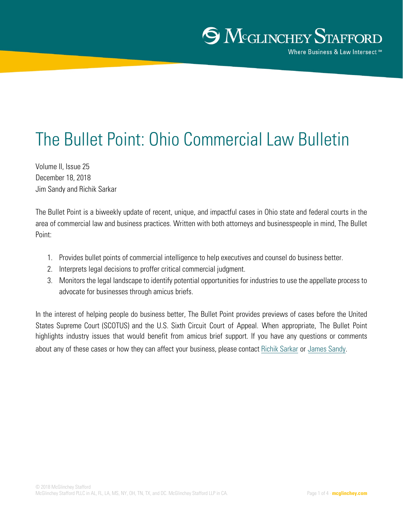# The Bullet Point: Ohio Commercial Law Bulletin

Volume II, Issue 25 December 18, 2018 Jim Sandy and Richik Sarkar

The Bullet Point is a biweekly update of recent, unique, and impactful cases in Ohio state and federal courts in the area of commercial law and business practices. Written with both attorneys and businesspeople in mind, The Bullet Point:

- 1. Provides bullet points of commercial intelligence to help executives and counsel do business better.
- 2. Interprets legal decisions to proffer critical commercial judgment.
- 3. Monitors the legal landscape to identify potential opportunities for industries to use the appellate process to advocate for businesses through amicus briefs.

In the interest of helping people do business better, The Bullet Point provides previews of cases before the United States Supreme Court (SCOTUS) and the U.S. Sixth Circuit Court of Appeal. When appropriate, The Bullet Point highlights industry issues that would benefit from amicus brief support. If you have any questions or comments about any of these case[s or how they c](http://www.mcglinchey.com/Richik-Sarkar/)a[n affect your bu](http://www.mcglinchey.com/James-W-Sandy/)siness, please contact Richik Sarkar or James Sandy.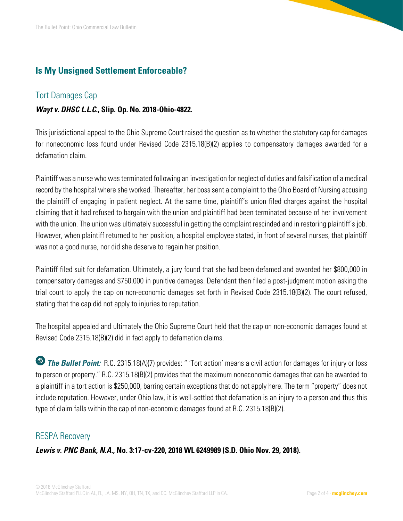# **Is My Unsigned Settlement Enforceable?**

# Tort Damages Cap

# *Wayt v. DHSC L.L.C***., Slip. Op. No. 2018-Ohio-4822.**

This jurisdictional appeal to the Ohio Supreme Court raised the question as to whether the statutory cap for damages for noneconomic loss found under Revised Code 2315.18(B)(2) applies to compensatory damages awarded for a defamation claim.

Plaintiff was a nurse who was terminated following an investigation for neglect of duties and falsification of a medical record by the hospital where she worked. Thereafter, her boss sent a complaint to the Ohio Board of Nursing accusing the plaintiff of engaging in patient neglect. At the same time, plaintiff's union filed charges against the hospital claiming that it had refused to bargain with the union and plaintiff had been terminated because of her involvement with the union. The union was ultimately successful in getting the complaint rescinded and in restoring plaintiff's job. However, when plaintiff returned to her position, a hospital employee stated, in front of several nurses, that plaintiff was not a good nurse, nor did she deserve to regain her position.

Plaintiff filed suit for defamation. Ultimately, a jury found that she had been defamed and awarded her \$800,000 in compensatory damages and \$750,000 in punitive damages. Defendant then filed a post-judgment motion asking the trial court to apply the cap on non-economic damages set forth in Revised Code 2315.18(B)(2). The court refused, stating that the cap did not apply to injuries to reputation.

The hospital appealed and ultimately the Ohio Supreme Court held that the cap on non-economic damages found at Revised Code 2315.18(B)(2) did in fact apply to defamation claims.

**The Bullet Point:** R.C. 2315.18(A)(7) provides: " 'Tort action' means a civil action for damages for injury or loss to person or property." R.C. 2315.18(B)(2) provides that the maximum noneconomic damages that can be awarded to a plaintiff in a tort action is \$250,000, barring certain exceptions that do not apply here. The term "property" does not include reputation. However, under Ohio law, it is well-settled that defamation is an injury to a person and thus this type of claim falls within the cap of non-economic damages found at R.C. 2315.18(B)(2).

# RESPA Recovery

*Lewis v. PNC Bank, N.A.,* **No. 3:17-cv-220, 2018 WL 6249989 (S.D. Ohio Nov. 29, 2018).**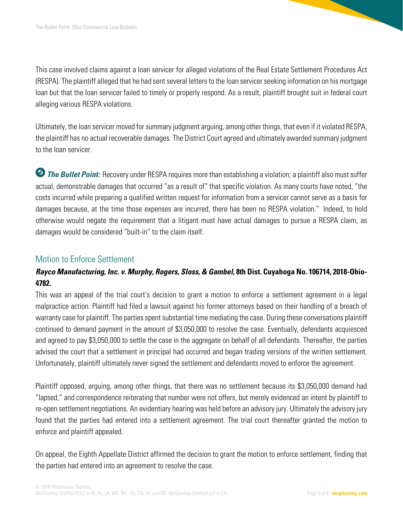This case involved claims against a loan servicer for alleged violations of the Real Estate Settlement Procedures Act (RESPA). The plaintiff alleged that he had sent several letters to the loan servicer seeking information on his mortgage loan but that the loan servicer failed to timely or properly respond. As a result, plaintiff brought suit in federal court alleging various RESPA violations.

Ultimately, the loan servicer moved for summary judgment arguing, among other things, that even if it violated RESPA, the plaintiff has no actual recoverable damages. The District Court agreed and ultimately awarded summary judgment to the loan servicer.

**The Bullet Point:** Recovery under RESPA requires more than establishing a violation; a plaintiff also must suffer actual, demonstrable damages that occurred "as a result of" that specific violation. As many courts have noted, "the costs incurred while preparing a qualified written request for information from a servicer cannot serve as a basis for damages because, at the time those expenses are incurred, there has been no RESPA violation." Indeed, to hold otherwise would negate the requirement that a litigant must have actual damages to pursue a RESPA claim, as damages would be considered "built-in" to the claim itself.

# Motion to Enforce Settlement

# *Rayco Manufacturing, Inc. v. Murphy, Rogers, Sloss, & Gambel***, 8th Dist. Cuyahoga No. 106714, 2018-Ohio-4782.**

This was an appeal of the trial court's decision to grant a motion to enforce a settlement agreement in a legal malpractice action. Plaintiff had filed a lawsuit against his former attorneys based on their handling of a breach of warranty case for plaintiff. The parties spent substantial time mediating the case. During these conversations plaintiff continued to demand payment in the amount of \$3,050,000 to resolve the case. Eventually, defendants acquiesced and agreed to pay \$3,050,000 to settle the case in the aggregate on behalf of all defendants. Thereafter, the parties advised the court that a settlement in principal had occurred and began trading versions of the written settlement. Unfortunately, plaintiff ultimately never signed the settlement and defendants moved to enforce the agreement.

Plaintiff opposed, arguing, among other things, that there was no settlement because its \$3,050,000 demand had "lapsed," and correspondence reiterating that number were not offers, but merely evidenced an intent by plaintiff to re-open settlement negotiations. An evidentiary hearing was held before an advisory jury. Ultimately the advisory jury found that the parties had entered into a settlement agreement. The trial court thereafter granted the motion to enforce and plaintiff appealed.

On appeal, the Eighth Appellate District affirmed the decision to grant the motion to enforce settlement, finding that the parties had entered into an agreement to resolve the case.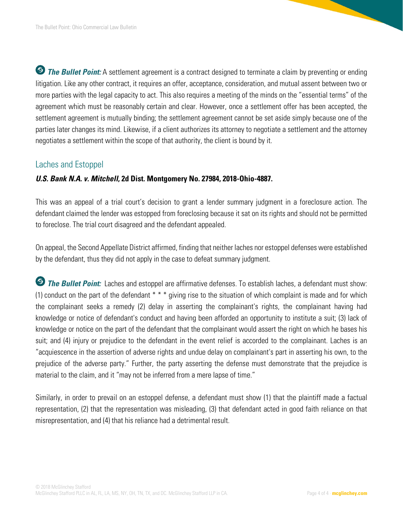**The Bullet Point:** A settlement agreement is a contract designed to terminate a claim by preventing or ending litigation. Like any other contract, it requires an offer, acceptance, consideration, and mutual assent between two or more parties with the legal capacity to act. This also requires a meeting of the minds on the "essential terms" of the agreement which must be reasonably certain and clear. However, once a settlement offer has been accepted, the settlement agreement is mutually binding; the settlement agreement cannot be set aside simply because one of the parties later changes its mind. Likewise, if a client authorizes its attorney to negotiate a settlement and the attorney negotiates a settlement within the scope of that authority, the client is bound by it.

# Laches and Estoppel

# *U.S. Bank N.A. v. Mitchell***, 2d Dist. Montgomery No. 27984, 2018-Ohio-4887.**

This was an appeal of a trial court's decision to grant a lender summary judgment in a foreclosure action. The defendant claimed the lender was estopped from foreclosing because it sat on its rights and should not be permitted to foreclose. The trial court disagreed and the defendant appealed.

On appeal, the Second Appellate District affirmed, finding that neither laches nor estoppel defenses were established by the defendant, thus they did not apply in the case to defeat summary judgment.

**The Bullet Point:** Laches and estoppel are affirmative defenses. To establish laches, a defendant must show: (1) conduct on the part of the defendant  $* * *$  giving rise to the situation of which complaint is made and for which the complainant seeks a remedy (2) delay in asserting the complainant's rights, the complainant having had knowledge or notice of defendant's conduct and having been afforded an opportunity to institute a suit; (3) lack of knowledge or notice on the part of the defendant that the complainant would assert the right on which he bases his suit; and (4) injury or prejudice to the defendant in the event relief is accorded to the complainant. Laches is an "acquiescence in the assertion of adverse rights and undue delay on complainant's part in asserting his own, to the prejudice of the adverse party." Further, the party asserting the defense must demonstrate that the prejudice is material to the claim, and it "may not be inferred from a mere lapse of time."

Similarly, in order to prevail on an estoppel defense, a defendant must show (1) that the plaintiff made a factual representation, (2) that the representation was misleading, (3) that defendant acted in good faith reliance on that misrepresentation, and (4) that his reliance had a detrimental result.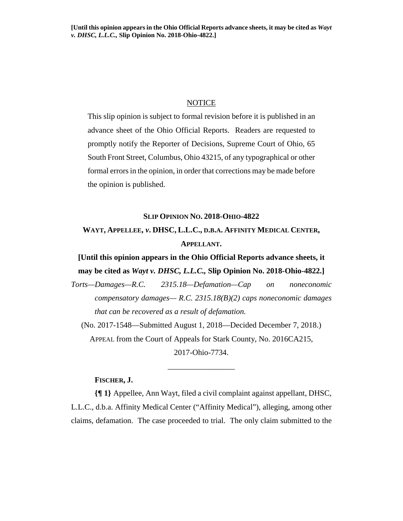## **NOTICE**

This slip opinion is subject to formal revision before it is published in an advance sheet of the Ohio Official Reports. Readers are requested to promptly notify the Reporter of Decisions, Supreme Court of Ohio, 65 South Front Street, Columbus, Ohio 43215, of any typographical or other formal errors in the opinion, in order that corrections may be made before the opinion is published.

### **SLIP OPINION NO. 2018-OHIO-4822**

# **WAYT, APPELLEE,** *v***. DHSC, L.L.C., D.B.A. AFFINITY MEDICAL CENTER, APPELLANT.**

# **[Until this opinion appears in the Ohio Official Reports advance sheets, it may be cited as** *Wayt v. DHSC, L.L.C.,* **Slip Opinion No. 2018-Ohio-4822.]**

*Torts—Damages—R.C. 2315.18—Defamation—Cap on noneconomic compensatory damages— R.C. 2315.18(B)(2) caps noneconomic damages that can be recovered as a result of defamation.* 

(No. 2017-1548—Submitted August 1, 2018—Decided December 7, 2018.) APPEAL from the Court of Appeals for Stark County, No. 2016CA215,

2017-Ohio-7734.

\_\_\_\_\_\_\_\_\_\_\_\_\_\_\_\_\_

# **FISCHER, J.**

**{¶ 1}** Appellee, Ann Wayt, filed a civil complaint against appellant, DHSC, L.L.C., d.b.a. Affinity Medical Center ("Affinity Medical"), alleging, among other claims, defamation. The case proceeded to trial. The only claim submitted to the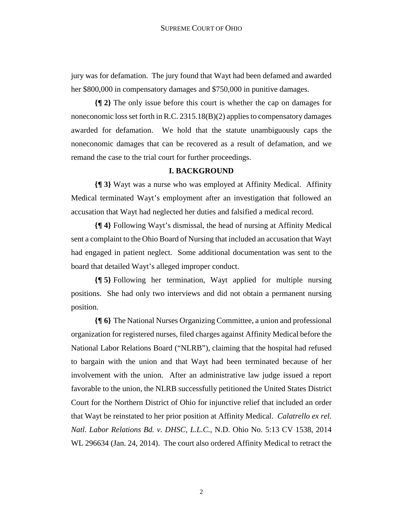jury was for defamation. The jury found that Wayt had been defamed and awarded her \$800,000 in compensatory damages and \$750,000 in punitive damages.

**{¶ 2}** The only issue before this court is whether the cap on damages for noneconomic loss set forth in R.C. 2315.18(B)(2) applies to compensatory damages awarded for defamation. We hold that the statute unambiguously caps the noneconomic damages that can be recovered as a result of defamation, and we remand the case to the trial court for further proceedings.

# **I. BACKGROUND**

**{¶ 3}** Wayt was a nurse who was employed at Affinity Medical. Affinity Medical terminated Wayt's employment after an investigation that followed an accusation that Wayt had neglected her duties and falsified a medical record.

**{¶ 4}** Following Wayt's dismissal, the head of nursing at Affinity Medical sent a complaint to the Ohio Board of Nursing that included an accusation that Wayt had engaged in patient neglect. Some additional documentation was sent to the board that detailed Wayt's alleged improper conduct.

**{¶ 5}** Following her termination, Wayt applied for multiple nursing positions. She had only two interviews and did not obtain a permanent nursing position.

**{¶ 6}** The National Nurses Organizing Committee, a union and professional organization for registered nurses, filed charges against Affinity Medical before the National Labor Relations Board ("NLRB"), claiming that the hospital had refused to bargain with the union and that Wayt had been terminated because of her involvement with the union. After an administrative law judge issued a report favorable to the union, the NLRB successfully petitioned the United States District Court for the Northern District of Ohio for injunctive relief that included an order that Wayt be reinstated to her prior position at Affinity Medical. *Calatrello ex rel. Natl. Labor Relations Bd. v. DHSC, L.L.C.*, N.D. Ohio No. 5:13 CV 1538, 2014 WL 296634 (Jan. 24, 2014). The court also ordered Affinity Medical to retract the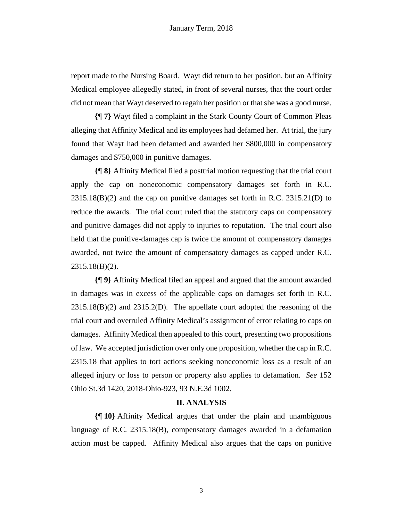report made to the Nursing Board. Wayt did return to her position, but an Affinity Medical employee allegedly stated, in front of several nurses, that the court order did not mean that Wayt deserved to regain her position or that she was a good nurse.

**{¶ 7}** Wayt filed a complaint in the Stark County Court of Common Pleas alleging that Affinity Medical and its employees had defamed her. At trial, the jury found that Wayt had been defamed and awarded her \$800,000 in compensatory damages and \$750,000 in punitive damages.

**{¶ 8}** Affinity Medical filed a posttrial motion requesting that the trial court apply the cap on noneconomic compensatory damages set forth in R.C.  $2315.18(B)(2)$  and the cap on punitive damages set forth in R.C.  $2315.21(D)$  to reduce the awards. The trial court ruled that the statutory caps on compensatory and punitive damages did not apply to injuries to reputation. The trial court also held that the punitive-damages cap is twice the amount of compensatory damages awarded, not twice the amount of compensatory damages as capped under R.C. 2315.18(B)(2).

**{¶ 9}** Affinity Medical filed an appeal and argued that the amount awarded in damages was in excess of the applicable caps on damages set forth in R.C. 2315.18(B)(2) and 2315.2(D). The appellate court adopted the reasoning of the trial court and overruled Affinity Medical's assignment of error relating to caps on damages. Affinity Medical then appealed to this court, presenting two propositions of law. We accepted jurisdiction over only one proposition, whether the cap in R.C. 2315.18 that applies to tort actions seeking noneconomic loss as a result of an alleged injury or loss to person or property also applies to defamation. *See* 152 Ohio St.3d 1420, 2018-Ohio-923, 93 N.E.3d 1002.

#### **II. ANALYSIS**

**{¶ 10}** Affinity Medical argues that under the plain and unambiguous language of R.C. 2315.18(B), compensatory damages awarded in a defamation action must be capped. Affinity Medical also argues that the caps on punitive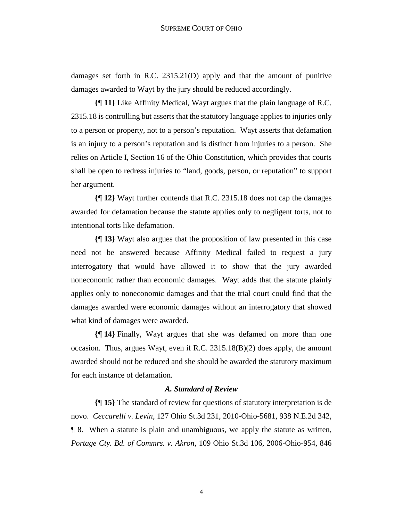damages set forth in R.C. 2315.21(D) apply and that the amount of punitive damages awarded to Wayt by the jury should be reduced accordingly.

**{¶ 11}** Like Affinity Medical, Wayt argues that the plain language of R.C. 2315.18 is controlling but asserts that the statutory language applies to injuries only to a person or property, not to a person's reputation. Wayt asserts that defamation is an injury to a person's reputation and is distinct from injuries to a person. She relies on Article I, Section 16 of the Ohio Constitution, which provides that courts shall be open to redress injuries to "land, goods, person, or reputation" to support her argument.

**{¶ 12}** Wayt further contends that R.C. 2315.18 does not cap the damages awarded for defamation because the statute applies only to negligent torts, not to intentional torts like defamation.

**{¶ 13}** Wayt also argues that the proposition of law presented in this case need not be answered because Affinity Medical failed to request a jury interrogatory that would have allowed it to show that the jury awarded noneconomic rather than economic damages. Wayt adds that the statute plainly applies only to noneconomic damages and that the trial court could find that the damages awarded were economic damages without an interrogatory that showed what kind of damages were awarded.

**{¶ 14}** Finally, Wayt argues that she was defamed on more than one occasion. Thus, argues Wayt, even if R.C. 2315.18(B)(2) does apply, the amount awarded should not be reduced and she should be awarded the statutory maximum for each instance of defamation.

### *A. Standard of Review*

**{¶ 15}** The standard of review for questions of statutory interpretation is de novo. *Ceccarelli v. Levin*, 127 Ohio St.3d 231, 2010-Ohio-5681, 938 N.E.2d 342, ¶ 8. When a statute is plain and unambiguous, we apply the statute as written, *Portage Cty. Bd. of Commrs. v. Akron*, 109 Ohio St.3d 106, 2006-Ohio-954, 846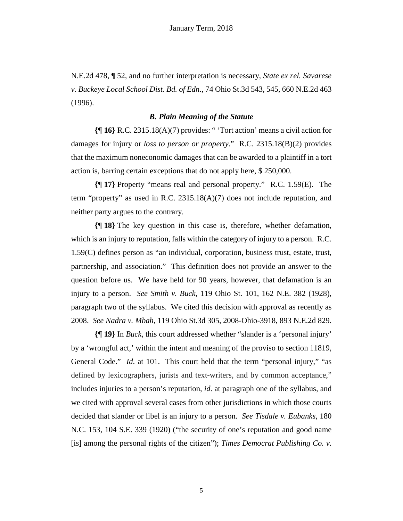N.E.2d 478, ¶ 52, and no further interpretation is necessary, *State ex rel. Savarese v. Buckeye Local School Dist. Bd. of Edn.*, 74 Ohio St.3d 543, 545, 660 N.E.2d 463 (1996).

# *B. Plain Meaning of the Statute*

**{¶ 16}** R.C. 2315.18(A)(7) provides: " 'Tort action' means a civil action for damages for injury or *loss to person or property*." R.C. 2315.18(B)(2) provides that the maximum noneconomic damages that can be awarded to a plaintiff in a tort action is, barring certain exceptions that do not apply here, \$ 250,000.

**{¶ 17}** Property "means real and personal property." R.C. 1.59(E). The term "property" as used in R.C. 2315.18(A)(7) does not include reputation, and neither party argues to the contrary.

**{¶ 18}** The key question in this case is, therefore, whether defamation, which is an injury to reputation, falls within the category of injury to a person. R.C. 1.59(C) defines person as "an individual, corporation, business trust, estate, trust, partnership, and association." This definition does not provide an answer to the question before us. We have held for 90 years, however, that defamation is an injury to a person. *See Smith v. Buck*, 119 Ohio St. 101, 162 N.E. 382 (1928), paragraph two of the syllabus. We cited this decision with approval as recently as 2008. *See Nadra v. Mbah*, 119 Ohio St.3d 305, 2008-Ohio-3918, 893 N.E.2d 829.

**{¶ 19}** In *Buck*, this court addressed whether "slander is a 'personal injury' by a 'wrongful act,' within the intent and meaning of the proviso to section 11819, General Code." *Id.* at 101. This court held that the term "personal injury," "as defined by lexicographers, jurists and text-writers, and by common acceptance," includes injuries to a person's reputation, *id*. at paragraph one of the syllabus, and we cited with approval several cases from other jurisdictions in which those courts decided that slander or libel is an injury to a person. *See Tisdale v. Eubanks*, 180 N.C. 153, 104 S.E. 339 (1920) ("the security of one's reputation and good name [is] among the personal rights of the citizen"); *Times Democrat Publishing Co. v.*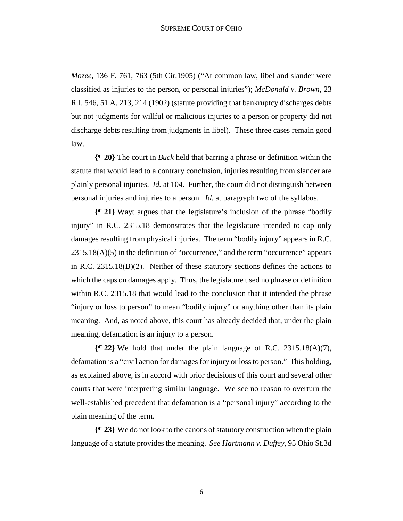*Mozee*, 136 F. 761, 763 (5th Cir.1905) ("At common law, libel and slander were classified as injuries to the person, or personal injuries"); *McDonald v. Brown*, 23 R.I. 546, 51 A. 213, 214 (1902) (statute providing that bankruptcy discharges debts but not judgments for willful or malicious injuries to a person or property did not discharge debts resulting from judgments in libel). These three cases remain good law.

**{¶ 20}** The court in *Buck* held that barring a phrase or definition within the statute that would lead to a contrary conclusion, injuries resulting from slander are plainly personal injuries. *Id.* at 104. Further, the court did not distinguish between personal injuries and injuries to a person. *Id.* at paragraph two of the syllabus.

**{¶ 21}** Wayt argues that the legislature's inclusion of the phrase "bodily injury" in R.C. 2315.18 demonstrates that the legislature intended to cap only damages resulting from physical injuries. The term "bodily injury" appears in R.C. 2315.18(A)(5) in the definition of "occurrence," and the term "occurrence" appears in R.C. 2315.18(B)(2). Neither of these statutory sections defines the actions to which the caps on damages apply. Thus, the legislature used no phrase or definition within R.C. 2315.18 that would lead to the conclusion that it intended the phrase "injury or loss to person" to mean "bodily injury" or anything other than its plain meaning. And, as noted above, this court has already decided that, under the plain meaning, defamation is an injury to a person.

**{¶ 22}** We hold that under the plain language of R.C. 2315.18(A)(7), defamation is a "civil action for damages for injury or loss to person." This holding, as explained above, is in accord with prior decisions of this court and several other courts that were interpreting similar language. We see no reason to overturn the well-established precedent that defamation is a "personal injury" according to the plain meaning of the term.

**{¶ 23}** We do not look to the canons of statutory construction when the plain language of a statute provides the meaning. *See Hartmann v. Duffey,* 95 Ohio St.3d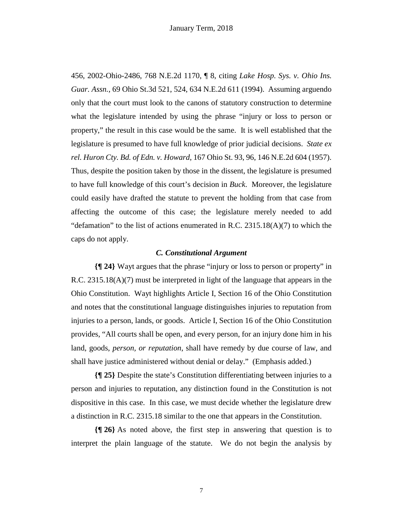456, 2002-Ohio-2486, 768 N.E.2d 1170, ¶ 8, citing *Lake Hosp. Sys. v. Ohio Ins. Guar. Assn.*, 69 Ohio St.3d 521, 524, 634 N.E.2d 611 (1994). Assuming arguendo only that the court must look to the canons of statutory construction to determine what the legislature intended by using the phrase "injury or loss to person or property," the result in this case would be the same. It is well established that the legislature is presumed to have full knowledge of prior judicial decisions. *State ex rel. Huron Cty. Bd. of Edn. v. Howard*, 167 Ohio St. 93, 96, 146 N.E.2d 604 (1957). Thus, despite the position taken by those in the dissent, the legislature is presumed to have full knowledge of this court's decision in *Buck*. Moreover, the legislature could easily have drafted the statute to prevent the holding from that case from affecting the outcome of this case; the legislature merely needed to add "defamation" to the list of actions enumerated in R.C.  $2315.18(A)(7)$  to which the caps do not apply.

# *C. Constitutional Argument*

**{¶ 24}** Wayt argues that the phrase "injury or loss to person or property" in R.C. 2315.18(A)(7) must be interpreted in light of the language that appears in the Ohio Constitution. Wayt highlights Article I, Section 16 of the Ohio Constitution and notes that the constitutional language distinguishes injuries to reputation from injuries to a person, lands, or goods. Article I, Section 16 of the Ohio Constitution provides, "All courts shall be open, and every person, for an injury done him in his land, goods, *person, or reputation*, shall have remedy by due course of law, and shall have justice administered without denial or delay." (Emphasis added.)

**{¶ 25}** Despite the state's Constitution differentiating between injuries to a person and injuries to reputation, any distinction found in the Constitution is not dispositive in this case. In this case, we must decide whether the legislature drew a distinction in R.C. 2315.18 similar to the one that appears in the Constitution.

**{¶ 26}** As noted above, the first step in answering that question is to interpret the plain language of the statute. We do not begin the analysis by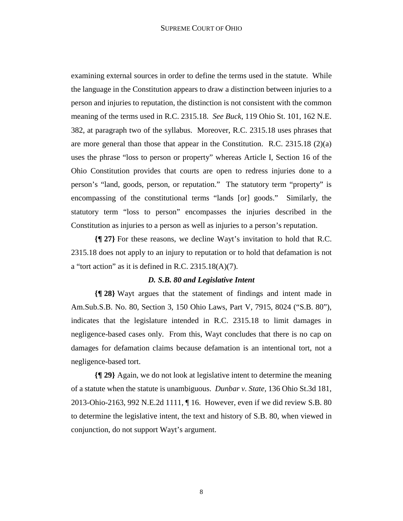examining external sources in order to define the terms used in the statute. While the language in the Constitution appears to draw a distinction between injuries to a person and injuries to reputation, the distinction is not consistent with the common meaning of the terms used in R.C. 2315.18. *See Buck*, 119 Ohio St. 101, 162 N.E. 382, at paragraph two of the syllabus. Moreover, R.C. 2315.18 uses phrases that are more general than those that appear in the Constitution. R.C. 2315.18 (2)(a) uses the phrase "loss to person or property" whereas Article I, Section 16 of the Ohio Constitution provides that courts are open to redress injuries done to a person's "land, goods, person, or reputation." The statutory term "property" is encompassing of the constitutional terms "lands [or] goods." Similarly, the statutory term "loss to person" encompasses the injuries described in the Constitution as injuries to a person as well as injuries to a person's reputation.

**{¶ 27}** For these reasons, we decline Wayt's invitation to hold that R.C. 2315.18 does not apply to an injury to reputation or to hold that defamation is not a "tort action" as it is defined in R.C.  $2315.18(A)(7)$ .

## *D. S.B. 80 and Legislative Intent*

**{¶ 28}** Wayt argues that the statement of findings and intent made in Am.Sub.S.B. No. 80, Section 3, 150 Ohio Laws, Part V, 7915, 8024 ("S.B. 80"), indicates that the legislature intended in R.C. 2315.18 to limit damages in negligence-based cases only. From this, Wayt concludes that there is no cap on damages for defamation claims because defamation is an intentional tort, not a negligence-based tort.

**{¶ 29}** Again, we do not look at legislative intent to determine the meaning of a statute when the statute is unambiguous. *Dunbar v. State,* 136 Ohio St.3d 181, 2013-Ohio-2163, 992 N.E.2d 1111, ¶ 16. However, even if we did review S.B. 80 to determine the legislative intent, the text and history of S.B. 80, when viewed in conjunction, do not support Wayt's argument.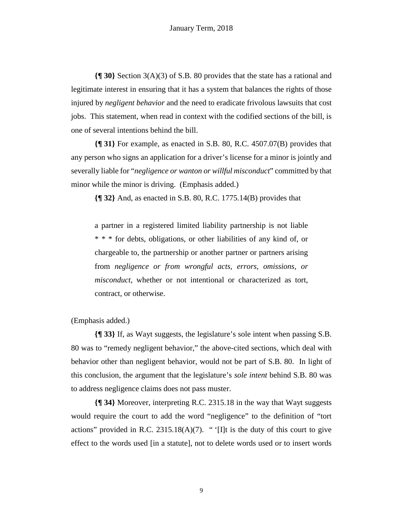**{¶ 30}** Section 3(A)(3) of S.B. 80 provides that the state has a rational and legitimate interest in ensuring that it has a system that balances the rights of those injured by *negligent behavior* and the need to eradicate frivolous lawsuits that cost jobs. This statement, when read in context with the codified sections of the bill, is one of several intentions behind the bill.

**{¶ 31}** For example, as enacted in S.B. 80, R.C. 4507.07(B) provides that any person who signs an application for a driver's license for a minor is jointly and severally liable for "*negligence or wanton or willful misconduct*" committed by that minor while the minor is driving. (Emphasis added.)

**{¶ 32}** And, as enacted in S.B. 80, R.C. 1775.14(B) provides that

a partner in a registered limited liability partnership is not liable \* \* \* for debts, obligations, or other liabilities of any kind of, or chargeable to, the partnership or another partner or partners arising from *negligence or from wrongful acts, errors, omissions, or misconduct*, whether or not intentional or characterized as tort, contract, or otherwise.

(Emphasis added.)

**{¶ 33}** If, as Wayt suggests, the legislature's sole intent when passing S.B. 80 was to "remedy negligent behavior," the above-cited sections, which deal with behavior other than negligent behavior, would not be part of S.B. 80. In light of this conclusion, the argument that the legislature's *sole intent* behind S.B. 80 was to address negligence claims does not pass muster.

**{¶ 34}** Moreover, interpreting R.C. 2315.18 in the way that Wayt suggests would require the court to add the word "negligence" to the definition of "tort actions" provided in R.C. 2315.18(A)(7). " '[I]t is the duty of this court to give effect to the words used [in a statute], not to delete words used or to insert words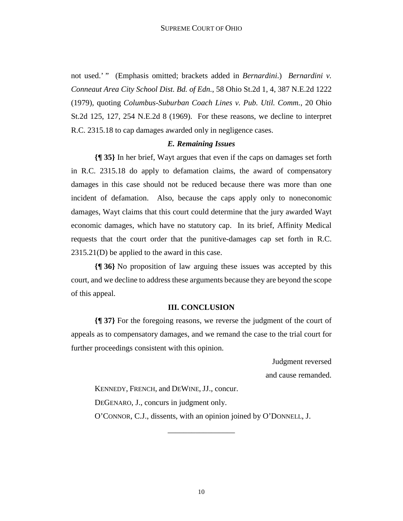not used.' " (Emphasis omitted; brackets added in *Bernardini*.) *Bernardini v. Conneaut Area City School Dist. Bd. of Edn.*, 58 Ohio St.2d 1, 4, 387 N.E.2d 1222 (1979), quoting *Columbus-Suburban Coach Lines v. Pub. Util. Comm.*, 20 Ohio St.2d 125, 127, 254 N.E.2d 8 (1969). For these reasons, we decline to interpret R.C. 2315.18 to cap damages awarded only in negligence cases.

#### *E. Remaining Issues*

**{¶ 35}** In her brief, Wayt argues that even if the caps on damages set forth in R.C. 2315.18 do apply to defamation claims, the award of compensatory damages in this case should not be reduced because there was more than one incident of defamation. Also, because the caps apply only to noneconomic damages, Wayt claims that this court could determine that the jury awarded Wayt economic damages, which have no statutory cap. In its brief, Affinity Medical requests that the court order that the punitive-damages cap set forth in R.C. 2315.21(D) be applied to the award in this case.

**{¶ 36}** No proposition of law arguing these issues was accepted by this court, and we decline to address these arguments because they are beyond the scope of this appeal.

#### **III. CONCLUSION**

**{¶ 37}** For the foregoing reasons, we reverse the judgment of the court of appeals as to compensatory damages, and we remand the case to the trial court for further proceedings consistent with this opinion.

Judgment reversed

and cause remanded.

KENNEDY, FRENCH, and DEWINE, JJ., concur. DEGENARO, J., concurs in judgment only. O'CONNOR, C.J., dissents, with an opinion joined by O'DONNELL, J.

\_\_\_\_\_\_\_\_\_\_\_\_\_\_\_\_\_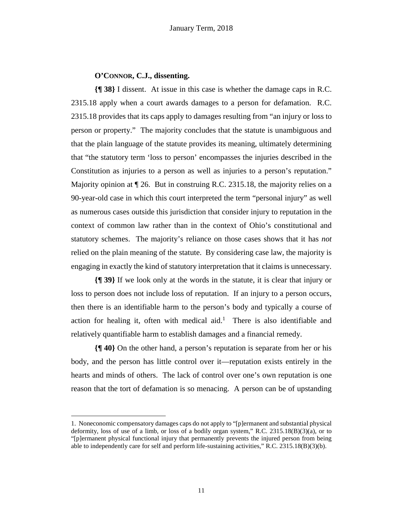# **O'CONNOR, C.J., dissenting.**

**{¶ 38}** I dissent. At issue in this case is whether the damage caps in R.C. 2315.18 apply when a court awards damages to a person for defamation. R.C. 2315.18 provides that its caps apply to damages resulting from "an injury or loss to person or property." The majority concludes that the statute is unambiguous and that the plain language of the statute provides its meaning, ultimately determining that "the statutory term 'loss to person' encompasses the injuries described in the Constitution as injuries to a person as well as injuries to a person's reputation." Majority opinion at  $\P$  26. But in construing R.C. 2315.18, the majority relies on a 90-year-old case in which this court interpreted the term "personal injury" as well as numerous cases outside this jurisdiction that consider injury to reputation in the context of common law rather than in the context of Ohio's constitutional and statutory schemes. The majority's reliance on those cases shows that it has *not*  relied on the plain meaning of the statute. By considering case law, the majority is engaging in exactly the kind of statutory interpretation that it claims is unnecessary.

**{¶ 39}** If we look only at the words in the statute, it is clear that injury or loss to person does not include loss of reputation. If an injury to a person occurs, then there is an identifiable harm to the person's body and typically a course of action for healing it, often with medical aid.<sup>1</sup> There is also identifiable and relatively quantifiable harm to establish damages and a financial remedy.

**{¶ 40}** On the other hand, a person's reputation is separate from her or his body, and the person has little control over it—reputation exists entirely in the hearts and minds of others. The lack of control over one's own reputation is one reason that the tort of defamation is so menacing. A person can be of upstanding

1

<sup>1.</sup> Noneconomic compensatory damages caps do not apply to "[p]ermanent and substantial physical deformity, loss of use of a limb, or loss of a bodily organ system," R.C. 2315.18(B)(3)(a), or to "[p]ermanent physical functional injury that permanently prevents the injured person from being able to independently care for self and perform life-sustaining activities," R.C. 2315.18(B)(3)(b).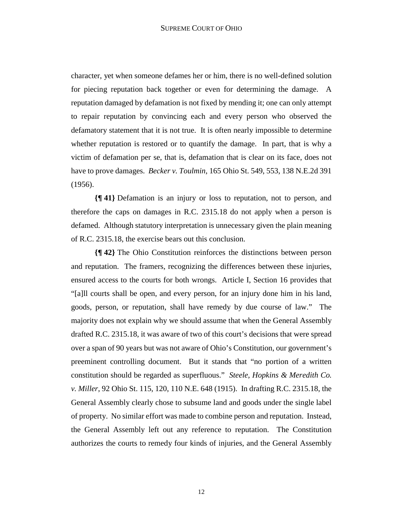character, yet when someone defames her or him, there is no well-defined solution for piecing reputation back together or even for determining the damage. A reputation damaged by defamation is not fixed by mending it; one can only attempt to repair reputation by convincing each and every person who observed the defamatory statement that it is not true. It is often nearly impossible to determine whether reputation is restored or to quantify the damage. In part, that is why a victim of defamation per se, that is, defamation that is clear on its face, does not have to prove damages. *Becker v. Toulmin*, 165 Ohio St. 549, 553, 138 N.E.2d 391 (1956).

**{¶ 41}** Defamation is an injury or loss to reputation, not to person, and therefore the caps on damages in R.C. 2315.18 do not apply when a person is defamed. Although statutory interpretation is unnecessary given the plain meaning of R.C. 2315.18, the exercise bears out this conclusion.

**{¶ 42}** The Ohio Constitution reinforces the distinctions between person and reputation. The framers, recognizing the differences between these injuries, ensured access to the courts for both wrongs. Article I, Section 16 provides that "[a]ll courts shall be open, and every person, for an injury done him in his land, goods, person, or reputation, shall have remedy by due course of law." The majority does not explain why we should assume that when the General Assembly drafted R.C. 2315.18, it was aware of two of this court's decisions that were spread over a span of 90 years but was not aware of Ohio's Constitution, our government's preeminent controlling document. But it stands that "no portion of a written constitution should be regarded as superfluous." *Steele, Hopkins & Meredith Co. v. Miller*, 92 Ohio St. 115, 120, 110 N.E. 648 (1915). In drafting R.C. 2315.18, the General Assembly clearly chose to subsume land and goods under the single label of property. No similar effort was made to combine person and reputation. Instead, the General Assembly left out any reference to reputation. The Constitution authorizes the courts to remedy four kinds of injuries, and the General Assembly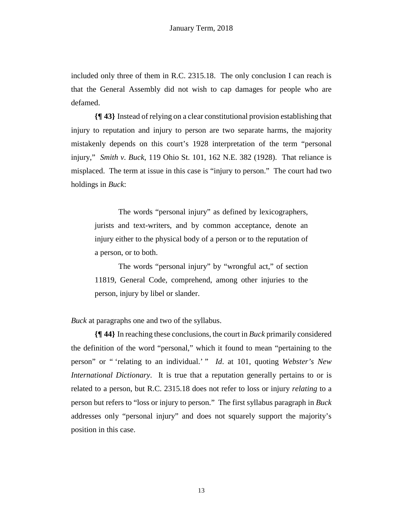included only three of them in R.C. 2315.18. The only conclusion I can reach is that the General Assembly did not wish to cap damages for people who are defamed.

**{¶ 43}** Instead of relying on a clear constitutional provision establishing that injury to reputation and injury to person are two separate harms, the majority mistakenly depends on this court's 1928 interpretation of the term "personal injury," *Smith v. Buck*, 119 Ohio St. 101, 162 N.E. 382 (1928). That reliance is misplaced. The term at issue in this case is "injury to person." The court had two holdings in *Buck*:

The words "personal injury" as defined by lexicographers, jurists and text-writers, and by common acceptance, denote an injury either to the physical body of a person or to the reputation of a person, or to both.

The words "personal injury" by "wrongful act," of section 11819, General Code, comprehend, among other injuries to the person, injury by libel or slander.

*Buck* at paragraphs one and two of the syllabus.

**{¶ 44}** In reaching these conclusions, the court in *Buck* primarily considered the definition of the word "personal," which it found to mean "pertaining to the person" or " 'relating to an individual.' " *Id*. at 101, quoting *Webster's New International Dictionary*. It is true that a reputation generally pertains to or is related to a person, but R.C. 2315.18 does not refer to loss or injury *relating* to a person but refers to "loss or injury to person." The first syllabus paragraph in *Buck*  addresses only "personal injury" and does not squarely support the majority's position in this case.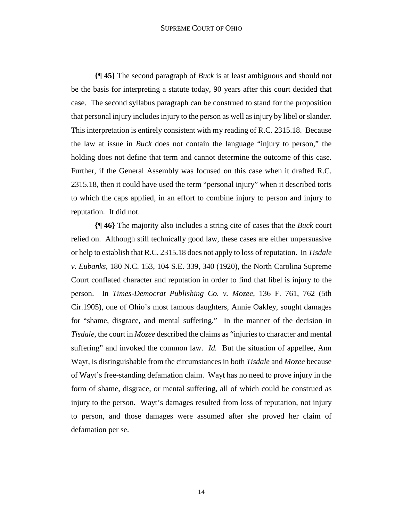#### SUPREME COURT OF OHIO

**{¶ 45}** The second paragraph of *Buck* is at least ambiguous and should not be the basis for interpreting a statute today, 90 years after this court decided that case. The second syllabus paragraph can be construed to stand for the proposition that personal injury includes injury to the person as well as injury by libel or slander. This interpretation is entirely consistent with my reading of R.C. 2315.18. Because the law at issue in *Buck* does not contain the language "injury to person," the holding does not define that term and cannot determine the outcome of this case. Further, if the General Assembly was focused on this case when it drafted R.C. 2315.18, then it could have used the term "personal injury" when it described torts to which the caps applied, in an effort to combine injury to person and injury to reputation. It did not.

**{¶ 46}** The majority also includes a string cite of cases that the *Buck* court relied on. Although still technically good law, these cases are either unpersuasive or help to establish that R.C. 2315.18 does not apply to loss of reputation. In *Tisdale v. Eubanks*, 180 N.C. 153, 104 S.E. 339, 340 (1920), the North Carolina Supreme Court conflated character and reputation in order to find that libel is injury to the person. In *Times-Democrat Publishing Co. v. Mozee*, 136 F. 761, 762 (5th Cir.1905), one of Ohio's most famous daughters, Annie Oakley, sought damages for "shame, disgrace, and mental suffering." In the manner of the decision in *Tisdale*, the court in *Mozee* described the claims as "injuries to character and mental suffering" and invoked the common law. *Id.* But the situation of appellee, Ann Wayt, is distinguishable from the circumstances in both *Tisdale* and *Mozee* because of Wayt's free-standing defamation claim. Wayt has no need to prove injury in the form of shame, disgrace, or mental suffering, all of which could be construed as injury to the person. Wayt's damages resulted from loss of reputation, not injury to person, and those damages were assumed after she proved her claim of defamation per se.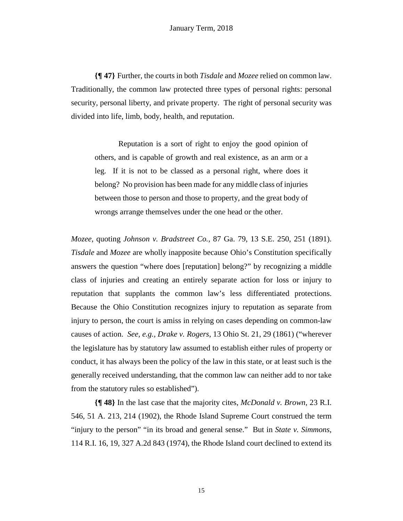**{¶ 47}** Further, the courts in both *Tisdale* and *Mozee* relied on common law. Traditionally, the common law protected three types of personal rights: personal security, personal liberty, and private property. The right of personal security was divided into life, limb, body, health, and reputation.

Reputation is a sort of right to enjoy the good opinion of others, and is capable of growth and real existence, as an arm or a leg. If it is not to be classed as a personal right, where does it belong? No provision has been made for any middle class of injuries between those to person and those to property, and the great body of wrongs arrange themselves under the one head or the other.

*Mozee,* quoting *Johnson v. Bradstreet Co.,* 87 Ga. 79, 13 S.E. 250, 251 (1891). *Tisdale* and *Mozee* are wholly inapposite because Ohio's Constitution specifically answers the question "where does [reputation] belong?" by recognizing a middle class of injuries and creating an entirely separate action for loss or injury to reputation that supplants the common law's less differentiated protections. Because the Ohio Constitution recognizes injury to reputation as separate from injury to person, the court is amiss in relying on cases depending on common-law causes of action. *See, e.g., Drake v. Rogers*, 13 Ohio St. 21, 29 (1861) ("wherever the legislature has by statutory law assumed to establish either rules of property or conduct, it has always been the policy of the law in this state, or at least such is the generally received understanding, that the common law can neither add to nor take from the statutory rules so established").

**{¶ 48}** In the last case that the majority cites, *McDonald v. Brown*, 23 R.I. 546, 51 A. 213, 214 (1902), the Rhode Island Supreme Court construed the term "injury to the person" "in its broad and general sense." But in *State v. Simmons,*  114 R.I. 16, 19, 327 A.2d 843 (1974), the Rhode Island court declined to extend its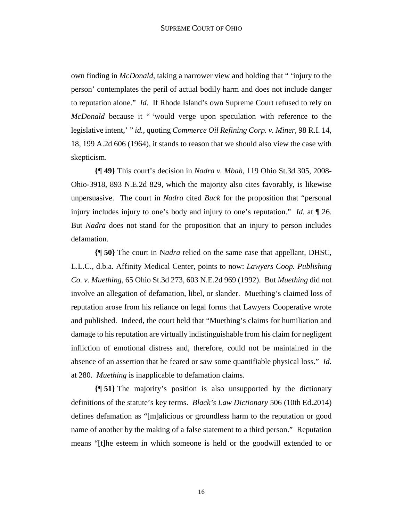own finding in *McDonald*, taking a narrower view and holding that " 'injury to the person' contemplates the peril of actual bodily harm and does not include danger to reputation alone." *Id*. If Rhode Island's own Supreme Court refused to rely on *McDonald* because it " 'would verge upon speculation with reference to the legislative intent,' " *id.*, quoting *Commerce Oil Refining Corp. v. Miner*, 98 R.I. 14, 18, 199 A.2d 606 (1964), it stands to reason that we should also view the case with skepticism.

**{¶ 49}** This court's decision in *Nadra v. Mbah*, 119 Ohio St.3d 305, 2008- Ohio-3918, 893 N.E.2d 829, which the majority also cites favorably, is likewise unpersuasive. The court in *Nadra* cited *Buck* for the proposition that "personal injury includes injury to one's body and injury to one's reputation." *Id.* at ¶ 26. But *Nadra* does not stand for the proposition that an injury to person includes defamation.

**{¶ 50}** The court in N*adra* relied on the same case that appellant, DHSC, L.L.C., d.b.a. Affinity Medical Center, points to now: *Lawyers Coop. Publishing Co. v. Muething*, 65 Ohio St.3d 273, 603 N.E.2d 969 (1992). But *Muething* did not involve an allegation of defamation, libel, or slander. Muething's claimed loss of reputation arose from his reliance on legal forms that Lawyers Cooperative wrote and published. Indeed, the court held that "Muething's claims for humiliation and damage to his reputation are virtually indistinguishable from his claim for negligent infliction of emotional distress and, therefore, could not be maintained in the absence of an assertion that he feared or saw some quantifiable physical loss." *Id.*  at 280. *Muething* is inapplicable to defamation claims.

**{¶ 51}** The majority's position is also unsupported by the dictionary definitions of the statute's key terms. *Black's Law Dictionary* 506 (10th Ed.2014) defines defamation as "[m]alicious or groundless harm to the reputation or good name of another by the making of a false statement to a third person." Reputation means "[t]he esteem in which someone is held or the goodwill extended to or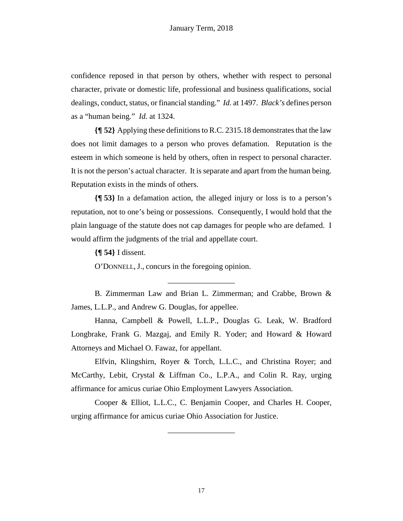confidence reposed in that person by others, whether with respect to personal character, private or domestic life, professional and business qualifications, social dealings, conduct, status, or financial standing." *Id.* at 1497. *Black's* defines person as a "human being." *Id.* at 1324.

**{¶ 52}** Applying these definitions to R.C. 2315.18 demonstrates that the law does not limit damages to a person who proves defamation. Reputation is the esteem in which someone is held by others, often in respect to personal character. It is not the person's actual character. It is separate and apart from the human being. Reputation exists in the minds of others.

**{¶ 53}** In a defamation action, the alleged injury or loss is to a person's reputation, not to one's being or possessions. Consequently, I would hold that the plain language of the statute does not cap damages for people who are defamed. I would affirm the judgments of the trial and appellate court.

**{¶ 54}** I dissent.

O'DONNELL, J., concurs in the foregoing opinion.

B. Zimmerman Law and Brian L. Zimmerman; and Crabbe, Brown & James, L.L.P., and Andrew G. Douglas, for appellee.

\_\_\_\_\_\_\_\_\_\_\_\_\_\_\_\_\_

Hanna, Campbell & Powell, L.L.P., Douglas G. Leak, W. Bradford Longbrake, Frank G. Mazgaj, and Emily R. Yoder; and Howard & Howard Attorneys and Michael O. Fawaz, for appellant.

Elfvin, Klingshirn, Royer & Torch, L.L.C., and Christina Royer; and McCarthy, Lebit, Crystal & Liffman Co., L.P.A., and Colin R. Ray, urging affirmance for amicus curiae Ohio Employment Lawyers Association.

Cooper & Elliot, L.L.C., C. Benjamin Cooper, and Charles H. Cooper, urging affirmance for amicus curiae Ohio Association for Justice.

\_\_\_\_\_\_\_\_\_\_\_\_\_\_\_\_\_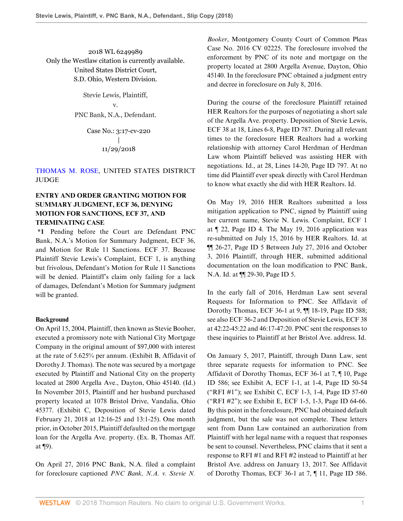2018 WL 6249989 Only the Westlaw citation is currently available. United States District Court, S.D. Ohio, Western Division.

> Stevie Lewis, Plaintiff, v. PNC Bank, N.A., Defendant.

> > Case No.: 3:17-cv-220 | 11/29/2018

# [THOMAS M. ROSE,](http://www.westlaw.com/Link/Document/FullText?findType=h&pubNum=176284&cite=0183463801&originatingDoc=Iaffaa270f48b11e8a573b12ad1dad226&refType=RQ&originationContext=document&vr=3.0&rs=cblt1.0&transitionType=DocumentItem&contextData=(sc.AlertsClip)) UNITED STATES DISTRICT JUDGE

# **ENTRY AND ORDER GRANTING MOTION FOR SUMMARY JUDGMENT, ECF 36, DENYING MOTION FOR SANCTIONS, ECF 37, AND TERMINATING CASE**

**\*1** Pending before the Court are Defendant PNC Bank, N.A.'s Motion for Summary Judgment, ECF 36, and Motion for Rule 11 Sanctions. ECF 37. Because Plaintiff Stevie Lewis's Complaint, ECF 1, is anything but frivolous, Defendant's Motion for Rule 11 Sanctions will be denied. Plaintiff's claim only failing for a lack of damages, Defendant's Motion for Summary judgment will be granted.

#### **Background**

On April 15, 2004, Plaintiff, then known as Stevie Booher, executed a promissory note with National City Mortgage Company in the original amount of \$97,000 with interest at the rate of 5.625% per annum. (Exhibit B, Affidavit of Dorothy J. Thomas). The note was secured by a mortgage executed by Plaintiff and National City on the property located at 2800 Argella Ave., Dayton, Ohio 45140. (Id.) In November 2015, Plaintiff and her husband purchased property located at 1078 Bristol Drive, Vandalia, Ohio 45377. (Exhibit C, Deposition of Stevie Lewis dated February 21, 2018 at 12:16-25 and 13:1-25). One month prior, in October 2015, Plaintiff defaulted on the mortgage loan for the Argella Ave. property. (Ex. B, Thomas Aff. at ¶9).

On April 27, 2016 PNC Bank, N.A. filed a complaint for foreclosure captioned *PNC Bank, N.A. v. Stevie N.*

*Booker*, Montgomery County Court of Common Pleas Case No. 2016 CV 02225. The foreclosure involved the enforcement by PNC of its note and mortgage on the property located at 2800 Argella Avenue, Dayton, Ohio 45140. In the foreclosure PNC obtained a judgment entry and decree in foreclosure on July 8, 2016.

During the course of the foreclosure Plaintiff retained HER Realtors for the purposes of negotiating a short sale of the Argella Ave. property. Deposition of Stevie Lewis, ECF 38 at 18, Lines 6-8, Page ID 787. During all relevant times to the foreclosure HER Realtors had a working relationship with attorney Carol Herdman of Herdman Law whom Plaintiff believed was assisting HER with negotiations. Id., at 28, Lines 14-20, Page ID 797. At no time did Plaintiff ever speak directly with Carol Herdman to know what exactly she did with HER Realtors. Id.

On May 19, 2016 HER Realtors submitted a loss mitigation application to PNC, signed by Plaintiff using her current name, Stevie N. Lewis. Complaint, ECF 1 at ¶ 22, Page ID 4. The May 19, 2016 application was re-submitted on July 15, 2016 by HER Realtors. Id. at ¶¶ 26-27, Page ID 5 Between July 27, 2016 and October 3, 2016 Plaintiff, through HER, submitted additional documentation on the loan modification to PNC Bank, N.A. Id. at ¶¶ 29-30, Page ID 5.

In the early fall of 2016, Herdman Law sent several Requests for Information to PNC. See Affidavit of Dorothy Thomas, ECF 36-1 at 9, ¶¶ 18-19, Page ID 588; see also ECF 36-2 and Deposition of Stevie Lewis, ECF 38 at 42:22-45:22 and 46:17-47:20. PNC sent the responses to these inquiries to Plaintiff at her Bristol Ave. address. Id.

On January 5, 2017, Plaintiff, through Dann Law, sent three separate requests for information to PNC. See Affidavit of Dorothy Thomas, ECF 36-1 at 7, ¶ 10, Page ID 586; see Exhibit A, ECF 1-1, at 1-4, Page ID 50-54 ("RFI #1"); see Exhibit C, ECF 1-3, 1-4, Page ID 57-60 ("RFI #2"); see Exhibit E, ECF 1-5, 1-3, Page ID 64-66. By this point in the foreclosure, PNC had obtained default judgment, but the sale was not complete. These letters sent from Dann Law contained an authorization from Plaintiff with her legal name with a request that responses be sent to counsel. Nevertheless, PNC claims that it sent a response to RFI #1 and RFI #2 instead to Plaintiff at her Bristol Ave. address on January 13, 2017. See Affidavit of Dorothy Thomas, ECF 36-1 at 7, ¶ 11, Page ID 586.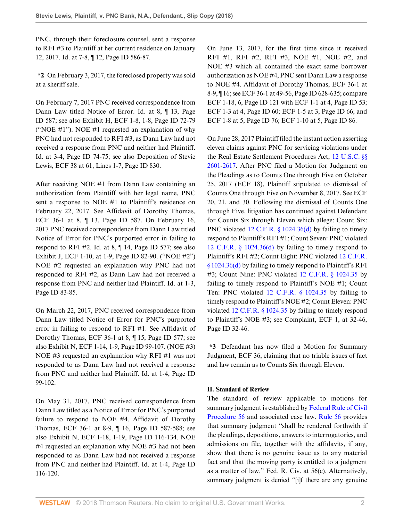PNC, through their foreclosure counsel, sent a response to RFI #3 to Plaintiff at her current residence on January 12, 2017. Id. at 7-8, ¶ 12, Page ID 586-87.

**\*2** On February 3, 2017, the foreclosed property was sold at a sheriff sale.

On February 7, 2017 PNC received correspondence from Dann Law titled Notice of Error. Id. at 8, ¶ 13, Page ID 587; see also Exhibit H, ECF 1-8, 1-8, Page ID 72-79 ("NOE #1"). NOE #1 requested an explanation of why PNC had not responded to RFI #3, as Dann Law had not received a response from PNC and neither had Plaintiff. Id. at 3-4, Page ID 74-75; see also Deposition of Stevie Lewis, ECF 38 at 61, Lines 1-7, Page ID 830.

After receiving NOE #1 from Dann Law containing an authorization from Plaintiff with her legal name, PNC sent a response to NOE #1 to Plaintiff's residence on February 22, 2017. See Affidavit of Dorothy Thomas, ECF 36-1 at 8, ¶ 13, Page ID 587. On February 16, 2017 PNC received correspondence from Dann Law titled Notice of Error for PNC's purported error in failing to respond to RFI #2. Id. at 8, ¶ 14, Page ID 577; see also Exhibit J, ECF 1-10, at 1-9, Page ID 82-90. ("NOE #2") NOE #2 requested an explanation why PNC had not responded to RFI #2, as Dann Law had not received a response from PNC and neither had Plaintiff. Id. at 1-3, Page ID 83-85.

On March 22, 2017, PNC received correspondence from Dann Law titled Notice of Error for PNC's purported error in failing to respond to RFI #1. See Affidavit of Dorothy Thomas, ECF 36-1 at 8, ¶ 15, Page ID 577; see also Exhibit N, ECF 1-14, 1-9, Page ID 99-107. (NOE #3) NOE #3 requested an explanation why RFI #1 was not responded to as Dann Law had not received a response from PNC and neither had Plaintiff. Id. at 1-4, Page ID 99-102.

On May 31, 2017, PNC received correspondence from Dann Law titled as a Notice of Error for PNC's purported failure to respond to NOE #4. Affidavit of Dorothy Thomas, ECF 36-1 at 8-9, ¶ 16, Page ID 587-588; see also Exhibit N, ECF 1-18, 1-19, Page ID 116-134. NOE #4 requested an explanation why NOE #3 had not been responded to as Dann Law had not received a response from PNC and neither had Plaintiff. Id. at 1-4, Page ID 116-120.

On June 13, 2017, for the first time since it received RFI #1, RFI #2, RFI #3, NOE #1, NOE #2, and NOE #3 which all contained the exact same borrower authorization as NOE #4, PNC sent Dann Law a response to NOE #4. Affidavit of Dorothy Thomas, ECF 36-1 at 8-9, ¶ 16; see ECF 36-1 at 49-56, Page ID 628-635; compare ECF 1-18, 6, Page ID 121 with ECF 1-1 at 4, Page ID 53; ECF 1-3 at 4, Page ID 60; ECF 1-5 at 3, Page ID 66; and ECF 1-8 at 5, Page ID 76; ECF 1-10 at 5, Page ID 86.

On June 28, 2017 Plaintiff filed the instant action asserting eleven claims against PNC for servicing violations under the Real Estate Settlement Procedures Act, [12 U.S.C. §§](http://www.westlaw.com/Link/Document/FullText?findType=L&pubNum=1000546&cite=12USCAS2601&originatingDoc=Iaffaa270f48b11e8a573b12ad1dad226&refType=LQ&originationContext=document&vr=3.0&rs=cblt1.0&transitionType=DocumentItem&contextData=(sc.AlertsClip)) [2601](http://www.westlaw.com/Link/Document/FullText?findType=L&pubNum=1000546&cite=12USCAS2601&originatingDoc=Iaffaa270f48b11e8a573b12ad1dad226&refType=LQ&originationContext=document&vr=3.0&rs=cblt1.0&transitionType=DocumentItem&contextData=(sc.AlertsClip))[-2617](http://www.westlaw.com/Link/Document/FullText?findType=L&pubNum=1000546&cite=12USCAS2617&originatingDoc=Iaffaa270f48b11e8a573b12ad1dad226&refType=LQ&originationContext=document&vr=3.0&rs=cblt1.0&transitionType=DocumentItem&contextData=(sc.AlertsClip)). After PNC filed a Motion for Judgment on the Pleadings as to Counts One through Five on October 25, 2017 (ECF 18), Plaintiff stipulated to dismissal of Counts One through Five on November 8, 2017. See ECF 20, 21, and 30. Following the dismissal of Counts One through Five, litigation has continued against Defendant for Counts Six through Eleven which allege: Count Six: PNC violated [12 C.F.R. § 1024.36\(d\)](http://www.westlaw.com/Link/Document/FullText?findType=L&pubNum=1000547&cite=12CFRS1024.36&originatingDoc=Iaffaa270f48b11e8a573b12ad1dad226&refType=LQ&originationContext=document&vr=3.0&rs=cblt1.0&transitionType=DocumentItem&contextData=(sc.AlertsClip)) by failing to timely respond to Plaintiff's RFI #1; Count Seven: PNC violated [12 C.F.R. § 1024.36\(d\)](http://www.westlaw.com/Link/Document/FullText?findType=L&pubNum=1000547&cite=12CFRS1024.36&originatingDoc=Iaffaa270f48b11e8a573b12ad1dad226&refType=LQ&originationContext=document&vr=3.0&rs=cblt1.0&transitionType=DocumentItem&contextData=(sc.AlertsClip)) by failing to timely respond to Plaintiff's RFI #2; Count Eight: PNC violated [12 C.F.R.](http://www.westlaw.com/Link/Document/FullText?findType=L&pubNum=1000547&cite=12CFRS1024.36&originatingDoc=Iaffaa270f48b11e8a573b12ad1dad226&refType=LQ&originationContext=document&vr=3.0&rs=cblt1.0&transitionType=DocumentItem&contextData=(sc.AlertsClip)) [§ 1024.36\(d\)](http://www.westlaw.com/Link/Document/FullText?findType=L&pubNum=1000547&cite=12CFRS1024.36&originatingDoc=Iaffaa270f48b11e8a573b12ad1dad226&refType=LQ&originationContext=document&vr=3.0&rs=cblt1.0&transitionType=DocumentItem&contextData=(sc.AlertsClip)) by failing to timely respond to Plaintiff's RFI #3; Count Nine: PNC violated [12 C.F.R. § 1024.35](http://www.westlaw.com/Link/Document/FullText?findType=L&pubNum=1000547&cite=12CFRS1024.35&originatingDoc=Iaffaa270f48b11e8a573b12ad1dad226&refType=LQ&originationContext=document&vr=3.0&rs=cblt1.0&transitionType=DocumentItem&contextData=(sc.AlertsClip)) by failing to timely respond to Plaintiff's NOE #1; Count Ten: PNC violated [12 C.F.R. § 1024.35](http://www.westlaw.com/Link/Document/FullText?findType=L&pubNum=1000547&cite=12CFRS1024.35&originatingDoc=Iaffaa270f48b11e8a573b12ad1dad226&refType=LQ&originationContext=document&vr=3.0&rs=cblt1.0&transitionType=DocumentItem&contextData=(sc.AlertsClip)) by failing to timely respond to Plaintiff's NOE #2; Count Eleven: PNC violated [12 C.F.R. § 1024.35](http://www.westlaw.com/Link/Document/FullText?findType=L&pubNum=1000547&cite=12CFRS1024.35&originatingDoc=Iaffaa270f48b11e8a573b12ad1dad226&refType=LQ&originationContext=document&vr=3.0&rs=cblt1.0&transitionType=DocumentItem&contextData=(sc.AlertsClip)) by failing to timely respond to Plaintiff's NOE #3; see Complaint, ECF 1, at 32-46, Page ID 32-46.

**\*3** Defendant has now filed a Motion for Summary Judgment, ECF 36, claiming that no triable issues of fact and law remain as to Counts Six through Eleven.

## **II. Standard of Review**

The standard of review applicable to motions for summary judgment is established by [Federal Rule of Civil](http://www.westlaw.com/Link/Document/FullText?findType=L&pubNum=1000600&cite=USFRCPR56&originatingDoc=Iaffaa270f48b11e8a573b12ad1dad226&refType=LQ&originationContext=document&vr=3.0&rs=cblt1.0&transitionType=DocumentItem&contextData=(sc.AlertsClip)) [Procedure 56](http://www.westlaw.com/Link/Document/FullText?findType=L&pubNum=1000600&cite=USFRCPR56&originatingDoc=Iaffaa270f48b11e8a573b12ad1dad226&refType=LQ&originationContext=document&vr=3.0&rs=cblt1.0&transitionType=DocumentItem&contextData=(sc.AlertsClip)) and associated case law. [Rule 56](http://www.westlaw.com/Link/Document/FullText?findType=L&pubNum=1000600&cite=USFRCPR56&originatingDoc=Iaffaa270f48b11e8a573b12ad1dad226&refType=LQ&originationContext=document&vr=3.0&rs=cblt1.0&transitionType=DocumentItem&contextData=(sc.AlertsClip)) provides that summary judgment "shall be rendered forthwith if the pleadings, depositions, answers to interrogatories, and admissions on file, together with the affidavits, if any, show that there is no genuine issue as to any material fact and that the moving party is entitled to a judgment as a matter of law." Fed. R. Civ. at 56(c). Alternatively, summary judgment is denied "[i]f there are any genuine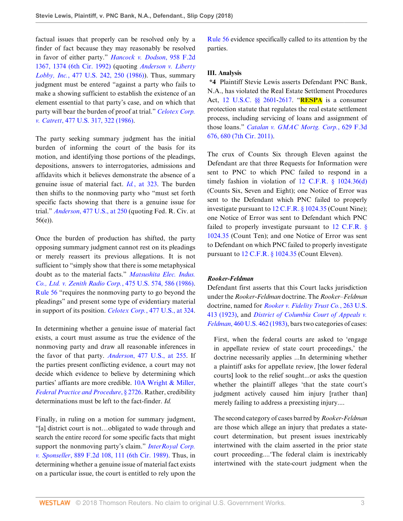factual issues that properly can be resolved only by a finder of fact because they may reasonably be resolved in favor of either party." *[Hancock v. Dodson](http://www.westlaw.com/Link/Document/FullText?findType=Y&serNum=1992060383&pubNum=0000350&originatingDoc=Iaffaa270f48b11e8a573b12ad1dad226&refType=RP&fi=co_pp_sp_350_1374&originationContext=document&vr=3.0&rs=cblt1.0&transitionType=DocumentItem&contextData=(sc.AlertsClip)#co_pp_sp_350_1374)*, 958 F.2d [1367, 1374 \(6th Cir. 1992\)](http://www.westlaw.com/Link/Document/FullText?findType=Y&serNum=1992060383&pubNum=0000350&originatingDoc=Iaffaa270f48b11e8a573b12ad1dad226&refType=RP&fi=co_pp_sp_350_1374&originationContext=document&vr=3.0&rs=cblt1.0&transitionType=DocumentItem&contextData=(sc.AlertsClip)#co_pp_sp_350_1374) (quoting *[Anderson v. Liberty](http://www.westlaw.com/Link/Document/FullText?findType=Y&serNum=1986132674&pubNum=0000780&originatingDoc=Iaffaa270f48b11e8a573b12ad1dad226&refType=RP&fi=co_pp_sp_780_250&originationContext=document&vr=3.0&rs=cblt1.0&transitionType=DocumentItem&contextData=(sc.AlertsClip)#co_pp_sp_780_250) Lobby, Inc.*[, 477 U.S. 242, 250 \(1986\)](http://www.westlaw.com/Link/Document/FullText?findType=Y&serNum=1986132674&pubNum=0000780&originatingDoc=Iaffaa270f48b11e8a573b12ad1dad226&refType=RP&fi=co_pp_sp_780_250&originationContext=document&vr=3.0&rs=cblt1.0&transitionType=DocumentItem&contextData=(sc.AlertsClip)#co_pp_sp_780_250)). Thus, summary judgment must be entered "against a party who fails to make a showing sufficient to establish the existence of an element essential to that party's case, and on which that party will bear the burden of proof at trial." *[Celotex Corp.](http://www.westlaw.com/Link/Document/FullText?findType=Y&serNum=1986132677&pubNum=0000780&originatingDoc=Iaffaa270f48b11e8a573b12ad1dad226&refType=RP&fi=co_pp_sp_780_322&originationContext=document&vr=3.0&rs=cblt1.0&transitionType=DocumentItem&contextData=(sc.AlertsClip)#co_pp_sp_780_322) v. Catrett*[, 477 U.S. 317, 322 \(1986\).](http://www.westlaw.com/Link/Document/FullText?findType=Y&serNum=1986132677&pubNum=0000780&originatingDoc=Iaffaa270f48b11e8a573b12ad1dad226&refType=RP&fi=co_pp_sp_780_322&originationContext=document&vr=3.0&rs=cblt1.0&transitionType=DocumentItem&contextData=(sc.AlertsClip)#co_pp_sp_780_322)

The party seeking summary judgment has the initial burden of informing the court of the basis for its motion, and identifying those portions of the pleadings, depositions, answers to interrogatories, admissions and affidavits which it believes demonstrate the absence of a genuine issue of material fact. *Id.*[, at 323.](http://www.westlaw.com/Link/Document/FullText?findType=Y&serNum=1986132677&pubNum=0000780&originatingDoc=Iaffaa270f48b11e8a573b12ad1dad226&refType=RP&fi=co_pp_sp_780_323&originationContext=document&vr=3.0&rs=cblt1.0&transitionType=DocumentItem&contextData=(sc.AlertsClip)#co_pp_sp_780_323) The burden then shifts to the nonmoving party who "must set forth specific facts showing that there is a genuine issue for trial." *Anderson*[, 477 U.S., at 250](http://www.westlaw.com/Link/Document/FullText?findType=Y&serNum=1986132674&pubNum=0000780&originatingDoc=Iaffaa270f48b11e8a573b12ad1dad226&refType=RP&fi=co_pp_sp_780_250&originationContext=document&vr=3.0&rs=cblt1.0&transitionType=DocumentItem&contextData=(sc.AlertsClip)#co_pp_sp_780_250) (quoting Fed. R. Civ. at 56(e)).

Once the burden of production has shifted, the party opposing summary judgment cannot rest on its pleadings or merely reassert its previous allegations. It is not sufficient to "simply show that there is some metaphysical doubt as to the material facts." *[Matsushita Elec. Indus.](http://www.westlaw.com/Link/Document/FullText?findType=Y&serNum=1986115992&pubNum=0000780&originatingDoc=Iaffaa270f48b11e8a573b12ad1dad226&refType=RP&fi=co_pp_sp_780_586&originationContext=document&vr=3.0&rs=cblt1.0&transitionType=DocumentItem&contextData=(sc.AlertsClip)#co_pp_sp_780_586) [Co., Ltd. v. Zenith Radio Corp.](http://www.westlaw.com/Link/Document/FullText?findType=Y&serNum=1986115992&pubNum=0000780&originatingDoc=Iaffaa270f48b11e8a573b12ad1dad226&refType=RP&fi=co_pp_sp_780_586&originationContext=document&vr=3.0&rs=cblt1.0&transitionType=DocumentItem&contextData=(sc.AlertsClip)#co_pp_sp_780_586)*, 475 U.S. 574, 586 (1986). [Rule 56](http://www.westlaw.com/Link/Document/FullText?findType=L&pubNum=1000600&cite=USFRCPR56&originatingDoc=Iaffaa270f48b11e8a573b12ad1dad226&refType=LQ&originationContext=document&vr=3.0&rs=cblt1.0&transitionType=DocumentItem&contextData=(sc.AlertsClip)) "requires the nonmoving party to go beyond the pleadings" and present some type of evidentiary material in support of its position. *Celotex Corp.*[, 477 U.S., at 324](http://www.westlaw.com/Link/Document/FullText?findType=Y&serNum=1986132677&pubNum=0000780&originatingDoc=Iaffaa270f48b11e8a573b12ad1dad226&refType=RP&fi=co_pp_sp_780_324&originationContext=document&vr=3.0&rs=cblt1.0&transitionType=DocumentItem&contextData=(sc.AlertsClip)#co_pp_sp_780_324).

In determining whether a genuine issue of material fact exists, a court must assume as true the evidence of the nonmoving party and draw all reasonable inferences in the favor of that party. *Anderson*[, 477 U.S., at 255.](http://www.westlaw.com/Link/Document/FullText?findType=Y&serNum=1986132674&pubNum=0000780&originatingDoc=Iaffaa270f48b11e8a573b12ad1dad226&refType=RP&fi=co_pp_sp_780_255&originationContext=document&vr=3.0&rs=cblt1.0&transitionType=DocumentItem&contextData=(sc.AlertsClip)#co_pp_sp_780_255) If the parties present conflicting evidence, a court may not decide which evidence to believe by determining which parties' affiants are more credible. [10A Wright & Miller,](http://www.westlaw.com/Link/Document/FullText?findType=Y&serNum=0108902523&pubNum=0102228&originatingDoc=Iaffaa270f48b11e8a573b12ad1dad226&refType=TS&originationContext=document&vr=3.0&rs=cblt1.0&transitionType=DocumentItem&contextData=(sc.AlertsClip)) *[Federal Practice and Procedure](http://www.westlaw.com/Link/Document/FullText?findType=Y&serNum=0108902523&pubNum=0102228&originatingDoc=Iaffaa270f48b11e8a573b12ad1dad226&refType=TS&originationContext=document&vr=3.0&rs=cblt1.0&transitionType=DocumentItem&contextData=(sc.AlertsClip))*, § 2726. Rather, credibility determinations must be left to the fact-finder. *Id.*

Finally, in ruling on a motion for summary judgment, "[a] district court is not…obligated to wade through and search the entire record for some specific facts that might support the nonmoving party's claim." *[InterRoyal Corp.](http://www.westlaw.com/Link/Document/FullText?findType=Y&serNum=1989161992&pubNum=0000350&originatingDoc=Iaffaa270f48b11e8a573b12ad1dad226&refType=RP&fi=co_pp_sp_350_111&originationContext=document&vr=3.0&rs=cblt1.0&transitionType=DocumentItem&contextData=(sc.AlertsClip)#co_pp_sp_350_111) v. Sponseller*[, 889 F.2d 108, 111 \(6th Cir. 1989\).](http://www.westlaw.com/Link/Document/FullText?findType=Y&serNum=1989161992&pubNum=0000350&originatingDoc=Iaffaa270f48b11e8a573b12ad1dad226&refType=RP&fi=co_pp_sp_350_111&originationContext=document&vr=3.0&rs=cblt1.0&transitionType=DocumentItem&contextData=(sc.AlertsClip)#co_pp_sp_350_111) Thus, in determining whether a genuine issue of material fact exists on a particular issue, the court is entitled to rely upon the [Rule 56](http://www.westlaw.com/Link/Document/FullText?findType=L&pubNum=1000600&cite=USFRCPR56&originatingDoc=Iaffaa270f48b11e8a573b12ad1dad226&refType=LQ&originationContext=document&vr=3.0&rs=cblt1.0&transitionType=DocumentItem&contextData=(sc.AlertsClip)) evidence specifically called to its attention by the parties.

#### **III. Analysis**

**\*4** Plaintiff Stevie Lewis asserts Defendant PNC Bank, N.A., has violated the Real Estate Settlement Procedures Act, [12 U.S.C. §§ 2601](http://www.westlaw.com/Link/Document/FullText?findType=L&pubNum=1000546&cite=12USCAS2601&originatingDoc=Iaffaa270f48b11e8a573b12ad1dad226&refType=LQ&originationContext=document&vr=3.0&rs=cblt1.0&transitionType=DocumentItem&contextData=(sc.AlertsClip))[-2617](http://www.westlaw.com/Link/Document/FullText?findType=L&pubNum=1000546&cite=12USCAS2617&originatingDoc=Iaffaa270f48b11e8a573b12ad1dad226&refType=LQ&originationContext=document&vr=3.0&rs=cblt1.0&transitionType=DocumentItem&contextData=(sc.AlertsClip)). "**RESPA** is a consumer protection statute that regulates the real estate settlement process, including servicing of loans and assignment of those loans." *[Catalan v. GMAC Mortg. Corp.](http://www.westlaw.com/Link/Document/FullText?findType=Y&serNum=2024329834&pubNum=0000506&originatingDoc=Iaffaa270f48b11e8a573b12ad1dad226&refType=RP&fi=co_pp_sp_506_680&originationContext=document&vr=3.0&rs=cblt1.0&transitionType=DocumentItem&contextData=(sc.AlertsClip)#co_pp_sp_506_680)*, 629 F.3d [676, 680 \(7th Cir. 2011\).](http://www.westlaw.com/Link/Document/FullText?findType=Y&serNum=2024329834&pubNum=0000506&originatingDoc=Iaffaa270f48b11e8a573b12ad1dad226&refType=RP&fi=co_pp_sp_506_680&originationContext=document&vr=3.0&rs=cblt1.0&transitionType=DocumentItem&contextData=(sc.AlertsClip)#co_pp_sp_506_680)

The crux of Counts Six through Eleven against the Defendant are that three Requests for Information were sent to PNC to which PNC failed to respond in a timely fashion in violation of  $12$  C.F.R. §  $1024.36(d)$ (Counts Six, Seven and Eight); one Notice of Error was sent to the Defendant which PNC failed to properly investigate pursuant to [12 C.F.R. § 1024.35](http://www.westlaw.com/Link/Document/FullText?findType=L&pubNum=1000547&cite=12CFRS1024.35&originatingDoc=Iaffaa270f48b11e8a573b12ad1dad226&refType=LQ&originationContext=document&vr=3.0&rs=cblt1.0&transitionType=DocumentItem&contextData=(sc.AlertsClip)) (Count Nine); one Notice of Error was sent to Defendant which PNC failed to properly investigate pursuant to [12 C.F.R. §](http://www.westlaw.com/Link/Document/FullText?findType=L&pubNum=1000547&cite=12CFRS1024.35&originatingDoc=Iaffaa270f48b11e8a573b12ad1dad226&refType=LQ&originationContext=document&vr=3.0&rs=cblt1.0&transitionType=DocumentItem&contextData=(sc.AlertsClip)) [1024.35](http://www.westlaw.com/Link/Document/FullText?findType=L&pubNum=1000547&cite=12CFRS1024.35&originatingDoc=Iaffaa270f48b11e8a573b12ad1dad226&refType=LQ&originationContext=document&vr=3.0&rs=cblt1.0&transitionType=DocumentItem&contextData=(sc.AlertsClip)) (Count Ten); and one Notice of Error was sent to Defendant on which PNC failed to properly investigate pursuant to [12 C.F.R. § 1024.35](http://www.westlaw.com/Link/Document/FullText?findType=L&pubNum=1000547&cite=12CFRS1024.35&originatingDoc=Iaffaa270f48b11e8a573b12ad1dad226&refType=LQ&originationContext=document&vr=3.0&rs=cblt1.0&transitionType=DocumentItem&contextData=(sc.AlertsClip)) (Count Eleven).

#### *Rooker-Feldman*

Defendant first asserts that this Court lacks jurisdiction under the *Rooker-Feldman* doctrine. The *Rooker–Feldman* doctrine, named for *[Rooker v. Fidelity Trust Co.](http://www.westlaw.com/Link/Document/FullText?findType=Y&serNum=1923120656&pubNum=0000780&originatingDoc=Iaffaa270f48b11e8a573b12ad1dad226&refType=RP&originationContext=document&vr=3.0&rs=cblt1.0&transitionType=DocumentItem&contextData=(sc.AlertsClip))*, 263 U.S. [413 \(1923\),](http://www.westlaw.com/Link/Document/FullText?findType=Y&serNum=1923120656&pubNum=0000780&originatingDoc=Iaffaa270f48b11e8a573b12ad1dad226&refType=RP&originationContext=document&vr=3.0&rs=cblt1.0&transitionType=DocumentItem&contextData=(sc.AlertsClip)) and *[District of Columbia Court of Appeals v.](http://www.westlaw.com/Link/Document/FullText?findType=Y&serNum=1983113925&pubNum=0000780&originatingDoc=Iaffaa270f48b11e8a573b12ad1dad226&refType=RP&originationContext=document&vr=3.0&rs=cblt1.0&transitionType=DocumentItem&contextData=(sc.AlertsClip)) Feldman*[, 460 U.S. 462 \(1983\),](http://www.westlaw.com/Link/Document/FullText?findType=Y&serNum=1983113925&pubNum=0000780&originatingDoc=Iaffaa270f48b11e8a573b12ad1dad226&refType=RP&originationContext=document&vr=3.0&rs=cblt1.0&transitionType=DocumentItem&contextData=(sc.AlertsClip)) bars two categories of cases:

First, when the federal courts are asked to 'engage in appellate review of state court proceedings,' the doctrine necessarily applies ...In determining whether a plaintiff asks for appellate review, [the lower federal courts] look to the relief sought...or asks the question whether the plaintiff alleges 'that the state court's judgment actively caused him injury [rather than] merely failing to address a preexisting injury....

The second category of cases barred by *Rooker-Feldman* are those which allege an injury that predates a statecourt determination, but present issues inextricably intertwined with the claim asserted in the prior state court proceeding....'The federal claim is inextricably intertwined with the state-court judgment when the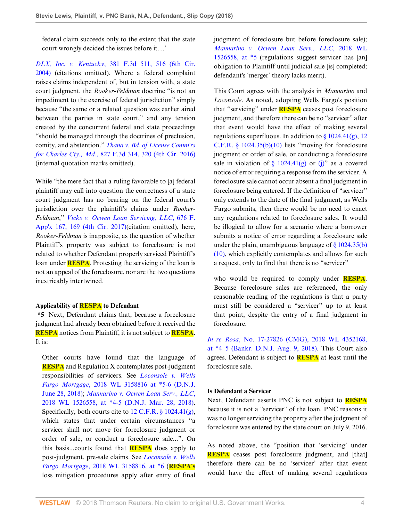federal claim succeeds only to the extent that the state court wrongly decided the issues before it....'

*DLX, Inc. v. Kentucky*[, 381 F.3d 511, 516 \(6th Cir.](http://www.westlaw.com/Link/Document/FullText?findType=Y&serNum=2004946031&pubNum=0000506&originatingDoc=Iaffaa270f48b11e8a573b12ad1dad226&refType=RP&fi=co_pp_sp_506_516&originationContext=document&vr=3.0&rs=cblt1.0&transitionType=DocumentItem&contextData=(sc.AlertsClip)#co_pp_sp_506_516) [2004\)](http://www.westlaw.com/Link/Document/FullText?findType=Y&serNum=2004946031&pubNum=0000506&originatingDoc=Iaffaa270f48b11e8a573b12ad1dad226&refType=RP&fi=co_pp_sp_506_516&originationContext=document&vr=3.0&rs=cblt1.0&transitionType=DocumentItem&contextData=(sc.AlertsClip)#co_pp_sp_506_516) (citations omitted). Where a federal complaint raises claims independent of, but in tension with, a state court judgment, the *Rooker-Feldman* doctrine "is not an impediment to the exercise of federal jurisdiction" simply because "the same or a related question was earlier aired between the parties in state court," and any tension created by the concurrent federal and state proceedings "should be managed through the doctrines of preclusion, comity, and abstention." *[Thana v. Bd. of License Comm'rs](http://www.westlaw.com/Link/Document/FullText?findType=Y&serNum=2039266643&pubNum=0000506&originatingDoc=Iaffaa270f48b11e8a573b12ad1dad226&refType=RP&fi=co_pp_sp_506_320&originationContext=document&vr=3.0&rs=cblt1.0&transitionType=DocumentItem&contextData=(sc.AlertsClip)#co_pp_sp_506_320) for Charles Cty., Md.*[, 827 F.3d 314, 320 \(4th Cir. 2016\)](http://www.westlaw.com/Link/Document/FullText?findType=Y&serNum=2039266643&pubNum=0000506&originatingDoc=Iaffaa270f48b11e8a573b12ad1dad226&refType=RP&fi=co_pp_sp_506_320&originationContext=document&vr=3.0&rs=cblt1.0&transitionType=DocumentItem&contextData=(sc.AlertsClip)#co_pp_sp_506_320) (internal quotation marks omitted).

While "the mere fact that a ruling favorable to [a] federal plaintiff may call into question the correctness of a state court judgment has no bearing on the federal court's jurisdiction over the plaintiff's claims under *Rooker-Feldman*," *[Vicks v. Ocwen Loan Servicing, LLC](http://www.westlaw.com/Link/Document/FullText?findType=Y&serNum=2040824317&pubNum=0006538&originatingDoc=Iaffaa270f48b11e8a573b12ad1dad226&refType=RP&fi=co_pp_sp_6538_169&originationContext=document&vr=3.0&rs=cblt1.0&transitionType=DocumentItem&contextData=(sc.AlertsClip)#co_pp_sp_6538_169)*, 676 F. [App'x 167, 169 \(4th Cir. 2017\)](http://www.westlaw.com/Link/Document/FullText?findType=Y&serNum=2040824317&pubNum=0006538&originatingDoc=Iaffaa270f48b11e8a573b12ad1dad226&refType=RP&fi=co_pp_sp_6538_169&originationContext=document&vr=3.0&rs=cblt1.0&transitionType=DocumentItem&contextData=(sc.AlertsClip)#co_pp_sp_6538_169)(citation omitted), here, *Rooker-Feldman* is inapposite, as the question of whether Plaintiff's property was subject to foreclosure is not related to whether Defendant properly serviced Plaintiff's loan under **RESPA**. Protesting the servicing of the loan is not an appeal of the foreclosure, nor are the two questions inextricably intertwined.

#### **Applicability of RESPA to Defendant**

**\*5** Next, Defendant claims that, because a foreclosure judgment had already been obtained before it received the **RESPA** notices from Plaintiff, it is not subject to **RESPA**. It is:

Other courts have found that the language of **RESPA** and Regulation X contemplates post-judgment responsibilities of servicers. See *[Loconsole v. Wells](http://www.westlaw.com/Link/Document/FullText?findType=Y&serNum=2044837925&pubNum=0000999&originatingDoc=Iaffaa270f48b11e8a573b12ad1dad226&refType=RP&originationContext=document&vr=3.0&rs=cblt1.0&transitionType=DocumentItem&contextData=(sc.AlertsClip)) Fargo Mortgage*[, 2018 WL 3158816 at \\*5-6 \(D.N.J.](http://www.westlaw.com/Link/Document/FullText?findType=Y&serNum=2044837925&pubNum=0000999&originatingDoc=Iaffaa270f48b11e8a573b12ad1dad226&refType=RP&originationContext=document&vr=3.0&rs=cblt1.0&transitionType=DocumentItem&contextData=(sc.AlertsClip)) [June 28, 2018\);](http://www.westlaw.com/Link/Document/FullText?findType=Y&serNum=2044837925&pubNum=0000999&originatingDoc=Iaffaa270f48b11e8a573b12ad1dad226&refType=RP&originationContext=document&vr=3.0&rs=cblt1.0&transitionType=DocumentItem&contextData=(sc.AlertsClip)) *[Mannarino v. Ocwen Loan Serv., LLC](http://www.westlaw.com/Link/Document/FullText?findType=Y&serNum=2044179662&pubNum=0000999&originatingDoc=Iaffaa270f48b11e8a573b12ad1dad226&refType=RP&originationContext=document&vr=3.0&rs=cblt1.0&transitionType=DocumentItem&contextData=(sc.AlertsClip))*, [2018 WL 1526558, at \\*4-5 \(D.N.J. Mar. 28, 2018\)](http://www.westlaw.com/Link/Document/FullText?findType=Y&serNum=2044179662&pubNum=0000999&originatingDoc=Iaffaa270f48b11e8a573b12ad1dad226&refType=RP&originationContext=document&vr=3.0&rs=cblt1.0&transitionType=DocumentItem&contextData=(sc.AlertsClip)). Specifically, both courts cite to [12 C.F.R. § 1024.41\(g\)](http://www.westlaw.com/Link/Document/FullText?findType=L&pubNum=1000547&cite=12CFRS1024.41&originatingDoc=Iaffaa270f48b11e8a573b12ad1dad226&refType=LQ&originationContext=document&vr=3.0&rs=cblt1.0&transitionType=DocumentItem&contextData=(sc.AlertsClip)), which states that under certain circumstances "a servicer shall not move for foreclosure judgment or order of sale, or conduct a foreclosure sale...". On this basis...courts found that **RESPA** does apply to post-judgment, pre-sale claims. See *[Loconsole v. Wells](http://www.westlaw.com/Link/Document/FullText?findType=Y&serNum=2044837925&pubNum=0000999&originatingDoc=Iaffaa270f48b11e8a573b12ad1dad226&refType=RP&originationContext=document&vr=3.0&rs=cblt1.0&transitionType=DocumentItem&contextData=(sc.AlertsClip)) Fargo Mortgage*[, 2018 WL 3158816, at \\*6](http://www.westlaw.com/Link/Document/FullText?findType=Y&serNum=2044837925&pubNum=0000999&originatingDoc=Iaffaa270f48b11e8a573b12ad1dad226&refType=RP&originationContext=document&vr=3.0&rs=cblt1.0&transitionType=DocumentItem&contextData=(sc.AlertsClip)) (**RESPA's** loss mitigation procedures apply after entry of final judgment of foreclosure but before foreclosure sale); *[Mannarino v. Ocwen Loan Serv., LLC](http://www.westlaw.com/Link/Document/FullText?findType=Y&serNum=2044179662&pubNum=0000999&originatingDoc=Iaffaa270f48b11e8a573b12ad1dad226&refType=RP&originationContext=document&vr=3.0&rs=cblt1.0&transitionType=DocumentItem&contextData=(sc.AlertsClip))*, 2018 WL [1526558, at \\*5](http://www.westlaw.com/Link/Document/FullText?findType=Y&serNum=2044179662&pubNum=0000999&originatingDoc=Iaffaa270f48b11e8a573b12ad1dad226&refType=RP&originationContext=document&vr=3.0&rs=cblt1.0&transitionType=DocumentItem&contextData=(sc.AlertsClip)) (regulations suggest servicer has [an] obligation to Plaintiff until judicial sale [is] completed; defendant's 'merger' theory lacks merit).

This Court agrees with the analysis in *Mannarino* and *Loconsole*. As noted, adopting Wells Fargo's position that "servicing" under **RESPA** ceases post foreclosure judgment, and therefore there can be no "servicer" after that event would have the effect of making several regulations superfluous. In addition to  $\S 1024.41(g)$ , [12](http://www.westlaw.com/Link/Document/FullText?findType=L&pubNum=1000547&cite=12CFRS1024.35&originatingDoc=Iaffaa270f48b11e8a573b12ad1dad226&refType=LQ&originationContext=document&vr=3.0&rs=cblt1.0&transitionType=DocumentItem&contextData=(sc.AlertsClip)) C.F.R.  $\S$  1024.35(b)(10) lists "moving for foreclosure judgment or order of sale, or conducting a foreclosure sale in violation of  $\S$  1024.41(g) or [\(j\)](http://www.westlaw.com/Link/Document/FullText?findType=L&pubNum=1000547&cite=12CFRS1024.41&originatingDoc=Iaffaa270f48b11e8a573b12ad1dad226&refType=SP&originationContext=document&vr=3.0&rs=cblt1.0&transitionType=DocumentItem&contextData=(sc.AlertsClip)#co_pp_267600008f864)" as a covered notice of error requiring a response from the servicer. A foreclosure sale cannot occur absent a final judgment in foreclosure being entered. If the definition of "servicer" only extends to the date of the final judgment, as Wells Fargo submits, then there would be no need to enact any regulations related to foreclosure sales. It would be illogical to allow for a scenario where a borrower submits a notice of error regarding a foreclosure sale under the plain, unambiguous language of  $\S 1024.35(b)$ [\(10\),](http://www.westlaw.com/Link/Document/FullText?findType=L&pubNum=1000547&cite=12CFRS1024.35&originatingDoc=Iaffaa270f48b11e8a573b12ad1dad226&refType=SP&originationContext=document&vr=3.0&rs=cblt1.0&transitionType=DocumentItem&contextData=(sc.AlertsClip)#co_pp_b05000002f5c2) which explicitly contemplates and allows for such a request, only to find that there is no "servicer"

who would be required to comply under **RESPA**. Because foreclosure sales are referenced, the only reasonable reading of the regulations is that a party must still be considered a "servicer" up to at least that point, despite the entry of a final judgment in foreclosure.

*In re Rosa*[, No. 17-27826 \(CMG\), 2018 WL 4352168,](http://www.westlaw.com/Link/Document/FullText?findType=Y&serNum=2045481828&pubNum=0000999&originatingDoc=Iaffaa270f48b11e8a573b12ad1dad226&refType=RP&originationContext=document&vr=3.0&rs=cblt1.0&transitionType=DocumentItem&contextData=(sc.AlertsClip)) [at \\*4–5 \(Bankr. D.N.J. Aug. 9, 2018\).](http://www.westlaw.com/Link/Document/FullText?findType=Y&serNum=2045481828&pubNum=0000999&originatingDoc=Iaffaa270f48b11e8a573b12ad1dad226&refType=RP&originationContext=document&vr=3.0&rs=cblt1.0&transitionType=DocumentItem&contextData=(sc.AlertsClip)) This Court also agrees. Defendant is subject to **RESPA** at least until the foreclosure sale.

#### **Is Defendant a Servicer**

Next, Defendant asserts PNC is not subject to **RESPA** because it is not a "servicer" of the loan. PNC reasons it was no longer servicing the property after the judgment of foreclosure was entered by the state court on July 9, 2016.

As noted above, the "position that 'servicing' under **RESPA** ceases post foreclosure judgment, and [that] therefore there can be no 'servicer' after that event would have the effect of making several regulations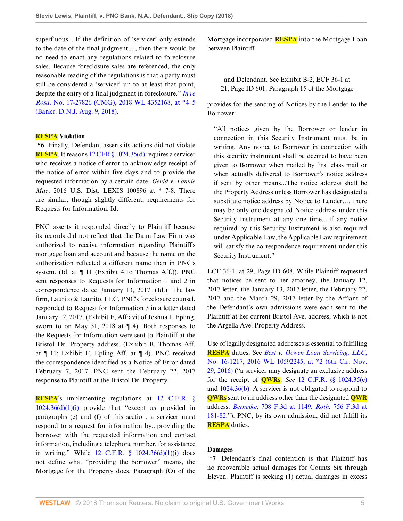superfluous....If the definition of 'servicer' only extends to the date of the final judgment,..., then there would be no need to enact any regulations related to foreclosure sales. Because foreclosure sales are referenced, the only reasonable reading of the regulations is that a party must still be considered a 'servicer' up to at least that point, despite the entry of a final judgment in foreclosure." *[In re](http://www.westlaw.com/Link/Document/FullText?findType=Y&serNum=2045481828&pubNum=0000999&originatingDoc=Iaffaa270f48b11e8a573b12ad1dad226&refType=RP&originationContext=document&vr=3.0&rs=cblt1.0&transitionType=DocumentItem&contextData=(sc.AlertsClip)) Rosa*[, No. 17-27826 \(CMG\), 2018 WL 4352168, at \\*4–5](http://www.westlaw.com/Link/Document/FullText?findType=Y&serNum=2045481828&pubNum=0000999&originatingDoc=Iaffaa270f48b11e8a573b12ad1dad226&refType=RP&originationContext=document&vr=3.0&rs=cblt1.0&transitionType=DocumentItem&contextData=(sc.AlertsClip)) [\(Bankr. D.N.J. Aug. 9, 2018\).](http://www.westlaw.com/Link/Document/FullText?findType=Y&serNum=2045481828&pubNum=0000999&originatingDoc=Iaffaa270f48b11e8a573b12ad1dad226&refType=RP&originationContext=document&vr=3.0&rs=cblt1.0&transitionType=DocumentItem&contextData=(sc.AlertsClip))

#### **RESPA Violation**

**\*6** Finally, Defendant asserts its actions did not violate **RESPA**. It reasons [12 CFR § 1024.35\(d\)](http://www.westlaw.com/Link/Document/FullText?findType=L&pubNum=1000547&cite=12CFRS1024.35&originatingDoc=Iaffaa270f48b11e8a573b12ad1dad226&refType=LQ&originationContext=document&vr=3.0&rs=cblt1.0&transitionType=DocumentItem&contextData=(sc.AlertsClip)) requires a servicer who receives a notice of error to acknowledge receipt of the notice of error within five days and to provide the requested information by a certain date. *Genid v. Fannie Mae*, 2016 U.S. Dist. LEXIS 100896 at \* 7-8. There are similar, though slightly different, requirements for Requests for Information. Id.

PNC asserts it responded directly to Plaintiff because its records did not reflect that the Dann Law Firm was authorized to receive information regarding Plaintiff's mortgage loan and account and because the name on the authorization reflected a different name than in PNC's system. (Id. at ¶ 11 (Exhibit 4 to Thomas Aff.)). PNC sent responses to Requests for Information 1 and 2 in correspondence dated January 13, 2017. (Id.). The law firm, Laurito & Laurito, LLC, PNC's foreclosure counsel, responded to Request for Information 3 in a letter dated January 12, 2017. (Exhibit F, Affiavit of Joshua J. Epling, sworn to on May 31, 2018 at  $\P$  4). Both responses to the Requests for Information were sent to Plaintiff at the Bristol Dr. Property address. (Exhibit B, Thomas Aff. at  $\P$  11; Exhibit F, Epling Aff. at  $\P$  4). PNC received the correspondence identified as a Notice of Error dated February 7, 2017. PNC sent the February 22, 2017 response to Plaintiff at the Bristol Dr. Property.

**RESPA**'s implementing regulations at [12 C.F.R. §](http://www.westlaw.com/Link/Document/FullText?findType=L&pubNum=1000547&cite=12CFRS1024.36&originatingDoc=Iaffaa270f48b11e8a573b12ad1dad226&refType=LQ&originationContext=document&vr=3.0&rs=cblt1.0&transitionType=DocumentItem&contextData=(sc.AlertsClip))  $1024.36(d)(1)(i)$  provide that "except as provided in paragraphs (e) and (f) of this section, a servicer must respond to a request for information by...providing the borrower with the requested information and contact information, including a telephone number, for assistance in writing." While  $12$  C.F.R.  $\S$   $1024.36(d)(1)(i)$  does not define what "providing the borrower" means, the Mortgage for the Property does. Paragraph (O) of the

Mortgage incorporated **RESPA** into the Mortgage Loan between Plaintiff

and Defendant. See Exhibit B-2, ECF 36-1 at 21, Page ID 601. Paragraph 15 of the Mortgage

provides for the sending of Notices by the Lender to the Borrower:

"All notices given by the Borrower or lender in connection in this Security Instrument must be in writing. Any notice to Borrower in connection with this security instrument shall be deemed to have been given to Borrower when mailed by first class mail or when actually delivered to Borrower's notice address if sent by other means...The notice address shall be the Property Address unless Borrower has designated a substitute notice address by Notice to Lender….There may be only one designated Notice address under this Security Instrument at any one time....If any notice required by this Security Instrument is also required under Applicable Law, the Applicable Law requirement will satisfy the correspondence requirement under this Security Instrument."

ECF 36-1, at 29, Page ID 608. While Plaintiff requested that notices be sent to her attorney, the January 12, 2017 letter, the January 13, 2017 letter, the February 22, 2017 and the March 29, 2017 letter by the Affiant of the Defendant's own admissions were each sent to the Plaintiff at her current Bristol Ave. address, which is not the Argella Ave. Property Address.

Use of legally designated addresses is essential to fulfilling **RESPA** duties. See *[Best v. Ocwen Loan Servicing, LLC](http://www.westlaw.com/Link/Document/FullText?findType=Y&serNum=2043269463&pubNum=0000999&originatingDoc=Iaffaa270f48b11e8a573b12ad1dad226&refType=RP&originationContext=document&vr=3.0&rs=cblt1.0&transitionType=DocumentItem&contextData=(sc.AlertsClip))*, [No. 16-1217, 2016 WL 10592245, at \\*2 \(6th Cir. Nov.](http://www.westlaw.com/Link/Document/FullText?findType=Y&serNum=2043269463&pubNum=0000999&originatingDoc=Iaffaa270f48b11e8a573b12ad1dad226&refType=RP&originationContext=document&vr=3.0&rs=cblt1.0&transitionType=DocumentItem&contextData=(sc.AlertsClip)) [29, 2016\)](http://www.westlaw.com/Link/Document/FullText?findType=Y&serNum=2043269463&pubNum=0000999&originatingDoc=Iaffaa270f48b11e8a573b12ad1dad226&refType=RP&originationContext=document&vr=3.0&rs=cblt1.0&transitionType=DocumentItem&contextData=(sc.AlertsClip)) ("a servicer may designate an exclusive address for the receipt of **QWRs**. *See* [12 C.F.R. §§ 1024.35\(c\)](http://www.westlaw.com/Link/Document/FullText?findType=L&pubNum=1000547&cite=12CFRS1024.35&originatingDoc=Iaffaa270f48b11e8a573b12ad1dad226&refType=LQ&originationContext=document&vr=3.0&rs=cblt1.0&transitionType=DocumentItem&contextData=(sc.AlertsClip)) and [1024.36\(b\).](http://www.westlaw.com/Link/Document/FullText?findType=L&pubNum=1000547&cite=12CFRS1024.36&originatingDoc=Iaffaa270f48b11e8a573b12ad1dad226&refType=LQ&originationContext=document&vr=3.0&rs=cblt1.0&transitionType=DocumentItem&contextData=(sc.AlertsClip)) A servicer is not obligated to respond to **QWRs** sent to an address other than the designated **QWR** address. *Berneike*[, 708 F.3d at 1149;](http://www.westlaw.com/Link/Document/FullText?findType=Y&serNum=2029929758&pubNum=0000506&originatingDoc=Iaffaa270f48b11e8a573b12ad1dad226&refType=RP&fi=co_pp_sp_506_1149&originationContext=document&vr=3.0&rs=cblt1.0&transitionType=DocumentItem&contextData=(sc.AlertsClip)#co_pp_sp_506_1149) *Roth*[, 756 F.3d at](http://www.westlaw.com/Link/Document/FullText?findType=Y&serNum=2033655206&pubNum=0000506&originatingDoc=Iaffaa270f48b11e8a573b12ad1dad226&refType=RP&fi=co_pp_sp_506_181&originationContext=document&vr=3.0&rs=cblt1.0&transitionType=DocumentItem&contextData=(sc.AlertsClip)#co_pp_sp_506_181) [181-82](http://www.westlaw.com/Link/Document/FullText?findType=Y&serNum=2033655206&pubNum=0000506&originatingDoc=Iaffaa270f48b11e8a573b12ad1dad226&refType=RP&fi=co_pp_sp_506_181&originationContext=document&vr=3.0&rs=cblt1.0&transitionType=DocumentItem&contextData=(sc.AlertsClip)#co_pp_sp_506_181)."). PNC, by its own admission, did not fulfill its **RESPA** duties.

#### **Damages**

**\*7** Defendant's final contention is that Plaintiff has no recoverable actual damages for Counts Six through Eleven. Plaintiff is seeking (1) actual damages in excess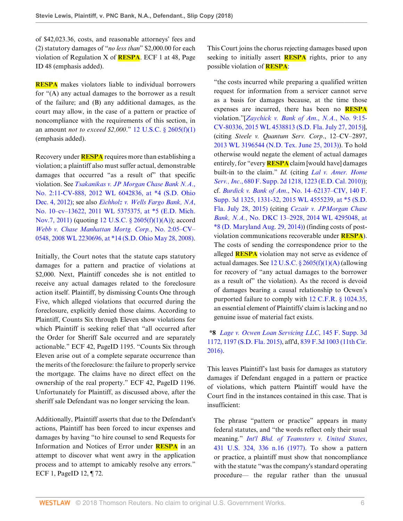of \$42,023.36, costs, and reasonable attorneys' fees and (2) statutory damages of "*no less than*" \$2,000.00 for each violation of Regulation X of **RESPA**. ECF 1 at 48, Page ID 48 (emphasis added).

**RESPA** makes violators liable to individual borrowers for "(A) any actual damages to the borrower as a result of the failure; and (B) any additional damages, as the court may allow, in the case of a pattern or practice of noncompliance with the requirements of this section, in an amount *not to exceed \$2,000*." [12 U.S.C. § 2605\(f\)\(1\)](http://www.westlaw.com/Link/Document/FullText?findType=L&pubNum=1000546&cite=12USCAS2605&originatingDoc=Iaffaa270f48b11e8a573b12ad1dad226&refType=RB&originationContext=document&vr=3.0&rs=cblt1.0&transitionType=DocumentItem&contextData=(sc.AlertsClip)#co_pp_9daf00009de57) (emphasis added).

Recovery under **RESPA** requires more than establishing a violation; a plaintiff also must suffer actual, demonstrable damages that occurred "as a result of" that specific violation. See *[Tsakanikas v. JP Morgan Chase Bank N.A](http://www.westlaw.com/Link/Document/FullText?findType=Y&serNum=2029346243&pubNum=0000999&originatingDoc=Iaffaa270f48b11e8a573b12ad1dad226&refType=RP&originationContext=document&vr=3.0&rs=cblt1.0&transitionType=DocumentItem&contextData=(sc.AlertsClip))*., [No. 2:11-CV-888, 2012 WL 6042836, at \\*4 \(S.D. Ohio](http://www.westlaw.com/Link/Document/FullText?findType=Y&serNum=2029346243&pubNum=0000999&originatingDoc=Iaffaa270f48b11e8a573b12ad1dad226&refType=RP&originationContext=document&vr=3.0&rs=cblt1.0&transitionType=DocumentItem&contextData=(sc.AlertsClip)) [Dec. 4, 2012\);](http://www.westlaw.com/Link/Document/FullText?findType=Y&serNum=2029346243&pubNum=0000999&originatingDoc=Iaffaa270f48b11e8a573b12ad1dad226&refType=RP&originationContext=document&vr=3.0&rs=cblt1.0&transitionType=DocumentItem&contextData=(sc.AlertsClip)) see also *[Eichholz v. Wells Fargo Bank, NA](http://www.westlaw.com/Link/Document/FullText?findType=Y&serNum=2026475767&pubNum=0000999&originatingDoc=Iaffaa270f48b11e8a573b12ad1dad226&refType=RP&originationContext=document&vr=3.0&rs=cblt1.0&transitionType=DocumentItem&contextData=(sc.AlertsClip))*, [No. 10–cv–13622, 2011 WL 5375375, at \\*5 \(E.D. Mich.](http://www.westlaw.com/Link/Document/FullText?findType=Y&serNum=2026475767&pubNum=0000999&originatingDoc=Iaffaa270f48b11e8a573b12ad1dad226&refType=RP&originationContext=document&vr=3.0&rs=cblt1.0&transitionType=DocumentItem&contextData=(sc.AlertsClip)) [Nov.7, 2011\)](http://www.westlaw.com/Link/Document/FullText?findType=Y&serNum=2026475767&pubNum=0000999&originatingDoc=Iaffaa270f48b11e8a573b12ad1dad226&refType=RP&originationContext=document&vr=3.0&rs=cblt1.0&transitionType=DocumentItem&contextData=(sc.AlertsClip)) (quoting [12 U.S.C. § 2605\(f\)\(1\)\(A\)](http://www.westlaw.com/Link/Document/FullText?findType=L&pubNum=1000546&cite=12USCAS2605&originatingDoc=Iaffaa270f48b11e8a573b12ad1dad226&refType=RB&originationContext=document&vr=3.0&rs=cblt1.0&transitionType=DocumentItem&contextData=(sc.AlertsClip)#co_pp_85d10000e5e07)); accord *[Webb v. Chase Manhattan Mortg. Corp.](http://www.westlaw.com/Link/Document/FullText?findType=Y&serNum=2016221435&pubNum=0000999&originatingDoc=Iaffaa270f48b11e8a573b12ad1dad226&refType=RP&originationContext=document&vr=3.0&rs=cblt1.0&transitionType=DocumentItem&contextData=(sc.AlertsClip))*, No. 2:05–CV– [0548, 2008 WL 2230696, at \\*14 \(S.D. Ohio May 28, 2008\)](http://www.westlaw.com/Link/Document/FullText?findType=Y&serNum=2016221435&pubNum=0000999&originatingDoc=Iaffaa270f48b11e8a573b12ad1dad226&refType=RP&originationContext=document&vr=3.0&rs=cblt1.0&transitionType=DocumentItem&contextData=(sc.AlertsClip)).

Initially, the Court notes that the statute caps statutory damages for a pattern and practice of violations at \$2,000. Next, Plaintiff concedes she is not entitled to receive any actual damages related to the foreclosure action itself. Plaintiff, by dismissing Counts One through Five, which alleged violations that occurred during the foreclosure, explicitly denied those claims. According to Plaintiff, Counts Six through Eleven show violations for which Plaintiff is seeking relief that "all occurred after the Order for Sheriff Sale occurred and are separately actionable." ECF 42, PageID 1195. "Counts Six through Eleven arise out of a complete separate occurrence than the merits of the foreclosure: the failure to properly service the mortgage. The claims have no direct effect on the ownership of the real property." ECF 42, PageID 1196. Unfortunately for Plaintiff, as discussed above, after the sheriff sale Defendant was no longer servicing the loan.

Additionally, Plaintiff asserts that due to the Defendant's actions, Plaintiff has been forced to incur expenses and damages by having "to hire counsel to send Requests for Information and Notices of Error under **RESPA** in an attempt to discover what went awry in the application process and to attempt to amicably resolve any errors." ECF 1, PageID 12, ¶ 72.

This Court joins the chorus rejecting damages based upon seeking to initially assert **RESPA** rights, prior to any possible violation of **RESPA**:

"the costs incurred while preparing a qualified written request for information from a servicer cannot serve as a basis for damages because, at the time those expenses are incurred, there has been no **RESPA** violation."[*[Zaychick v. Bank of Am](http://www.westlaw.com/Link/Document/FullText?findType=Y&serNum=2036776889&pubNum=0000999&originatingDoc=Iaffaa270f48b11e8a573b12ad1dad226&refType=RP&originationContext=document&vr=3.0&rs=cblt1.0&transitionType=DocumentItem&contextData=(sc.AlertsClip))*., *N.A*., No. 9:15- [CV-80336, 2015 WL 4538813 \(S.D. Fla. July 27, 2015\)\]](http://www.westlaw.com/Link/Document/FullText?findType=Y&serNum=2036776889&pubNum=0000999&originatingDoc=Iaffaa270f48b11e8a573b12ad1dad226&refType=RP&originationContext=document&vr=3.0&rs=cblt1.0&transitionType=DocumentItem&contextData=(sc.AlertsClip)), (citing *Steele v. Quantum Serv. Corp*., 12–CV–2897, [2013 WL 3196544 \(N.D. Tex. June 25, 2013\)](http://www.westlaw.com/Link/Document/FullText?findType=Y&serNum=2030868103&pubNum=0000999&originatingDoc=Iaffaa270f48b11e8a573b12ad1dad226&refType=RP&originationContext=document&vr=3.0&rs=cblt1.0&transitionType=DocumentItem&contextData=(sc.AlertsClip))). To hold otherwise would negate the element of actual damages entirely, for "every **RESPA** claim [would have] damages built-in to the claim." *Id.* (citing *[Lal v. Amer. Home](http://www.westlaw.com/Link/Document/FullText?findType=Y&serNum=2021192012&pubNum=0004637&originatingDoc=Iaffaa270f48b11e8a573b12ad1dad226&refType=RP&fi=co_pp_sp_4637_1223&originationContext=document&vr=3.0&rs=cblt1.0&transitionType=DocumentItem&contextData=(sc.AlertsClip)#co_pp_sp_4637_1223) Serv., Inc*[., 680 F. Supp. 2d 1218, 1223 \(E.D. Cal. 2010\)\)](http://www.westlaw.com/Link/Document/FullText?findType=Y&serNum=2021192012&pubNum=0004637&originatingDoc=Iaffaa270f48b11e8a573b12ad1dad226&refType=RP&fi=co_pp_sp_4637_1223&originationContext=document&vr=3.0&rs=cblt1.0&transitionType=DocumentItem&contextData=(sc.AlertsClip)#co_pp_sp_4637_1223); cf. *Burdick v. Bank of Am*[., No. 14–62137–CIV, 140 F.](http://www.westlaw.com/Link/Document/FullText?findType=Y&serNum=2036783306&pubNum=0007903&originatingDoc=Iaffaa270f48b11e8a573b12ad1dad226&refType=RP&fi=co_pp_sp_7903_1331&originationContext=document&vr=3.0&rs=cblt1.0&transitionType=DocumentItem&contextData=(sc.AlertsClip)#co_pp_sp_7903_1331) [Supp. 3d 1325, 1331-32, 2015 WL 4555239, at \\*5 \(S.D.](http://www.westlaw.com/Link/Document/FullText?findType=Y&serNum=2036783306&pubNum=0007903&originatingDoc=Iaffaa270f48b11e8a573b12ad1dad226&refType=RP&fi=co_pp_sp_7903_1331&originationContext=document&vr=3.0&rs=cblt1.0&transitionType=DocumentItem&contextData=(sc.AlertsClip)#co_pp_sp_7903_1331) [Fla. July 28, 2015\)](http://www.westlaw.com/Link/Document/FullText?findType=Y&serNum=2036783306&pubNum=0007903&originatingDoc=Iaffaa270f48b11e8a573b12ad1dad226&refType=RP&fi=co_pp_sp_7903_1331&originationContext=document&vr=3.0&rs=cblt1.0&transitionType=DocumentItem&contextData=(sc.AlertsClip)#co_pp_sp_7903_1331) (citing *[Cezair v. JPMorgan Chase](http://www.westlaw.com/Link/Document/FullText?findType=Y&serNum=2034252574&pubNum=0000999&originatingDoc=Iaffaa270f48b11e8a573b12ad1dad226&refType=RP&originationContext=document&vr=3.0&rs=cblt1.0&transitionType=DocumentItem&contextData=(sc.AlertsClip)) Bank, N.A.*[, No. DKC 13–2928, 2014 WL 4295048, at](http://www.westlaw.com/Link/Document/FullText?findType=Y&serNum=2034252574&pubNum=0000999&originatingDoc=Iaffaa270f48b11e8a573b12ad1dad226&refType=RP&originationContext=document&vr=3.0&rs=cblt1.0&transitionType=DocumentItem&contextData=(sc.AlertsClip)) [\\*8 \(D. Maryland Aug. 29, 2014\)](http://www.westlaw.com/Link/Document/FullText?findType=Y&serNum=2034252574&pubNum=0000999&originatingDoc=Iaffaa270f48b11e8a573b12ad1dad226&refType=RP&originationContext=document&vr=3.0&rs=cblt1.0&transitionType=DocumentItem&contextData=(sc.AlertsClip))) (finding costs of postviolation communications recoverable under **RESPA**). The costs of sending the correspondence prior to the alleged **RESPA** violation may not serve as evidence of actual damages. See  $12$  U.S.C. §  $2605(f)(1)(A)$  (allowing for recovery of "any actual damages to the borrower as a result of" the violation). As the record is devoid of damages bearing a causal relationship to Ocwen's purported failure to comply with [12 C.F.R. § 1024.35](http://www.westlaw.com/Link/Document/FullText?findType=L&pubNum=1000547&cite=12CFRS1024.35&originatingDoc=Iaffaa270f48b11e8a573b12ad1dad226&refType=LQ&originationContext=document&vr=3.0&rs=cblt1.0&transitionType=DocumentItem&contextData=(sc.AlertsClip)), an essential element of Plaintiffs' claim is lacking and no genuine issue of material fact exists.

# **\*8** *[Lage v. Ocwen Loan Servicing LLC](http://www.westlaw.com/Link/Document/FullText?findType=Y&serNum=2037630636&pubNum=0007903&originatingDoc=Iaffaa270f48b11e8a573b12ad1dad226&refType=RP&fi=co_pp_sp_7903_1197&originationContext=document&vr=3.0&rs=cblt1.0&transitionType=DocumentItem&contextData=(sc.AlertsClip)#co_pp_sp_7903_1197)*, 145 F. Supp. 3d [1172, 1197 \(S.D. Fla. 2015\)](http://www.westlaw.com/Link/Document/FullText?findType=Y&serNum=2037630636&pubNum=0007903&originatingDoc=Iaffaa270f48b11e8a573b12ad1dad226&refType=RP&fi=co_pp_sp_7903_1197&originationContext=document&vr=3.0&rs=cblt1.0&transitionType=DocumentItem&contextData=(sc.AlertsClip)#co_pp_sp_7903_1197), aff'd, [839 F.3d 1003 \(11th Cir.](http://www.westlaw.com/Link/Document/FullText?findType=Y&serNum=2039945462&pubNum=0000506&originatingDoc=Iaffaa270f48b11e8a573b12ad1dad226&refType=RP&originationContext=document&vr=3.0&rs=cblt1.0&transitionType=DocumentItem&contextData=(sc.AlertsClip)) [2016\)](http://www.westlaw.com/Link/Document/FullText?findType=Y&serNum=2039945462&pubNum=0000506&originatingDoc=Iaffaa270f48b11e8a573b12ad1dad226&refType=RP&originationContext=document&vr=3.0&rs=cblt1.0&transitionType=DocumentItem&contextData=(sc.AlertsClip)).

This leaves Plaintiff's last basis for damages as statutory damages if Defendant engaged in a pattern or practice of violations, which pattern Plaintiff would have the Court find in the instances contained in this case. That is insufficient:

The phrase "pattern or practice" appears in many federal statutes, and "the words reflect only their usual meaning." *[Int'l Bhd. of Teamsters v. United States](http://www.westlaw.com/Link/Document/FullText?findType=Y&serNum=1977118786&pubNum=0000780&originatingDoc=Iaffaa270f48b11e8a573b12ad1dad226&refType=RP&fi=co_pp_sp_780_336&originationContext=document&vr=3.0&rs=cblt1.0&transitionType=DocumentItem&contextData=(sc.AlertsClip)#co_pp_sp_780_336)*, [431 U.S. 324, 336 n.16 \(1977\).](http://www.westlaw.com/Link/Document/FullText?findType=Y&serNum=1977118786&pubNum=0000780&originatingDoc=Iaffaa270f48b11e8a573b12ad1dad226&refType=RP&fi=co_pp_sp_780_336&originationContext=document&vr=3.0&rs=cblt1.0&transitionType=DocumentItem&contextData=(sc.AlertsClip)#co_pp_sp_780_336) To show a pattern or practice, a plaintiff must show that noncompliance with the statute "was the company's standard operating procedure— the regular rather than the unusual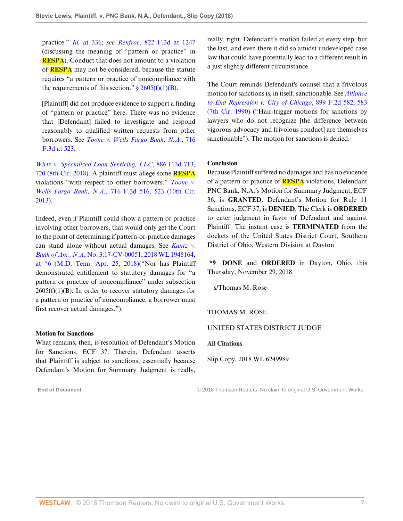practice." *Id.* [at 336](http://www.westlaw.com/Link/Document/FullText?findType=Y&serNum=1977118786&pubNum=0000780&originatingDoc=Iaffaa270f48b11e8a573b12ad1dad226&refType=RP&fi=co_pp_sp_780_336&originationContext=document&vr=3.0&rs=cblt1.0&transitionType=DocumentItem&contextData=(sc.AlertsClip)#co_pp_sp_780_336); *see Renfroe*[, 822 F.3d at 1247](http://www.westlaw.com/Link/Document/FullText?findType=Y&serNum=2038838095&pubNum=0000506&originatingDoc=Iaffaa270f48b11e8a573b12ad1dad226&refType=RP&fi=co_pp_sp_506_1247&originationContext=document&vr=3.0&rs=cblt1.0&transitionType=DocumentItem&contextData=(sc.AlertsClip)#co_pp_sp_506_1247) (discussing the meaning of "pattern or practice" in **RESPA**). Conduct that does not amount to a violation of **RESPA** may not be considered, because the statute requires "a pattern or practice of noncompliance with the requirements of this section."  $\frac{2605(f)(1)(B)}{2605(f)(1)(B)}$ .

[Plaintiff] did not produce evidence to support a finding of "pattern or practice" here. There was no evidence that [Defendant] failed to investigate and respond reasonably to qualified written requests from other borrowers. See *[Toone v. Wells Fargo Bank, N.A.](http://www.westlaw.com/Link/Document/FullText?findType=Y&serNum=2030076168&pubNum=0000506&originatingDoc=Iaffaa270f48b11e8a573b12ad1dad226&refType=RP&fi=co_pp_sp_506_523&originationContext=document&vr=3.0&rs=cblt1.0&transitionType=DocumentItem&contextData=(sc.AlertsClip)#co_pp_sp_506_523)*, 716 [F.3d at 523](http://www.westlaw.com/Link/Document/FullText?findType=Y&serNum=2030076168&pubNum=0000506&originatingDoc=Iaffaa270f48b11e8a573b12ad1dad226&refType=RP&fi=co_pp_sp_506_523&originationContext=document&vr=3.0&rs=cblt1.0&transitionType=DocumentItem&contextData=(sc.AlertsClip)#co_pp_sp_506_523).

*[Wirtz v. Specialized Loan Servicing, LLC](http://www.westlaw.com/Link/Document/FullText?findType=Y&serNum=2044229599&pubNum=0000506&originatingDoc=Iaffaa270f48b11e8a573b12ad1dad226&refType=RP&fi=co_pp_sp_506_720&originationContext=document&vr=3.0&rs=cblt1.0&transitionType=DocumentItem&contextData=(sc.AlertsClip)#co_pp_sp_506_720)*, 886 F.3d 713, [720 \(8th Cir. 2018\).](http://www.westlaw.com/Link/Document/FullText?findType=Y&serNum=2044229599&pubNum=0000506&originatingDoc=Iaffaa270f48b11e8a573b12ad1dad226&refType=RP&fi=co_pp_sp_506_720&originationContext=document&vr=3.0&rs=cblt1.0&transitionType=DocumentItem&contextData=(sc.AlertsClip)#co_pp_sp_506_720) A plaintiff must allege some **RESPA** violations "with respect to other borrowers." *[Toone v.](http://www.westlaw.com/Link/Document/FullText?findType=Y&serNum=2030076168&pubNum=0000506&originatingDoc=Iaffaa270f48b11e8a573b12ad1dad226&refType=RP&fi=co_pp_sp_506_523&originationContext=document&vr=3.0&rs=cblt1.0&transitionType=DocumentItem&contextData=(sc.AlertsClip)#co_pp_sp_506_523) Wells Fargo Bank, N.A.*[, 716 F.3d 516, 523 \(10th Cir.](http://www.westlaw.com/Link/Document/FullText?findType=Y&serNum=2030076168&pubNum=0000506&originatingDoc=Iaffaa270f48b11e8a573b12ad1dad226&refType=RP&fi=co_pp_sp_506_523&originationContext=document&vr=3.0&rs=cblt1.0&transitionType=DocumentItem&contextData=(sc.AlertsClip)#co_pp_sp_506_523) [2013\)](http://www.westlaw.com/Link/Document/FullText?findType=Y&serNum=2030076168&pubNum=0000506&originatingDoc=Iaffaa270f48b11e8a573b12ad1dad226&refType=RP&fi=co_pp_sp_506_523&originationContext=document&vr=3.0&rs=cblt1.0&transitionType=DocumentItem&contextData=(sc.AlertsClip)#co_pp_sp_506_523).

Indeed, even if Plaintiff could show a pattern or practice involving other borrowers, that would only get the Court to the point of determining if pattern-or-practice damages can stand alone without actual damages. See *[Kantz v.](http://www.westlaw.com/Link/Document/FullText?findType=Y&serNum=2044402458&pubNum=0000999&originatingDoc=Iaffaa270f48b11e8a573b12ad1dad226&refType=RP&originationContext=document&vr=3.0&rs=cblt1.0&transitionType=DocumentItem&contextData=(sc.AlertsClip)) Bank of Am., N.A*[, No. 3:17-CV-00051, 2018 WL 1948164,](http://www.westlaw.com/Link/Document/FullText?findType=Y&serNum=2044402458&pubNum=0000999&originatingDoc=Iaffaa270f48b11e8a573b12ad1dad226&refType=RP&originationContext=document&vr=3.0&rs=cblt1.0&transitionType=DocumentItem&contextData=(sc.AlertsClip)) [at \\*6 \(M.D. Tenn. Apr. 25, 2018\)](http://www.westlaw.com/Link/Document/FullText?findType=Y&serNum=2044402458&pubNum=0000999&originatingDoc=Iaffaa270f48b11e8a573b12ad1dad226&refType=RP&originationContext=document&vr=3.0&rs=cblt1.0&transitionType=DocumentItem&contextData=(sc.AlertsClip))("Nor has Plaintiff demonstrated entitlement to statutory damages for "a pattern or practice of noncompliance" under subsection  $2605(f)(1)(B)$ . In order to recover statutory damages for a pattern or practice of noncompliance, a borrower must first recover actual damages.").

#### **Motion for Sanctions**

What remains, then, is resolution of Defendant's Motion for Sanctions. ECF 37. Therein, Defendant asserts that Plaintiff is subject to sanctions, essentially because Defendant's Motion for Summary Judgment is really,

really, right. Defendant's motion failed at every step, but the last, and even there it did so amidst undeveloped case law that could have potentially lead to a different result in a just slightly different circumstance.

The Court reminds Defendant's counsel that a frivolous motion for sanctions is, in itself, sanctionable. See *[Alliance](http://www.westlaw.com/Link/Document/FullText?findType=Y&serNum=1990054425&pubNum=0000350&originatingDoc=Iaffaa270f48b11e8a573b12ad1dad226&refType=RP&fi=co_pp_sp_350_583&originationContext=document&vr=3.0&rs=cblt1.0&transitionType=DocumentItem&contextData=(sc.AlertsClip)#co_pp_sp_350_583) [to End Repression v. City of Chicago](http://www.westlaw.com/Link/Document/FullText?findType=Y&serNum=1990054425&pubNum=0000350&originatingDoc=Iaffaa270f48b11e8a573b12ad1dad226&refType=RP&fi=co_pp_sp_350_583&originationContext=document&vr=3.0&rs=cblt1.0&transitionType=DocumentItem&contextData=(sc.AlertsClip)#co_pp_sp_350_583)*, 899 F.2d 582, 583 [\(7th Cir. 1990\)](http://www.westlaw.com/Link/Document/FullText?findType=Y&serNum=1990054425&pubNum=0000350&originatingDoc=Iaffaa270f48b11e8a573b12ad1dad226&refType=RP&fi=co_pp_sp_350_583&originationContext=document&vr=3.0&rs=cblt1.0&transitionType=DocumentItem&contextData=(sc.AlertsClip)#co_pp_sp_350_583) ("Hair-trigger motions for sanctions by lawyers who do not recognize [the difference between vigorous advocacy and frivolous conduct] are themselves sanctionable"). The motion for sanctions is denied.

#### **Conclusion**

Because Plaintiff suffered no damages and has no evidence of a pattern or practice of **RESPA** violations, Defendant PNC Bank, N.A.'s Motion for Summary Judgment, ECF 36, is **GRANTED**. Defendant's Motion for Rule 11 Sanctions, ECF 37, is **DENIED**. The Clerk is **ORDERED** to enter judgment in favor of Defendant and against Plaintiff. The instant case is **TERMINATED** from the dockets of the United States District Court, Southern District of Ohio, Western Division at Dayton

**\*9 DONE** and **ORDERED** in Dayton, Ohio, this Thursday, November 29, 2018.

s/Thomas M. Rose

#### THOMAS M. ROSE

#### UNITED STATES DISTRICT JUDGE

**All Citations**

Slip Copy, 2018 WL 6249989

**End of Document** © 2018 Thomson Reuters. No claim to original U.S. Government Works.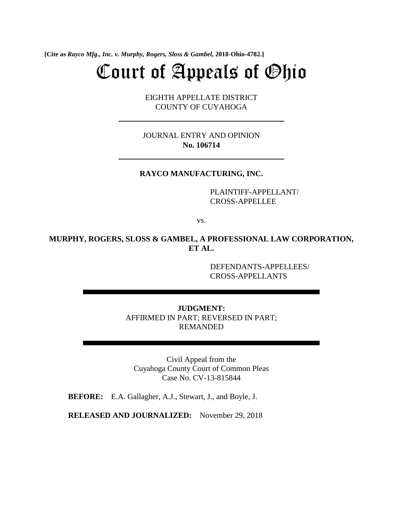**[Cite as** *Rayco Mfg., Inc. v. Murphy, Rogers, Sloss & Gambel***, 2018-Ohio-4782.]**

# Court of Appeals of Ohio

EIGHTH APPELLATE DISTRICT COUNTY OF CUYAHOGA

JOURNAL ENTRY AND OPINION **No. 106714** 

# **RAYCO MANUFACTURING, INC.**

PLAINTIFF-APPELLANT/ CROSS-APPELLEE

vs.

# **MURPHY, ROGERS, SLOSS & GAMBEL, A PROFESSIONAL LAW CORPORATION, ET AL.**

DEFENDANTS-APPELLEES/ CROSS-APPELLANTS

**JUDGMENT:**  AFFIRMED IN PART; REVERSED IN PART; REMANDED

Civil Appeal from the Cuyahoga County Court of Common Pleas Case No. CV-13-815844

**BEFORE:** E.A. Gallagher, A.J., Stewart, J., and Boyle, J.

**RELEASED AND JOURNALIZED:** November 29, 2018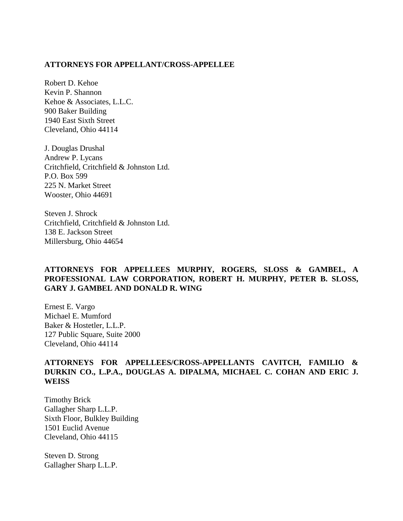### **ATTORNEYS FOR APPELLANT/CROSS-APPELLEE**

Robert D. Kehoe Kevin P. Shannon Kehoe & Associates, L.L.C. 900 Baker Building 1940 East Sixth Street Cleveland, Ohio 44114

J. Douglas Drushal Andrew P. Lycans Critchfield, Critchfield & Johnston Ltd. P.O. Box 599 225 N. Market Street Wooster, Ohio 44691

Steven J. Shrock Critchfield, Critchfield & Johnston Ltd. 138 E. Jackson Street Millersburg, Ohio 44654

# **ATTORNEYS FOR APPELLEES MURPHY, ROGERS, SLOSS & GAMBEL, A PROFESSIONAL LAW CORPORATION, ROBERT H. MURPHY, PETER B. SLOSS, GARY J. GAMBEL AND DONALD R. WING**

Ernest E. Vargo Michael E. Mumford Baker & Hostetler, L.L.P. 127 Public Square, Suite 2000 Cleveland, Ohio 44114

# **ATTORNEYS FOR APPELLEES/CROSS-APPELLANTS CAVITCH, FAMILIO & DURKIN CO., L.P.A., DOUGLAS A. DIPALMA, MICHAEL C. COHAN AND ERIC J. WEISS**

Timothy Brick Gallagher Sharp L.L.P. Sixth Floor, Bulkley Building 1501 Euclid Avenue Cleveland, Ohio 44115

Steven D. Strong Gallagher Sharp L.L.P.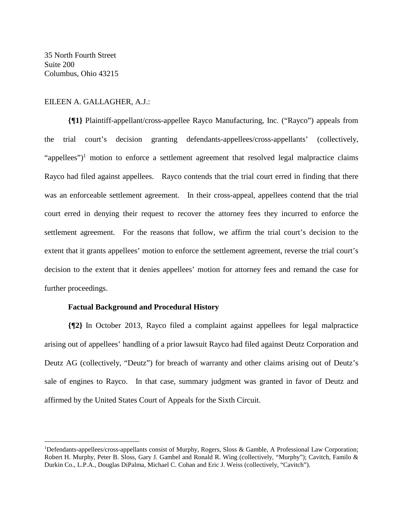35 North Fourth Street Suite 200 Columbus, Ohio 43215

 $\overline{a}$ 

# EILEEN A. GALLAGHER, A.J.:

**{¶1}** Plaintiff-appellant/cross-appellee Rayco Manufacturing, Inc. ("Rayco") appeals from the trial court's decision granting defendants-appellees/cross-appellants' (collectively, "appellees")<sup>1</sup> motion to enforce a settlement agreement that resolved legal malpractice claims Rayco had filed against appellees. Rayco contends that the trial court erred in finding that there was an enforceable settlement agreement. In their cross-appeal, appellees contend that the trial court erred in denying their request to recover the attorney fees they incurred to enforce the settlement agreement. For the reasons that follow, we affirm the trial court's decision to the extent that it grants appellees' motion to enforce the settlement agreement, reverse the trial court's decision to the extent that it denies appellees' motion for attorney fees and remand the case for further proceedings.

### **Factual Background and Procedural History**

**{¶2}** In October 2013, Rayco filed a complaint against appellees for legal malpractice arising out of appellees' handling of a prior lawsuit Rayco had filed against Deutz Corporation and Deutz AG (collectively, "Deutz") for breach of warranty and other claims arising out of Deutz's sale of engines to Rayco. In that case, summary judgment was granted in favor of Deutz and affirmed by the United States Court of Appeals for the Sixth Circuit.

<sup>&</sup>lt;sup>1</sup>Defendants-appellees/cross-appellants consist of Murphy, Rogers, Sloss & Gamble, A Professional Law Corporation; Robert H. Murphy, Peter B. Sloss, Gary J. Gambel and Ronald R. Wing (collectively, "Murphy"); Cavitch, Familo & Durkin Co., L.P.A., Douglas DiPalma, Michael C. Cohan and Eric J. Weiss (collectively, "Cavitch").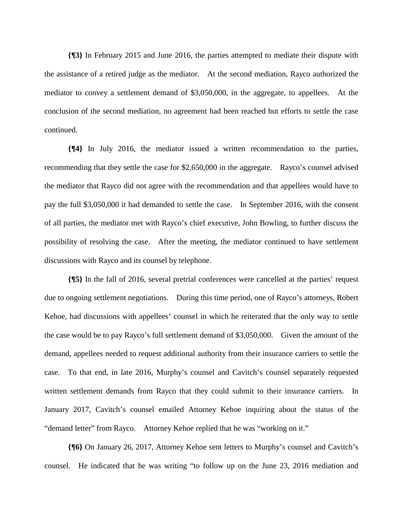**{¶3}** In February 2015 and June 2016, the parties attempted to mediate their dispute with the assistance of a retired judge as the mediator. At the second mediation, Rayco authorized the mediator to convey a settlement demand of \$3,050,000, in the aggregate, to appellees. At the conclusion of the second mediation, no agreement had been reached but efforts to settle the case continued.

**{¶4}** In July 2016, the mediator issued a written recommendation to the parties, recommending that they settle the case for \$2,650,000 in the aggregate. Rayco's counsel advised the mediator that Rayco did not agree with the recommendation and that appellees would have to pay the full \$3,050,000 it had demanded to settle the case. In September 2016, with the consent of all parties, the mediator met with Rayco's chief executive, John Bowling, to further discuss the possibility of resolving the case. After the meeting, the mediator continued to have settlement discussions with Rayco and its counsel by telephone.

**{¶5}** In the fall of 2016, several pretrial conferences were cancelled at the parties' request due to ongoing settlement negotiations. During this time period, one of Rayco's attorneys, Robert Kehoe, had discussions with appellees' counsel in which he reiterated that the only way to settle the case would be to pay Rayco's full settlement demand of \$3,050,000. Given the amount of the demand, appellees needed to request additional authority from their insurance carriers to settle the case. To that end, in late 2016, Murphy's counsel and Cavitch's counsel separately requested written settlement demands from Rayco that they could submit to their insurance carriers. In January 2017, Cavitch's counsel emailed Attorney Kehoe inquiring about the status of the "demand letter" from Rayco. Attorney Kehoe replied that he was "working on it."

**{¶6}** On January 26, 2017, Attorney Kehoe sent letters to Murphy's counsel and Cavitch's counsel. He indicated that he was writing "to follow up on the June 23, 2016 mediation and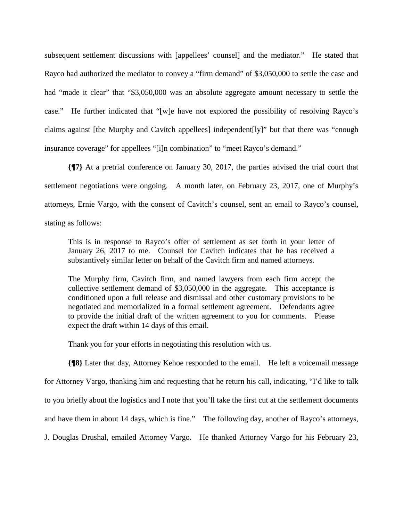subsequent settlement discussions with [appellees' counsel] and the mediator." He stated that Rayco had authorized the mediator to convey a "firm demand" of \$3,050,000 to settle the case and had "made it clear" that "\$3,050,000 was an absolute aggregate amount necessary to settle the case." He further indicated that "[w]e have not explored the possibility of resolving Rayco's claims against [the Murphy and Cavitch appellees] independent[ly]" but that there was "enough insurance coverage" for appellees "[i]n combination" to "meet Rayco's demand."

**{¶7}** At a pretrial conference on January 30, 2017, the parties advised the trial court that settlement negotiations were ongoing. A month later, on February 23, 2017, one of Murphy's attorneys, Ernie Vargo, with the consent of Cavitch's counsel, sent an email to Rayco's counsel, stating as follows:

This is in response to Rayco's offer of settlement as set forth in your letter of January 26, 2017 to me. Counsel for Cavitch indicates that he has received a substantively similar letter on behalf of the Cavitch firm and named attorneys.

The Murphy firm, Cavitch firm, and named lawyers from each firm accept the collective settlement demand of \$3,050,000 in the aggregate. This acceptance is conditioned upon a full release and dismissal and other customary provisions to be negotiated and memorialized in a formal settlement agreement. Defendants agree to provide the initial draft of the written agreement to you for comments. Please expect the draft within 14 days of this email.

Thank you for your efforts in negotiating this resolution with us.

**{¶8}** Later that day, Attorney Kehoe responded to the email. He left a voicemail message for Attorney Vargo, thanking him and requesting that he return his call, indicating, "I'd like to talk to you briefly about the logistics and I note that you'll take the first cut at the settlement documents and have them in about 14 days, which is fine." The following day, another of Rayco's attorneys, J. Douglas Drushal, emailed Attorney Vargo. He thanked Attorney Vargo for his February 23,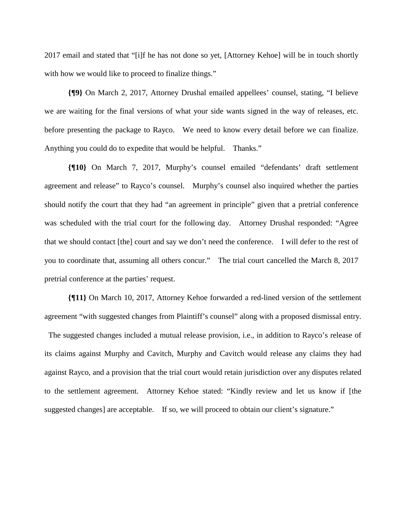2017 email and stated that "[i]f he has not done so yet, [Attorney Kehoe] will be in touch shortly with how we would like to proceed to finalize things."

**{¶9}** On March 2, 2017, Attorney Drushal emailed appellees' counsel, stating, "I believe we are waiting for the final versions of what your side wants signed in the way of releases, etc. before presenting the package to Rayco. We need to know every detail before we can finalize. Anything you could do to expedite that would be helpful. Thanks."

**{¶10}** On March 7, 2017, Murphy's counsel emailed "defendants' draft settlement agreement and release" to Rayco's counsel. Murphy's counsel also inquired whether the parties should notify the court that they had "an agreement in principle" given that a pretrial conference was scheduled with the trial court for the following day. Attorney Drushal responded: "Agree that we should contact [the] court and say we don't need the conference. I will defer to the rest of you to coordinate that, assuming all others concur." The trial court cancelled the March 8, 2017 pretrial conference at the parties' request.

**{¶11}** On March 10, 2017, Attorney Kehoe forwarded a red-lined version of the settlement agreement "with suggested changes from Plaintiff's counsel" along with a proposed dismissal entry.

 The suggested changes included a mutual release provision, i.e., in addition to Rayco's release of its claims against Murphy and Cavitch, Murphy and Cavitch would release any claims they had against Rayco, and a provision that the trial court would retain jurisdiction over any disputes related to the settlement agreement. Attorney Kehoe stated: "Kindly review and let us know if [the suggested changes] are acceptable. If so, we will proceed to obtain our client's signature."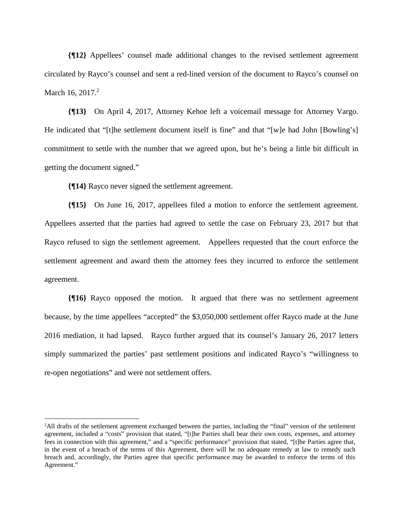**{¶12}** Appellees' counsel made additional changes to the revised settlement agreement circulated by Rayco's counsel and sent a red-lined version of the document to Rayco's counsel on March 16, 2017.<sup>2</sup>

**{¶13}** On April 4, 2017, Attorney Kehoe left a voicemail message for Attorney Vargo. He indicated that "[t]he settlement document itself is fine" and that "[w]e had John [Bowling's] commitment to settle with the number that we agreed upon, but he's being a little bit difficult in getting the document signed."

**{¶14}** Rayco never signed the settlement agreement.

 $\overline{a}$ 

**{¶15}** On June 16, 2017, appellees filed a motion to enforce the settlement agreement. Appellees asserted that the parties had agreed to settle the case on February 23, 2017 but that Rayco refused to sign the settlement agreement. Appellees requested that the court enforce the settlement agreement and award them the attorney fees they incurred to enforce the settlement agreement.

**{¶16}** Rayco opposed the motion. It argued that there was no settlement agreement because, by the time appellees "accepted" the \$3,050,000 settlement offer Rayco made at the June 2016 mediation, it had lapsed. Rayco further argued that its counsel's January 26, 2017 letters simply summarized the parties' past settlement positions and indicated Rayco's "willingness to re-open negotiations" and were not settlement offers.

<sup>&</sup>lt;sup>2</sup>All drafts of the settlement agreement exchanged between the parties, including the "final" version of the settlement agreement, included a "costs" provision that stated, "[t]he Parties shall bear their own costs, expenses, and attorney fees in connection with this agreement," and a "specific performance" provision that stated, "[t]he Parties agree that, in the event of a breach of the terms of this Agreement, there will be no adequate remedy at law to remedy such breach and, accordingly, the Parties agree that specific performance may be awarded to enforce the terms of this Agreement."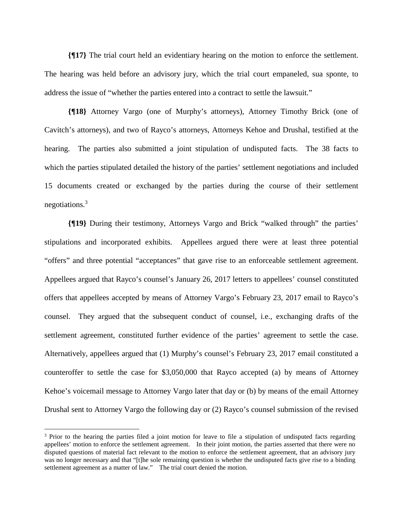**{¶17}** The trial court held an evidentiary hearing on the motion to enforce the settlement. The hearing was held before an advisory jury, which the trial court empaneled, sua sponte, to address the issue of "whether the parties entered into a contract to settle the lawsuit."

**{¶18}** Attorney Vargo (one of Murphy's attorneys), Attorney Timothy Brick (one of Cavitch's attorneys), and two of Rayco's attorneys, Attorneys Kehoe and Drushal, testified at the hearing. The parties also submitted a joint stipulation of undisputed facts. The 38 facts to which the parties stipulated detailed the history of the parties' settlement negotiations and included 15 documents created or exchanged by the parties during the course of their settlement negotiations.3

**{¶19}** During their testimony, Attorneys Vargo and Brick "walked through" the parties' stipulations and incorporated exhibits. Appellees argued there were at least three potential "offers" and three potential "acceptances" that gave rise to an enforceable settlement agreement. Appellees argued that Rayco's counsel's January 26, 2017 letters to appellees' counsel constituted offers that appellees accepted by means of Attorney Vargo's February 23, 2017 email to Rayco's counsel. They argued that the subsequent conduct of counsel, i.e., exchanging drafts of the settlement agreement, constituted further evidence of the parties' agreement to settle the case. Alternatively, appellees argued that (1) Murphy's counsel's February 23, 2017 email constituted a counteroffer to settle the case for \$3,050,000 that Rayco accepted (a) by means of Attorney Kehoe's voicemail message to Attorney Vargo later that day or (b) by means of the email Attorney Drushal sent to Attorney Vargo the following day or (2) Rayco's counsel submission of the revised

 $\overline{a}$ 

<sup>&</sup>lt;sup>3</sup> Prior to the hearing the parties filed a joint motion for leave to file a stipulation of undisputed facts regarding appellees' motion to enforce the settlement agreement. In their joint motion, the parties asserted that there were no disputed questions of material fact relevant to the motion to enforce the settlement agreement, that an advisory jury was no longer necessary and that "[t]he sole remaining question is whether the undisputed facts give rise to a binding settlement agreement as a matter of law." The trial court denied the motion.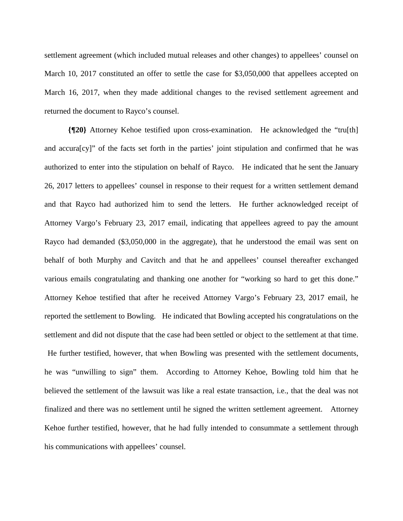settlement agreement (which included mutual releases and other changes) to appellees' counsel on March 10, 2017 constituted an offer to settle the case for \$3,050,000 that appellees accepted on March 16, 2017, when they made additional changes to the revised settlement agreement and returned the document to Rayco's counsel.

**{¶20}** Attorney Kehoe testified upon cross-examination. He acknowledged the "tru[th] and accura[cy]" of the facts set forth in the parties' joint stipulation and confirmed that he was authorized to enter into the stipulation on behalf of Rayco. He indicated that he sent the January 26, 2017 letters to appellees' counsel in response to their request for a written settlement demand and that Rayco had authorized him to send the letters. He further acknowledged receipt of Attorney Vargo's February 23, 2017 email, indicating that appellees agreed to pay the amount Rayco had demanded (\$3,050,000 in the aggregate), that he understood the email was sent on behalf of both Murphy and Cavitch and that he and appellees' counsel thereafter exchanged various emails congratulating and thanking one another for "working so hard to get this done." Attorney Kehoe testified that after he received Attorney Vargo's February 23, 2017 email, he reported the settlement to Bowling. He indicated that Bowling accepted his congratulations on the settlement and did not dispute that the case had been settled or object to the settlement at that time. He further testified, however, that when Bowling was presented with the settlement documents, he was "unwilling to sign" them. According to Attorney Kehoe, Bowling told him that he believed the settlement of the lawsuit was like a real estate transaction, i.e., that the deal was not finalized and there was no settlement until he signed the written settlement agreement. Attorney Kehoe further testified, however, that he had fully intended to consummate a settlement through his communications with appellees' counsel.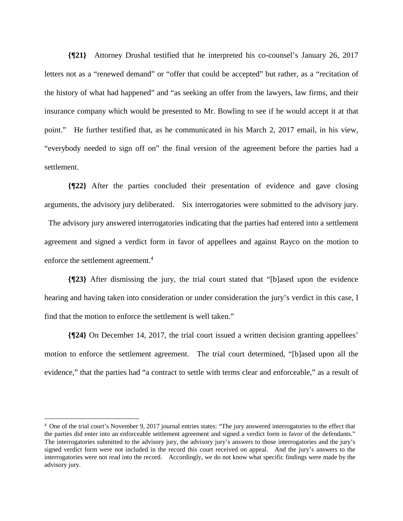**{¶21}** Attorney Drushal testified that he interpreted his co-counsel's January 26, 2017 letters not as a "renewed demand" or "offer that could be accepted" but rather, as a "recitation of the history of what had happened" and "as seeking an offer from the lawyers, law firms, and their insurance company which would be presented to Mr. Bowling to see if he would accept it at that point." He further testified that, as he communicated in his March 2, 2017 email, in his view, "everybody needed to sign off on" the final version of the agreement before the parties had a settlement.

**{¶22}** After the parties concluded their presentation of evidence and gave closing arguments, the advisory jury deliberated. Six interrogatories were submitted to the advisory jury.

 The advisory jury answered interrogatories indicating that the parties had entered into a settlement agreement and signed a verdict form in favor of appellees and against Rayco on the motion to enforce the settlement agreement.<sup>4</sup>

**{¶23}** After dismissing the jury, the trial court stated that "[b]ased upon the evidence hearing and having taken into consideration or under consideration the jury's verdict in this case, I find that the motion to enforce the settlement is well taken."

**{¶24}** On December 14, 2017, the trial court issued a written decision granting appellees' motion to enforce the settlement agreement. The trial court determined, "[b]ased upon all the evidence," that the parties had "a contract to settle with terms clear and enforceable," as a result of

 $\overline{a}$ 

<sup>&</sup>lt;sup>4</sup> One of the trial court's November 9, 2017 journal entries states: "The jury answered interrogatories to the effect that the parties did enter into an enforceable settlement agreement and signed a verdict form in favor of the defendants." The interrogatories submitted to the advisory jury, the advisory jury's answers to those interrogatories and the jury's signed verdict form were not included in the record this court received on appeal. And the jury's answers to the interrogatories were not read into the record. Accordingly, we do not know what specific findings were made by the advisory jury.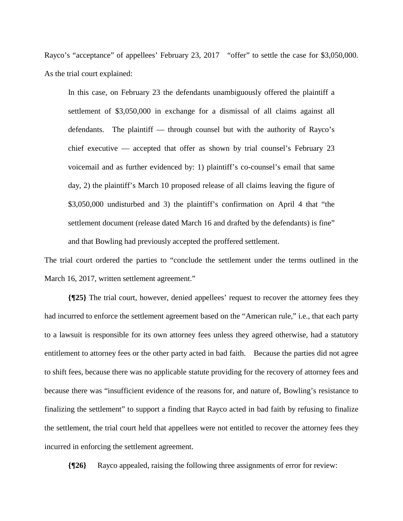Rayco's "acceptance" of appellees' February 23, 2017 "offer" to settle the case for \$3,050,000. As the trial court explained:

In this case, on February 23 the defendants unambiguously offered the plaintiff a settlement of \$3,050,000 in exchange for a dismissal of all claims against all defendants. The plaintiff — through counsel but with the authority of Rayco's chief executive — accepted that offer as shown by trial counsel's February 23 voicemail and as further evidenced by: 1) plaintiff's co-counsel's email that same day, 2) the plaintiff's March 10 proposed release of all claims leaving the figure of \$3,050,000 undisturbed and 3) the plaintiff's confirmation on April 4 that "the settlement document (release dated March 16 and drafted by the defendants) is fine" and that Bowling had previously accepted the proffered settlement.

The trial court ordered the parties to "conclude the settlement under the terms outlined in the March 16, 2017, written settlement agreement."

**{¶25}** The trial court, however, denied appellees' request to recover the attorney fees they had incurred to enforce the settlement agreement based on the "American rule," i.e., that each party to a lawsuit is responsible for its own attorney fees unless they agreed otherwise, had a statutory entitlement to attorney fees or the other party acted in bad faith. Because the parties did not agree to shift fees, because there was no applicable statute providing for the recovery of attorney fees and because there was "insufficient evidence of the reasons for, and nature of, Bowling's resistance to finalizing the settlement" to support a finding that Rayco acted in bad faith by refusing to finalize the settlement, the trial court held that appellees were not entitled to recover the attorney fees they incurred in enforcing the settlement agreement.

**{¶26}** Rayco appealed, raising the following three assignments of error for review: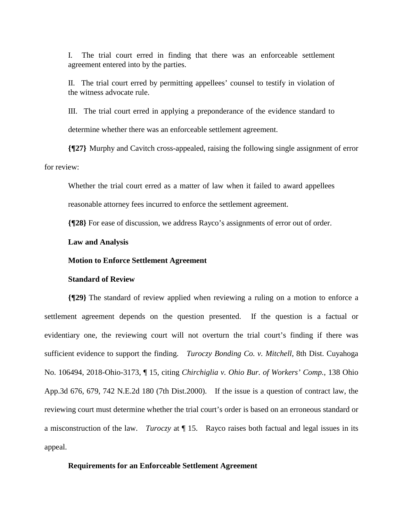I. The trial court erred in finding that there was an enforceable settlement agreement entered into by the parties.

II. The trial court erred by permitting appellees' counsel to testify in violation of the witness advocate rule.

III. The trial court erred in applying a preponderance of the evidence standard to determine whether there was an enforceable settlement agreement.

**{¶27}** Murphy and Cavitch cross-appealed, raising the following single assignment of error for review:

Whether the trial court erred as a matter of law when it failed to award appellees reasonable attorney fees incurred to enforce the settlement agreement.

**{¶28}** For ease of discussion, we address Rayco's assignments of error out of order.

### **Law and Analysis**

#### **Motion to Enforce Settlement Agreement**

#### **Standard of Review**

**{¶29}** The standard of review applied when reviewing a ruling on a motion to enforce a settlement agreement depends on the question presented. If the question is a factual or evidentiary one, the reviewing court will not overturn the trial court's finding if there was sufficient evidence to support the finding. *Turoczy Bonding Co. v. Mitchell*, 8th Dist. Cuyahoga No. 106494, 2018-Ohio-3173, ¶ 15, citing *Chirchiglia v. Ohio Bur. of Workers' Comp.*, 138 Ohio App.3d 676, 679, 742 N.E.2d 180 (7th Dist.2000). If the issue is a question of contract law, the reviewing court must determine whether the trial court's order is based on an erroneous standard or a misconstruction of the law. *Turoczy* at ¶ 15. Rayco raises both factual and legal issues in its appeal.

#### **Requirements for an Enforceable Settlement Agreement**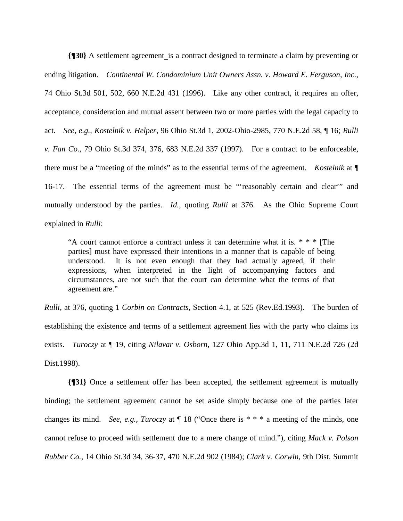**{**[30} A settlement agreement is a contract designed to terminate a claim by preventing or ending litigation. *Continental W. Condominium Unit Owners Assn. v. Howard E. Ferguson, Inc.*, 74 Ohio St.3d 501, 502, 660 N.E.2d 431 (1996). Like any other contract, it requires an offer, acceptance, consideration and mutual assent between two or more parties with the legal capacity to act. *See, e.g., Kostelnik v. Helper*, 96 Ohio St.3d 1, 2002-Ohio-2985, 770 N.E.2d 58, ¶ 16; *Rulli v. Fan Co.*, 79 Ohio St.3d 374, 376, 683 N.E.2d 337 (1997). For a contract to be enforceable, there must be a "meeting of the minds" as to the essential terms of the agreement. *Kostelnik* at ¶ 16-17. The essential terms of the agreement must be "'reasonably certain and clear'" and mutually understood by the parties. *Id.,* quoting *Rulli* at 376.As the Ohio Supreme Court explained in *Rulli*:

"A court cannot enforce a contract unless it can determine what it is.  $* * *$  [The parties] must have expressed their intentions in a manner that is capable of being understood. It is not even enough that they had actually agreed, if their expressions, when interpreted in the light of accompanying factors and circumstances, are not such that the court can determine what the terms of that agreement are."

*Rulli*, at 376, quoting 1 *Corbin on Contracts,* Section 4.1, at 525 (Rev.Ed.1993). The burden of establishing the existence and terms of a settlement agreement lies with the party who claims its exists. *Turoczy* at ¶ 19, citing *Nilavar v. Osborn*, 127 Ohio App.3d 1, 11, 711 N.E.2d 726 (2d Dist.1998).

**{¶31}** Once a settlement offer has been accepted, the settlement agreement is mutually binding; the settlement agreement cannot be set aside simply because one of the parties later changes its mind. *See, e.g., Turoczy* at ¶ 18 ("Once there is \* \* \* a meeting of the minds, one cannot refuse to proceed with settlement due to a mere change of mind."), citing *Mack v. Polson Rubber Co.*, 14 Ohio St.3d 34, 36-37, 470 N.E.2d 902 (1984); *Clark v. Corwin*, 9th Dist. Summit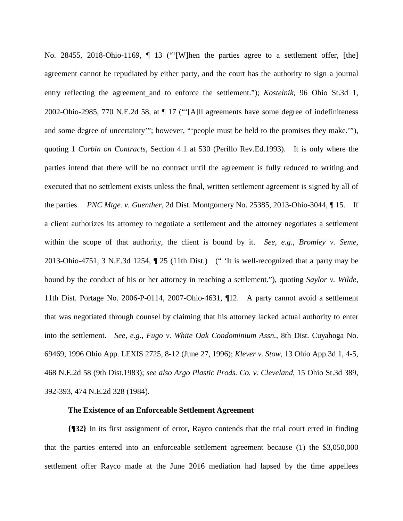No. 28455, 2018-Ohio-1169, ¶ 13 ("'[W]hen the parties agree to a settlement offer, [the] agreement cannot be repudiated by either party, and the court has the authority to sign a journal entry reflecting the agreement and to enforce the settlement."); *Kostelnik*, 96 Ohio St.3d 1, 2002-Ohio-2985, 770 N.E.2d 58, at ¶ 17 ("'[A]ll agreements have some degree of indefiniteness and some degree of uncertainty'"; however, "'people must be held to the promises they make.'"), quoting 1 *Corbin on Contracts*, Section 4.1 at 530 (Perillo Rev.Ed.1993). It is only where the parties intend that there will be no contract until the agreement is fully reduced to writing and executed that no settlement exists unless the final, written settlement agreement is signed by all of the parties. *PNC Mtge. v. Guenther*, 2d Dist. Montgomery No. 25385, 2013-Ohio-3044, ¶ 15. If a client authorizes its attorney to negotiate a settlement and the attorney negotiates a settlement within the scope of that authority, the client is bound by it. *See, e.g., Bromley v. Seme*, 2013-Ohio-4751, 3 N.E.3d 1254, ¶ 25 (11th Dist.) (" 'It is well-recognized that a party may be bound by the conduct of his or her attorney in reaching a settlement."), quoting *Saylor v. Wilde*, 11th Dist. Portage No. 2006-P-0114, 2007-Ohio-4631, ¶12. A party cannot avoid a settlement that was negotiated through counsel by claiming that his attorney lacked actual authority to enter into the settlement. *See, e.g., Fugo v. White Oak Condominium Assn.*, 8th Dist. Cuyahoga No. 69469, 1996 Ohio App. LEXIS 2725, 8-12 (June 27, 1996); *Klever v. Stow*, 13 Ohio App.3d 1, 4-5, 468 N.E.2d 58 (9th Dist.1983); *see also Argo Plastic Prods. Co. v. Cleveland*, 15 Ohio St.3d 389, 392-393, 474 N.E.2d 328 (1984).

#### **The Existence of an Enforceable Settlement Agreement**

**{¶32}** In its first assignment of error, Rayco contends that the trial court erred in finding that the parties entered into an enforceable settlement agreement because (1) the \$3,050,000 settlement offer Rayco made at the June 2016 mediation had lapsed by the time appellees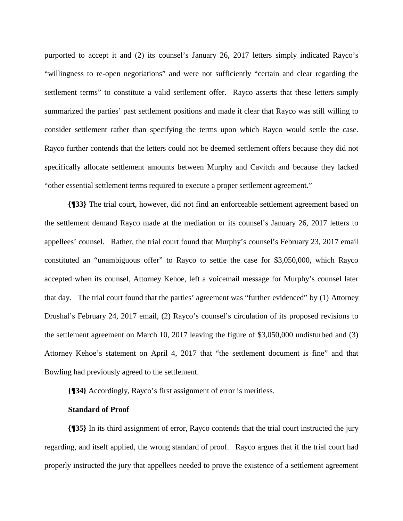purported to accept it and (2) its counsel's January 26, 2017 letters simply indicated Rayco's "willingness to re-open negotiations" and were not sufficiently "certain and clear regarding the settlement terms" to constitute a valid settlement offer. Rayco asserts that these letters simply summarized the parties' past settlement positions and made it clear that Rayco was still willing to consider settlement rather than specifying the terms upon which Rayco would settle the case. Rayco further contends that the letters could not be deemed settlement offers because they did not specifically allocate settlement amounts between Murphy and Cavitch and because they lacked "other essential settlement terms required to execute a proper settlement agreement."

**{¶33}** The trial court, however, did not find an enforceable settlement agreement based on the settlement demand Rayco made at the mediation or its counsel's January 26, 2017 letters to appellees' counsel. Rather, the trial court found that Murphy's counsel's February 23, 2017 email constituted an "unambiguous offer" to Rayco to settle the case for \$3,050,000, which Rayco accepted when its counsel, Attorney Kehoe, left a voicemail message for Murphy's counsel later that day. The trial court found that the parties' agreement was "further evidenced" by (1) Attorney Drushal's February 24, 2017 email, (2) Rayco's counsel's circulation of its proposed revisions to the settlement agreement on March 10, 2017 leaving the figure of \$3,050,000 undisturbed and (3) Attorney Kehoe's statement on April 4, 2017 that "the settlement document is fine" and that Bowling had previously agreed to the settlement.

**{¶34}** Accordingly, Rayco's first assignment of error is meritless.

#### **Standard of Proof**

**{¶35}** In its third assignment of error, Rayco contends that the trial court instructed the jury regarding, and itself applied, the wrong standard of proof. Rayco argues that if the trial court had properly instructed the jury that appellees needed to prove the existence of a settlement agreement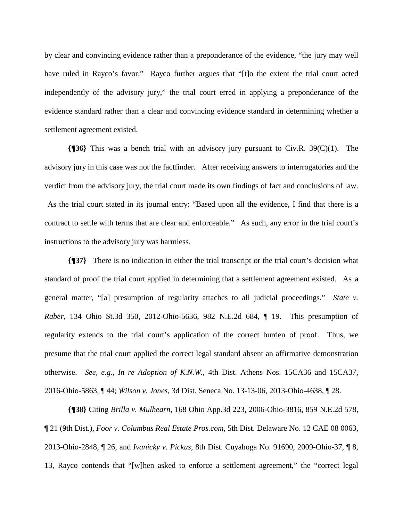by clear and convincing evidence rather than a preponderance of the evidence, "the jury may well have ruled in Rayco's favor." Rayco further argues that "[t]o the extent the trial court acted independently of the advisory jury," the trial court erred in applying a preponderance of the evidence standard rather than a clear and convincing evidence standard in determining whether a settlement agreement existed.

**{¶36}** This was a bench trial with an advisory jury pursuant to Civ.R. 39(C)(1). The advisory jury in this case was not the factfinder. After receiving answers to interrogatories and the verdict from the advisory jury, the trial court made its own findings of fact and conclusions of law. As the trial court stated in its journal entry: "Based upon all the evidence, I find that there is a contract to settle with terms that are clear and enforceable." As such, any error in the trial court's instructions to the advisory jury was harmless.

**{¶37}** There is no indication in either the trial transcript or the trial court's decision what standard of proof the trial court applied in determining that a settlement agreement existed. As a general matter, "[a] presumption of regularity attaches to all judicial proceedings." *State v. Raber*, 134 Ohio St.3d 350, 2012-Ohio-5636, 982 N.E.2d 684, ¶ 19. This presumption of regularity extends to the trial court's application of the correct burden of proof. Thus, we presume that the trial court applied the correct legal standard absent an affirmative demonstration otherwise. *See, e.g., In re Adoption of K.N.W.*, 4th Dist. Athens Nos. 15CA36 and 15CA37, 2016-Ohio-5863, ¶ 44; *Wilson v. Jones*, 3d Dist. Seneca No. 13-13-06, 2013-Ohio-4638, ¶ 28.

**{¶38}** Citing *Brilla v. Mulhearn*, 168 Ohio App.3d 223, 2006-Ohio-3816, 859 N.E.2d 578, ¶ 21 (9th Dist.), *Foor v. Columbus Real Estate Pros.com*, 5th Dist. Delaware No. 12 CAE 08 0063, 2013-Ohio-2848, ¶ 26, and *Ivanicky v. Pickus,* 8th Dist. Cuyahoga No. 91690, 2009-Ohio-37, ¶ 8, 13, Rayco contends that "[w]hen asked to enforce a settlement agreement," the "correct legal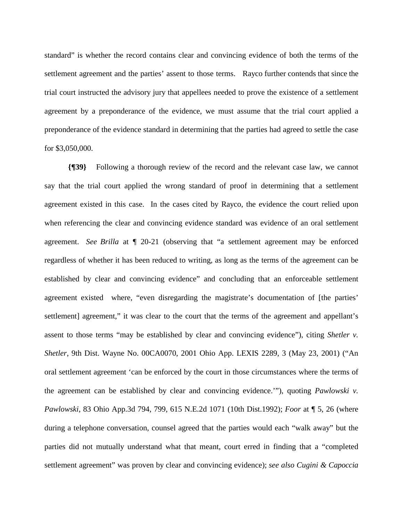standard" is whether the record contains clear and convincing evidence of both the terms of the settlement agreement and the parties' assent to those terms. Rayco further contends that since the trial court instructed the advisory jury that appellees needed to prove the existence of a settlement agreement by a preponderance of the evidence, we must assume that the trial court applied a preponderance of the evidence standard in determining that the parties had agreed to settle the case for \$3,050,000.

 **{¶39}** Following a thorough review of the record and the relevant case law, we cannot say that the trial court applied the wrong standard of proof in determining that a settlement agreement existed in this case. In the cases cited by Rayco, the evidence the court relied upon when referencing the clear and convincing evidence standard was evidence of an oral settlement agreement. *See Brilla* at ¶ 20-21 (observing that "a settlement agreement may be enforced regardless of whether it has been reduced to writing, as long as the terms of the agreement can be established by clear and convincing evidence" and concluding that an enforceable settlement agreement existed where, "even disregarding the magistrate's documentation of [the parties' settlement] agreement," it was clear to the court that the terms of the agreement and appellant's assent to those terms "may be established by clear and convincing evidence"), citing *Shetler v. Shetler*, 9th Dist. Wayne No. 00CA0070, 2001 Ohio App. LEXIS 2289, 3 (May 23, 2001) ("An oral settlement agreement 'can be enforced by the court in those circumstances where the terms of the agreement can be established by clear and convincing evidence.'"), quoting *Pawlowski v. Pawlowski*, 83 Ohio App.3d 794, 799, 615 N.E.2d 1071 (10th Dist.1992); *Foor* at ¶ 5, 26 (where during a telephone conversation, counsel agreed that the parties would each "walk away" but the parties did not mutually understand what that meant, court erred in finding that a "completed settlement agreement" was proven by clear and convincing evidence); *see also Cugini & Capoccia*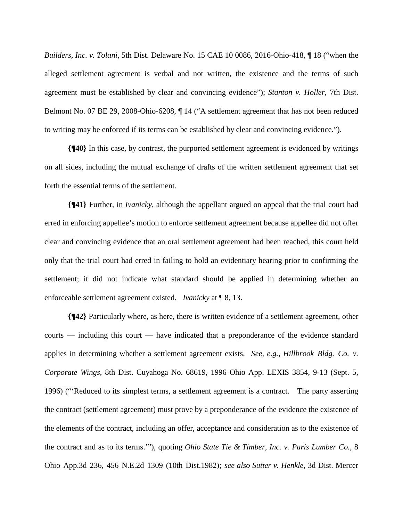*Builders, Inc. v. Tolani*, 5th Dist. Delaware No. 15 CAE 10 0086, 2016-Ohio-418, ¶ 18 ("when the alleged settlement agreement is verbal and not written, the existence and the terms of such agreement must be established by clear and convincing evidence"); *Stanton v. Holler*, 7th Dist. Belmont No. 07 BE 29, 2008-Ohio-6208, ¶ 14 ("A settlement agreement that has not been reduced to writing may be enforced if its terms can be established by clear and convincing evidence.").

**{¶40}** In this case, by contrast, the purported settlement agreement is evidenced by writings on all sides, including the mutual exchange of drafts of the written settlement agreement that set forth the essential terms of the settlement.

**{¶41}** Further, in *Ivanicky*, although the appellant argued on appeal that the trial court had erred in enforcing appellee's motion to enforce settlement agreement because appellee did not offer clear and convincing evidence that an oral settlement agreement had been reached, this court held only that the trial court had erred in failing to hold an evidentiary hearing prior to confirming the settlement; it did not indicate what standard should be applied in determining whether an enforceable settlement agreement existed. *Ivanicky* at ¶ 8, 13.

**{¶42}** Particularly where, as here, there is written evidence of a settlement agreement, other courts — including this court — have indicated that a preponderance of the evidence standard applies in determining whether a settlement agreement exists. *See, e.g., Hillbrook Bldg. Co. v. Corporate Wings*, 8th Dist. Cuyahoga No. 68619, 1996 Ohio App. LEXIS 3854, 9-13 (Sept. 5, 1996) ("'Reduced to its simplest terms, a settlement agreement is a contract. The party asserting the contract (settlement agreement) must prove by a preponderance of the evidence the existence of the elements of the contract, including an offer, acceptance and consideration as to the existence of the contract and as to its terms.'"), quoting *Ohio State Tie & Timber, Inc. v. Paris Lumber Co.*, 8 Ohio App.3d 236, 456 N.E.2d 1309 (10th Dist.1982); *see also Sutter v. Henkle*, 3d Dist. Mercer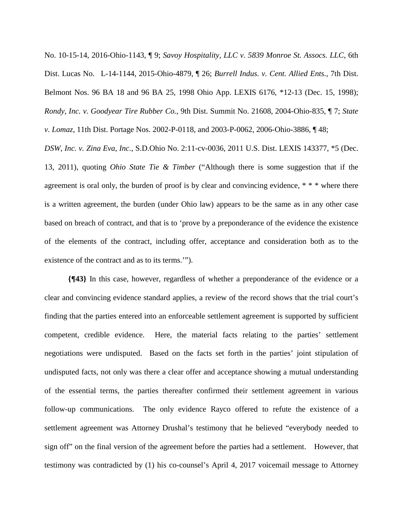No. 10-15-14, 2016-Ohio-1143, ¶ 9; *Savoy Hospitality, LLC v. 5839 Monroe St. Assocs. LLC*, 6th Dist. Lucas No. L-14-1144, 2015-Ohio-4879, ¶ 26; *Burrell Indus. v. Cent. Allied Ents.*, 7th Dist. Belmont Nos. 96 BA 18 and 96 BA 25, 1998 Ohio App. LEXIS 6176, \*12-13 (Dec. 15, 1998); *Rondy, Inc. v. Goodyear Tire Rubber Co.*, 9th Dist. Summit No. 21608, 2004-Ohio-835, ¶ 7; *State v. Lomaz,* 11th Dist. Portage Nos. 2002-P-0118, and 2003-P-0062, 2006-Ohio-3886, ¶ 48;

*DSW, Inc. v. Zina Eva, Inc.*, S.D.Ohio No. 2:11-cv-0036, 2011 U.S. Dist. LEXIS 143377, \*5 (Dec. 13, 2011), quoting *Ohio State Tie & Timber* ("Although there is some suggestion that if the agreement is oral only, the burden of proof is by clear and convincing evidence, \* \* \* where there is a written agreement, the burden (under Ohio law) appears to be the same as in any other case based on breach of contract, and that is to 'prove by a preponderance of the evidence the existence of the elements of the contract, including offer, acceptance and consideration both as to the existence of the contract and as to its terms.'").

**{¶43}** In this case, however, regardless of whether a preponderance of the evidence or a clear and convincing evidence standard applies, a review of the record shows that the trial court's finding that the parties entered into an enforceable settlement agreement is supported by sufficient competent, credible evidence. Here, the material facts relating to the parties' settlement negotiations were undisputed. Based on the facts set forth in the parties' joint stipulation of undisputed facts, not only was there a clear offer and acceptance showing a mutual understanding of the essential terms, the parties thereafter confirmed their settlement agreement in various follow-up communications. The only evidence Rayco offered to refute the existence of a settlement agreement was Attorney Drushal's testimony that he believed "everybody needed to sign off" on the final version of the agreement before the parties had a settlement. However, that testimony was contradicted by (1) his co-counsel's April 4, 2017 voicemail message to Attorney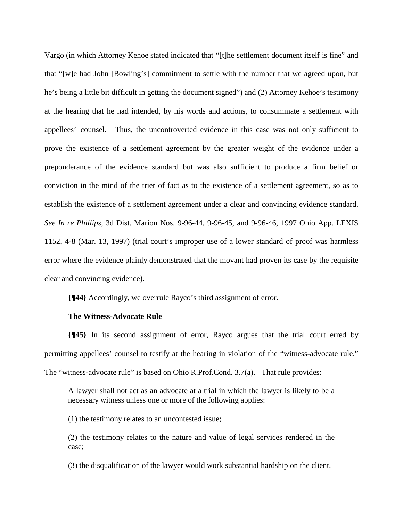Vargo (in which Attorney Kehoe stated indicated that "[t]he settlement document itself is fine" and that "[w]e had John [Bowling's] commitment to settle with the number that we agreed upon, but he's being a little bit difficult in getting the document signed") and (2) Attorney Kehoe's testimony at the hearing that he had intended, by his words and actions, to consummate a settlement with appellees' counsel. Thus, the uncontroverted evidence in this case was not only sufficient to prove the existence of a settlement agreement by the greater weight of the evidence under a preponderance of the evidence standard but was also sufficient to produce a firm belief or conviction in the mind of the trier of fact as to the existence of a settlement agreement, so as to establish the existence of a settlement agreement under a clear and convincing evidence standard. *See In re Phillips*, 3d Dist. Marion Nos. 9-96-44, 9-96-45, and 9-96-46, 1997 Ohio App. LEXIS 1152, 4-8 (Mar. 13, 1997) (trial court's improper use of a lower standard of proof was harmless error where the evidence plainly demonstrated that the movant had proven its case by the requisite clear and convincing evidence).

**{¶44}** Accordingly, we overrule Rayco's third assignment of error.

#### **The Witness-Advocate Rule**

**{¶45}** In its second assignment of error, Rayco argues that the trial court erred by permitting appellees' counsel to testify at the hearing in violation of the "witness-advocate rule." The "witness-advocate rule" is based on Ohio R.Prof.Cond. 3.7(a). That rule provides:

A lawyer shall not act as an advocate at a trial in which the lawyer is likely to be a necessary witness unless one or more of the following applies:

(1) the testimony relates to an uncontested issue;

(2) the testimony relates to the nature and value of legal services rendered in the case;

(3) the disqualification of the lawyer would work substantial hardship on the client.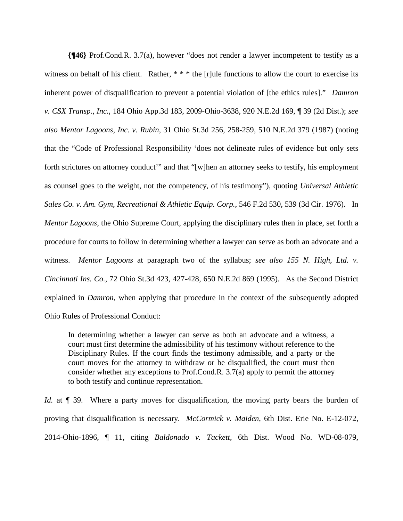**{¶46}** Prof.Cond.R. 3.7(a), however "does not render a lawyer incompetent to testify as a witness on behalf of his client. Rather, \* \* \* the [r]ule functions to allow the court to exercise its inherent power of disqualification to prevent a potential violation of [the ethics rules]." *Damron v. CSX Transp., Inc.*, 184 Ohio App.3d 183, 2009-Ohio-3638, 920 N.E.2d 169, ¶ 39 (2d Dist.); *see also Mentor Lagoons, Inc. v. Rubin*, 31 Ohio St.3d 256, 258-259, 510 N.E.2d 379 (1987) (noting that the "Code of Professional Responsibility 'does not delineate rules of evidence but only sets forth strictures on attorney conduct'" and that "[w]hen an attorney seeks to testify, his employment as counsel goes to the weight, not the competency, of his testimony"), quoting *Universal Athletic Sales Co. v. Am. Gym, Recreational & Athletic Equip. Corp.*, 546 F.2d 530, 539 (3d Cir. 1976). In *Mentor Lagoons*, the Ohio Supreme Court, applying the disciplinary rules then in place, set forth a procedure for courts to follow in determining whether a lawyer can serve as both an advocate and a witness. *Mentor Lagoons* at paragraph two of the syllabus; *see also 155 N. High, Ltd. v. Cincinnati Ins. Co.*, 72 Ohio St.3d 423, 427-428, 650 N.E.2d 869 (1995). As the Second District explained in *Damron*, when applying that procedure in the context of the subsequently adopted Ohio Rules of Professional Conduct:

In determining whether a lawyer can serve as both an advocate and a witness, a court must first determine the admissibility of his testimony without reference to the Disciplinary Rules. If the court finds the testimony admissible, and a party or the court moves for the attorney to withdraw or be disqualified, the court must then consider whether any exceptions to Prof.Cond.R. 3.7(a) apply to permit the attorney to both testify and continue representation.

*Id.* at  $\parallel$  39. Where a party moves for disqualification, the moving party bears the burden of proving that disqualification is necessary. *McCormick v. Maiden*, 6th Dist. Erie No. E-12-072, 2014-Ohio-1896, ¶ 11, citing *Baldonado v. Tackett*, 6th Dist. Wood No. WD-08-079,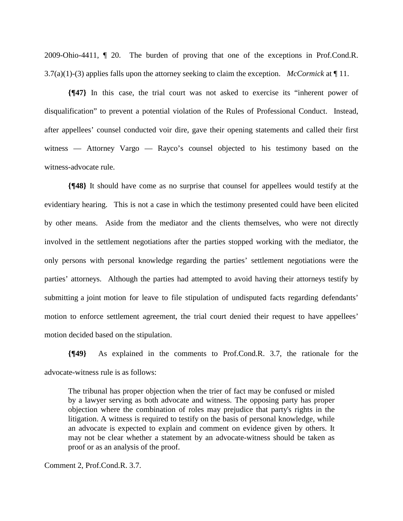2009-Ohio-4411, ¶ 20. The burden of proving that one of the exceptions in Prof.Cond.R. 3.7(a)(1)-(3) applies falls upon the attorney seeking to claim the exception. *McCormick* at ¶ 11.

**{¶47}** In this case, the trial court was not asked to exercise its "inherent power of disqualification" to prevent a potential violation of the Rules of Professional Conduct. Instead, after appellees' counsel conducted voir dire, gave their opening statements and called their first witness — Attorney Vargo — Rayco's counsel objected to his testimony based on the witness-advocate rule.

**{¶48}** It should have come as no surprise that counsel for appellees would testify at the evidentiary hearing. This is not a case in which the testimony presented could have been elicited by other means. Aside from the mediator and the clients themselves, who were not directly involved in the settlement negotiations after the parties stopped working with the mediator, the only persons with personal knowledge regarding the parties' settlement negotiations were the parties' attorneys. Although the parties had attempted to avoid having their attorneys testify by submitting a joint motion for leave to file stipulation of undisputed facts regarding defendants' motion to enforce settlement agreement, the trial court denied their request to have appellees' motion decided based on the stipulation.

**{¶49}** As explained in the comments to Prof.Cond.R. 3.7, the rationale for the advocate-witness rule is as follows:

The tribunal has proper objection when the trier of fact may be confused or misled by a lawyer serving as both advocate and witness. The opposing party has proper objection where the combination of roles may prejudice that party's rights in the litigation. A witness is required to testify on the basis of personal knowledge, while an advocate is expected to explain and comment on evidence given by others. It may not be clear whether a statement by an advocate-witness should be taken as proof or as an analysis of the proof.

Comment 2, Prof.Cond.R. 3.7.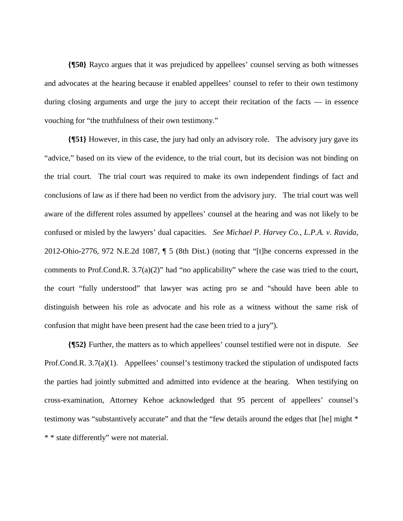**{¶50}** Rayco argues that it was prejudiced by appellees' counsel serving as both witnesses and advocates at the hearing because it enabled appellees' counsel to refer to their own testimony during closing arguments and urge the jury to accept their recitation of the facts — in essence vouching for "the truthfulness of their own testimony."

**{¶51}** However, in this case, the jury had only an advisory role. The advisory jury gave its "advice," based on its view of the evidence, to the trial court, but its decision was not binding on the trial court. The trial court was required to make its own independent findings of fact and conclusions of law as if there had been no verdict from the advisory jury. The trial court was well aware of the different roles assumed by appellees' counsel at the hearing and was not likely to be confused or misled by the lawyers' dual capacities. *See Michael P. Harvey Co., L.P.A. v. Ravida*, 2012-Ohio-2776, 972 N.E.2d 1087, ¶ 5 (8th Dist.) (noting that "[t]he concerns expressed in the comments to Prof.Cond.R. 3.7(a)(2)" had "no applicability" where the case was tried to the court, the court "fully understood" that lawyer was acting pro se and "should have been able to distinguish between his role as advocate and his role as a witness without the same risk of confusion that might have been present had the case been tried to a jury").

**{¶52}** Further, the matters as to which appellees' counsel testified were not in dispute. *See* Prof.Cond.R. 3.7(a)(1). Appellees' counsel's testimony tracked the stipulation of undisputed facts the parties had jointly submitted and admitted into evidence at the hearing. When testifying on cross-examination, Attorney Kehoe acknowledged that 95 percent of appellees' counsel's testimony was "substantively accurate" and that the "few details around the edges that [he] might \* \* \* state differently" were not material.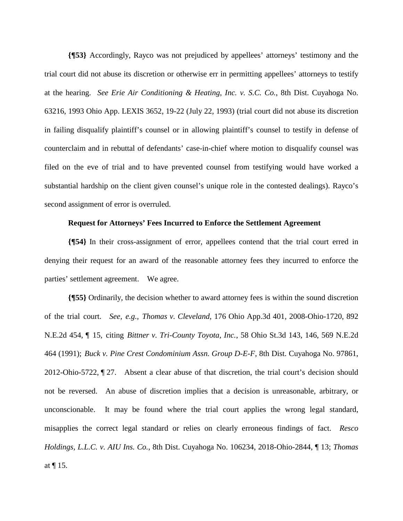**{¶53}** Accordingly, Rayco was not prejudiced by appellees' attorneys' testimony and the trial court did not abuse its discretion or otherwise err in permitting appellees' attorneys to testify at the hearing. *See Erie Air Conditioning & Heating, Inc. v. S.C. Co.*, 8th Dist. Cuyahoga No. 63216, 1993 Ohio App. LEXIS 3652, 19-22 (July 22, 1993) (trial court did not abuse its discretion in failing disqualify plaintiff's counsel or in allowing plaintiff's counsel to testify in defense of counterclaim and in rebuttal of defendants' case-in-chief where motion to disqualify counsel was filed on the eve of trial and to have prevented counsel from testifying would have worked a substantial hardship on the client given counsel's unique role in the contested dealings). Rayco's second assignment of error is overruled.

### **Request for Attorneys' Fees Incurred to Enforce the Settlement Agreement**

**{¶54}** In their cross-assignment of error, appellees contend that the trial court erred in denying their request for an award of the reasonable attorney fees they incurred to enforce the parties' settlement agreement. We agree.

**{¶55}** Ordinarily, the decision whether to award attorney fees is within the sound discretion of the trial court. *See, e.g., Thomas v. Cleveland*, 176 Ohio App.3d 401, 2008-Ohio-1720, 892 N.E.2d 454, ¶ 15, citing *Bittner v. Tri-County Toyota, Inc.*, 58 Ohio St.3d 143, 146, 569 N.E.2d 464 (1991); *Buck v. Pine Crest Condominium Assn. Group D-E-F*, 8th Dist. Cuyahoga No. 97861, 2012-Ohio-5722, ¶ 27. Absent a clear abuse of that discretion, the trial court's decision should not be reversed. An abuse of discretion implies that a decision is unreasonable, arbitrary, or unconscionable. It may be found where the trial court applies the wrong legal standard, misapplies the correct legal standard or relies on clearly erroneous findings of fact. *Resco Holdings, L.L.C. v. AIU Ins. Co.*, 8th Dist. Cuyahoga No. 106234, 2018-Ohio-2844, ¶ 13; *Thomas* at ¶ 15.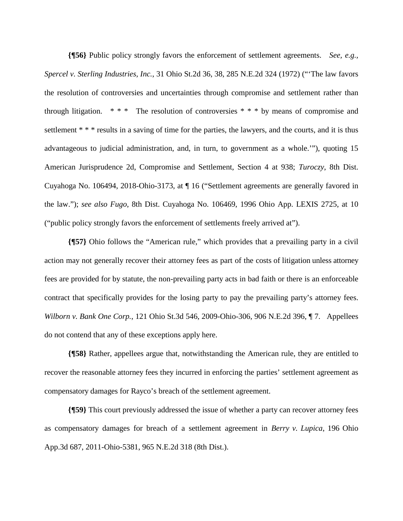**{¶56}** Public policy strongly favors the enforcement of settlement agreements. *See, e.g., Spercel v. Sterling Industries, Inc.*, 31 Ohio St.2d 36, 38, 285 N.E.2d 324 (1972) ("'The law favors the resolution of controversies and uncertainties through compromise and settlement rather than through litigation.  $***$  The resolution of controversies  $***$  by means of compromise and settlement \* \* \* results in a saving of time for the parties, the lawyers, and the courts, and it is thus advantageous to judicial administration, and, in turn, to government as a whole.'"), quoting 15 American Jurisprudence 2d, Compromise and Settlement, Section 4 at 938; *Turoczy*, 8th Dist. Cuyahoga No. 106494, 2018-Ohio-3173, at ¶ 16 ("Settlement agreements are generally favored in the law."); *see also Fugo*, 8th Dist. Cuyahoga No. 106469, 1996 Ohio App. LEXIS 2725, at 10 ("public policy strongly favors the enforcement of settlements freely arrived at").

**{¶57}** Ohio follows the "American rule," which provides that a prevailing party in a civil action may not generally recover their attorney fees as part of the costs of litigation unless attorney fees are provided for by statute, the non-prevailing party acts in bad faith or there is an enforceable contract that specifically provides for the losing party to pay the prevailing party's attorney fees. *Wilborn v. Bank One Corp.*, 121 Ohio St.3d 546, 2009-Ohio-306, 906 N.E.2d 396, ¶ 7. Appellees do not contend that any of these exceptions apply here.

**{¶58}** Rather, appellees argue that, notwithstanding the American rule, they are entitled to recover the reasonable attorney fees they incurred in enforcing the parties' settlement agreement as compensatory damages for Rayco's breach of the settlement agreement.

**{¶59}** This court previously addressed the issue of whether a party can recover attorney fees as compensatory damages for breach of a settlement agreement in *Berry v. Lupica*, 196 Ohio App.3d 687, 2011-Ohio-5381, 965 N.E.2d 318 (8th Dist.).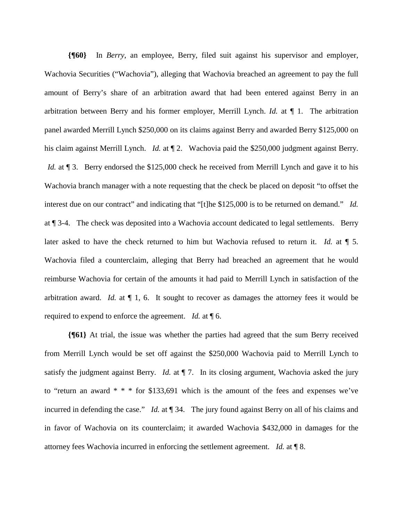**{¶60}** In *Berry*, an employee, Berry, filed suit against his supervisor and employer, Wachovia Securities ("Wachovia"), alleging that Wachovia breached an agreement to pay the full amount of Berry's share of an arbitration award that had been entered against Berry in an arbitration between Berry and his former employer, Merrill Lynch. *Id.* at ¶ 1. The arbitration panel awarded Merrill Lynch \$250,000 on its claims against Berry and awarded Berry \$125,000 on his claim against Merrill Lynch. *Id.* at ¶ 2. Wachovia paid the \$250,000 judgment against Berry. *Id.* at  $\llbracket 3$ . Berry endorsed the \$125,000 check he received from Merrill Lynch and gave it to his Wachovia branch manager with a note requesting that the check be placed on deposit "to offset the interest due on our contract" and indicating that "[t]he \$125,000 is to be returned on demand." *Id.* at ¶ 3-4. The check was deposited into a Wachovia account dedicated to legal settlements. Berry later asked to have the check returned to him but Wachovia refused to return it. *Id.* at ¶ 5. Wachovia filed a counterclaim, alleging that Berry had breached an agreement that he would reimburse Wachovia for certain of the amounts it had paid to Merrill Lynch in satisfaction of the arbitration award. *Id.* at  $\P$  1, 6. It sought to recover as damages the attorney fees it would be required to expend to enforce the agreement. *Id.* at ¶ 6.

**{¶61}** At trial, the issue was whether the parties had agreed that the sum Berry received from Merrill Lynch would be set off against the \$250,000 Wachovia paid to Merrill Lynch to satisfy the judgment against Berry. *Id.* at  $\P$  7. In its closing argument, Wachovia asked the jury to "return an award  $* * *$  for \$133,691 which is the amount of the fees and expenses we've incurred in defending the case." *Id.* at ¶ 34. The jury found against Berry on all of his claims and in favor of Wachovia on its counterclaim; it awarded Wachovia \$432,000 in damages for the attorney fees Wachovia incurred in enforcing the settlement agreement. *Id.* at ¶ 8.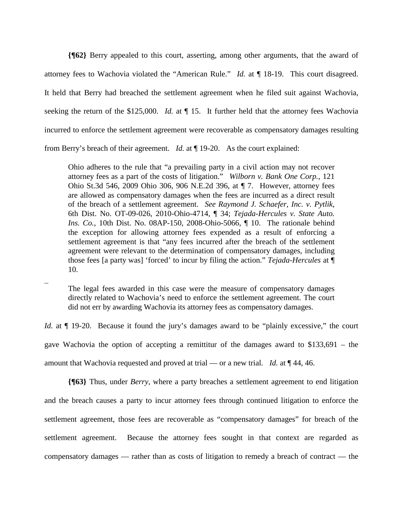**{¶62}** Berry appealed to this court, asserting, among other arguments, that the award of attorney fees to Wachovia violated the "American Rule." *Id.* at ¶ 18-19. This court disagreed. It held that Berry had breached the settlement agreement when he filed suit against Wachovia, seeking the return of the \$125,000. *Id.* at ¶ 15. It further held that the attorney fees Wachovia incurred to enforce the settlement agreement were recoverable as compensatory damages resulting from Berry's breach of their agreement. *Id.* at ¶ 19-20. As the court explained:

Ohio adheres to the rule that "a prevailing party in a civil action may not recover attorney fees as a part of the costs of litigation." *Wilborn v. Bank One Corp.*, 121 Ohio St.3d 546, 2009 Ohio 306, 906 N.E.2d 396, at ¶ 7. However, attorney fees are allowed as compensatory damages when the fees are incurred as a direct result of the breach of a settlement agreement. *See Raymond J. Schaefer, Inc. v. Pytlik*, 6th Dist. No. OT-09-026, 2010-Ohio-4714, ¶ 34; *Tejada-Hercules v. State Auto. Ins. Co.*, 10th Dist. No. 08AP-150, 2008-Ohio-5066, ¶ 10. The rationale behind the exception for allowing attorney fees expended as a result of enforcing a settlement agreement is that "any fees incurred after the breach of the settlement agreement were relevant to the determination of compensatory damages, including those fees [a party was] 'forced' to incur by filing the action." *Tejada-Hercules* at ¶ 10.

The legal fees awarded in this case were the measure of compensatory damages directly related to Wachovia's need to enforce the settlement agreement. The court did not err by awarding Wachovia its attorney fees as compensatory damages.

*Id.* at  $\P$  19-20. Because it found the jury's damages award to be "plainly excessive," the court gave Wachovia the option of accepting a remittitur of the damages award to \$133,691 – the amount that Wachovia requested and proved at trial — or a new trial. *Id.* at ¶ 44, 46.

**{¶63}** Thus, under *Berry*, where a party breaches a settlement agreement to end litigation and the breach causes a party to incur attorney fees through continued litigation to enforce the settlement agreement, those fees are recoverable as "compensatory damages" for breach of the settlement agreement. Because the attorney fees sought in that context are regarded as compensatory damages — rather than as costs of litigation to remedy a breach of contract — the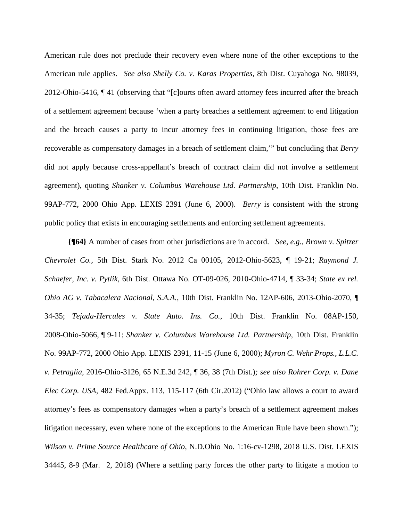American rule does not preclude their recovery even where none of the other exceptions to the American rule applies. *See also Shelly Co. v. Karas Properties*, 8th Dist. Cuyahoga No. 98039, 2012-Ohio-5416, ¶ 41 (observing that "[c]ourts often award attorney fees incurred after the breach of a settlement agreement because 'when a party breaches a settlement agreement to end litigation and the breach causes a party to incur attorney fees in continuing litigation, those fees are recoverable as compensatory damages in a breach of settlement claim,'" but concluding that *Berry* did not apply because cross-appellant's breach of contract claim did not involve a settlement agreement), quoting *Shanker v. Columbus Warehouse Ltd. Partnership*, 10th Dist. Franklin No. 99AP-772, 2000 Ohio App. LEXIS 2391 (June 6, 2000). *Berry* is consistent with the strong public policy that exists in encouraging settlements and enforcing settlement agreements.

**{¶64}** A number of cases from other jurisdictions are in accord. *See, e.g., Brown v. Spitzer Chevrolet Co.,* 5th Dist. Stark No. 2012 Ca 00105, 2012-Ohio-5623, ¶ 19-21; *Raymond J. Schaefer, Inc. v. Pytlik*, 6th Dist. Ottawa No. OT-09-026, 2010-Ohio-4714, ¶ 33-34; *State ex rel. Ohio AG v. Tabacalera Nacional, S.A.A.*, 10th Dist. Franklin No. 12AP-606, 2013-Ohio-2070, ¶ 34-35; *Tejada-Hercules v. State Auto. Ins. Co.*, 10th Dist. Franklin No. 08AP-150, 2008-Ohio-5066, ¶ 9-11; *Shanker v. Columbus Warehouse Ltd. Partnership*, 10th Dist. Franklin No. 99AP-772, 2000 Ohio App. LEXIS 2391, 11-15 (June 6, 2000); *Myron C. Wehr Props., L.L.C. v. Petraglia*, 2016-Ohio-3126, 65 N.E.3d 242, ¶ 36, 38 (7th Dist.)*; see also Rohrer Corp. v. Dane Elec Corp. USA*, 482 Fed.Appx. 113, 115-117 (6th Cir.2012) ("Ohio law allows a court to award attorney's fees as compensatory damages when a party's breach of a settlement agreement makes litigation necessary, even where none of the exceptions to the American Rule have been shown."); *Wilson v. Prime Source Healthcare of Ohio*, N.D.Ohio No. 1:16-cv-1298, 2018 U.S. Dist. LEXIS 34445, 8-9 (Mar. 2, 2018) (Where a settling party forces the other party to litigate a motion to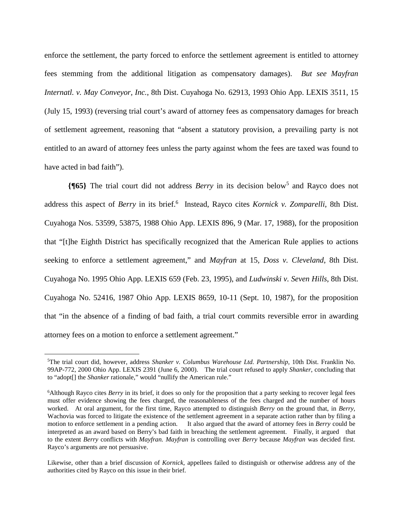enforce the settlement, the party forced to enforce the settlement agreement is entitled to attorney fees stemming from the additional litigation as compensatory damages). *But see Mayfran Internatl. v. May Conveyor, Inc.*, 8th Dist. Cuyahoga No. 62913, 1993 Ohio App. LEXIS 3511, 15 (July 15, 1993) (reversing trial court's award of attorney fees as compensatory damages for breach of settlement agreement, reasoning that "absent a statutory provision, a prevailing party is not entitled to an award of attorney fees unless the party against whom the fees are taxed was found to have acted in bad faith").

**{¶65}** The trial court did not address *Berry* in its decision below<sup>5</sup> and Rayco does not address this aspect of *Berry* in its brief.<sup>6</sup> Instead, Rayco cites *Kornick v. Zomparelli*, 8th Dist. Cuyahoga Nos. 53599, 53875, 1988 Ohio App. LEXIS 896, 9 (Mar. 17, 1988), for the proposition that "[t]he Eighth District has specifically recognized that the American Rule applies to actions seeking to enforce a settlement agreement," and *Mayfran* at 15*, Doss v. Cleveland*, 8th Dist. Cuyahoga No. 1995 Ohio App. LEXIS 659 (Feb. 23, 1995), and *Ludwinski v. Seven Hills*, 8th Dist. Cuyahoga No. 52416, 1987 Ohio App. LEXIS 8659, 10-11 (Sept. 10, 1987), for the proposition that "in the absence of a finding of bad faith, a trial court commits reversible error in awarding attorney fees on a motion to enforce a settlement agreement."

 $\overline{a}$ 

<sup>5</sup> The trial court did, however, address *Shanker v. Columbus Warehouse Ltd. Partnership*, 10th Dist. Franklin No. 99AP-772, 2000 Ohio App. LEXIS 2391 (June 6, 2000). The trial court refused to apply *Shanker*, concluding that to "adopt[] the *Shanker* rationale," would "nullify the American rule."

<sup>&</sup>lt;sup>6</sup>Although Rayco cites *Berry* in its brief, it does so only for the proposition that a party seeking to recover legal fees must offer evidence showing the fees charged, the reasonableness of the fees charged and the number of hours worked. At oral argument, for the first time, Rayco attempted to distinguish *Berry* on the ground that, in *Berry,*  Wachovia was forced to litigate the existence of the settlement agreement in a separate action rather than by filing a motion to enforce settlement in a pending action. It also argued that the award of attorney fees in *Berry* could be interpreted as an award based on Berry's bad faith in breaching the settlement agreement. Finally, it argued that to the extent *Berry* conflicts with *Mayfran. Mayfran* is controlling over *Berry* because *Mayfran* was decided first. Rayco's arguments are not persuasive.

Likewise, other than a brief discussion of *Kornick,* appellees failed to distinguish or otherwise address any of the authorities cited by Rayco on this issue in their brief.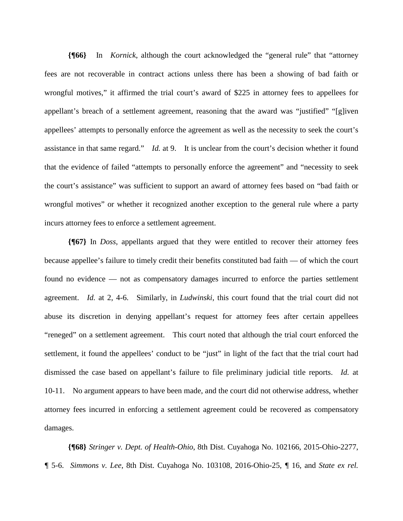**{¶66}** In *Kornick*, although the court acknowledged the "general rule" that "attorney fees are not recoverable in contract actions unless there has been a showing of bad faith or wrongful motives," it affirmed the trial court's award of \$225 in attorney fees to appellees for appellant's breach of a settlement agreement, reasoning that the award was "justified" "[g]iven appellees' attempts to personally enforce the agreement as well as the necessity to seek the court's assistance in that same regard." *Id.* at 9. It is unclear from the court's decision whether it found that the evidence of failed "attempts to personally enforce the agreement" and "necessity to seek the court's assistance" was sufficient to support an award of attorney fees based on "bad faith or wrongful motives" or whether it recognized another exception to the general rule where a party incurs attorney fees to enforce a settlement agreement.

**{¶67}** In *Doss*, appellants argued that they were entitled to recover their attorney fees because appellee's failure to timely credit their benefits constituted bad faith — of which the court found no evidence — not as compensatory damages incurred to enforce the parties settlement agreement. *Id.* at 2, 4-6. Similarly, in *Ludwinski*, this court found that the trial court did not abuse its discretion in denying appellant's request for attorney fees after certain appellees "reneged" on a settlement agreement. This court noted that although the trial court enforced the settlement, it found the appellees' conduct to be "just" in light of the fact that the trial court had dismissed the case based on appellant's failure to file preliminary judicial title reports. *Id.* at 10-11. No argument appears to have been made, and the court did not otherwise address, whether attorney fees incurred in enforcing a settlement agreement could be recovered as compensatory damages.

**{¶68}** *Stringer v. Dept. of Health-Ohio*, 8th Dist. Cuyahoga No. 102166, 2015-Ohio-2277, *¶* 5-6. *Simmons v. Lee*, 8th Dist. Cuyahoga No. 103108, 2016-Ohio-25, *¶* 16, and *State ex rel.*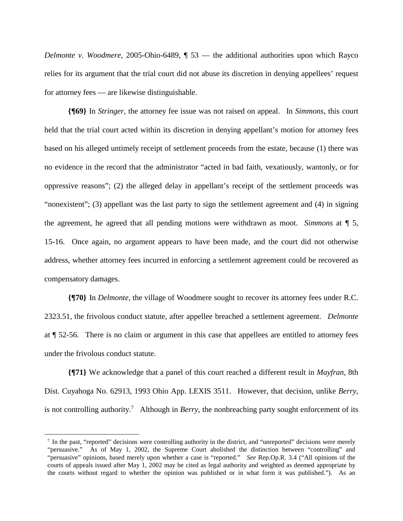*Delmonte v. Woodmere*, 2005-Ohio-6489, ¶ 53 — the additional authorities upon which Rayco relies for its argument that the trial court did not abuse its discretion in denying appellees' request for attorney fees — are likewise distinguishable.

**{¶69}** In *Stringer*, the attorney fee issue was not raised on appeal. In *Simmons*, this court held that the trial court acted within its discretion in denying appellant's motion for attorney fees based on his alleged untimely receipt of settlement proceeds from the estate, because (1) there was no evidence in the record that the administrator "acted in bad faith, vexatiously, wantonly, or for oppressive reasons"; (2) the alleged delay in appellant's receipt of the settlement proceeds was "nonexistent"; (3) appellant was the last party to sign the settlement agreement and (4) in signing the agreement, he agreed that all pending motions were withdrawn as moot. *Simmons* at *¶* 5, 15-16. Once again, no argument appears to have been made, and the court did not otherwise address, whether attorney fees incurred in enforcing a settlement agreement could be recovered as compensatory damages.

**{¶70}** In *Delmonte*, the village of Woodmere sought to recover its attorney fees under R.C. 2323.51, the frivolous conduct statute, after appellee breached a settlement agreement. *Delmonte* at ¶ 52-56. There is no claim or argument in this case that appellees are entitled to attorney fees under the frivolous conduct statute.

**{¶71}** We acknowledge that a panel of this court reached a different result in *Mayfran,* 8th Dist. Cuyahoga No. 62913, 1993 Ohio App. LEXIS 3511. However, that decision, unlike *Berry*, is not controlling authority.<sup>7</sup> Although in *Berry*, the nonbreaching party sought enforcement of its

 $\overline{a}$ 

<sup>&</sup>lt;sup>7</sup> In the past, "reported" decisions were controlling authority in the district, and "unreported" decisions were merely "persuasive." As of May 1, 2002, the Supreme Court abolished the distinction between "controlling" and "persuasive" opinions, based merely upon whether a case is "reported." *See* Rep.Op.R. 3.4 ("All opinions of the courts of appeals issued after May 1, 2002 may be cited as legal authority and weighted as deemed appropriate by the courts without regard to whether the opinion was published or in what form it was published."). As an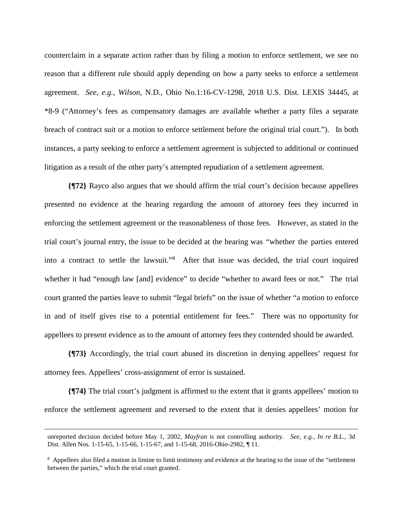counterclaim in a separate action rather than by filing a motion to enforce settlement, we see no reason that a different rule should apply depending on how a party seeks to enforce a settlement agreement. *See, e.g., Wilson,* N.D., Ohio No.1:16-CV-1298, 2018 U.S. Dist. LEXIS 34445, at \*8-9 ("Attorney's fees as compensatory damages are available whether a party files a separate breach of contract suit or a motion to enforce settlement before the original trial court."). In both instances, a party seeking to enforce a settlement agreement is subjected to additional or continued litigation as a result of the other party's attempted repudiation of a settlement agreement.

**{¶72}** Rayco also argues that we should affirm the trial court's decision because appellees presented no evidence at the hearing regarding the amount of attorney fees they incurred in enforcing the settlement agreement or the reasonableness of those fees. However, as stated in the trial court's journal entry, the issue to be decided at the hearing was "whether the parties entered into a contract to settle the lawsuit."<sup>8</sup> After that issue was decided, the trial court inquired whether it had "enough law [and] evidence" to decide "whether to award fees or not." The trial court granted the parties leave to submit "legal briefs" on the issue of whether "a motion to enforce in and of itself gives rise to a potential entitlement for fees." There was no opportunity for appellees to present evidence as to the amount of attorney fees they contended should be awarded.

**{¶73}** Accordingly, the trial court abused its discretion in denying appellees' request for attorney fees. Appellees' cross-assignment of error is sustained.

**{¶74}** The trial court's judgment is affirmed to the extent that it grants appellees' motion to enforce the settlement agreement and reversed to the extent that it denies appellees' motion for

 $\overline{a}$ 

unreported decision decided before May 1, 2002, *Mayfran* is not controlling authority*. See, e.g., In re B.L.*, 3d Dist. Allen Nos. 1-15-65, 1-15-66, 1-15-67, and 1-15-68, 2016-Ohio-2982, ¶ 11.

<sup>&</sup>lt;sup>8</sup> Appellees also filed a motion in limine to limit testimony and evidence at the hearing to the issue of the "settlement between the parties," which the trial court granted.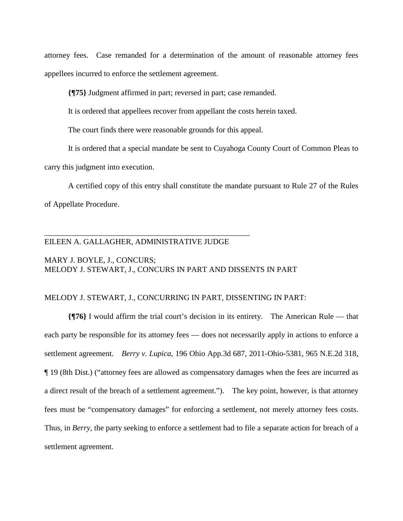attorney fees. Case remanded for a determination of the amount of reasonable attorney fees appellees incurred to enforce the settlement agreement.

**{¶75}** Judgment affirmed in part; reversed in part; case remanded.

It is ordered that appellees recover from appellant the costs herein taxed.

The court finds there were reasonable grounds for this appeal.

It is ordered that a special mandate be sent to Cuyahoga County Court of Common Pleas to carry this judgment into execution.

A certified copy of this entry shall constitute the mandate pursuant to Rule 27 of the Rules of Appellate Procedure.

## EILEEN A. GALLAGHER, ADMINISTRATIVE JUDGE

\_\_\_\_\_\_\_\_\_\_\_\_\_\_\_\_\_\_\_\_\_\_\_\_\_\_\_\_\_\_\_\_\_\_\_\_\_\_\_\_\_\_\_\_\_\_\_\_\_\_\_\_

## MARY J. BOYLE, J., CONCURS; MELODY J. STEWART, J., CONCURS IN PART AND DISSENTS IN PART

### MELODY J. STEWART, J., CONCURRING IN PART, DISSENTING IN PART:

**{¶76}** I would affirm the trial court's decision in its entirety. The American Rule — that each party be responsible for its attorney fees — does not necessarily apply in actions to enforce a settlement agreement. *Berry v. Lupica*, 196 Ohio App.3d 687, 2011-Ohio-5381, 965 N.E.2d 318, ¶ 19 (8th Dist.) ("attorney fees are allowed as compensatory damages when the fees are incurred as a direct result of the breach of a settlement agreement."). The key point, however, is that attorney fees must be "compensatory damages" for enforcing a settlement, not merely attorney fees costs. Thus, in *Berry*, the party seeking to enforce a settlement had to file a separate action for breach of a settlement agreement.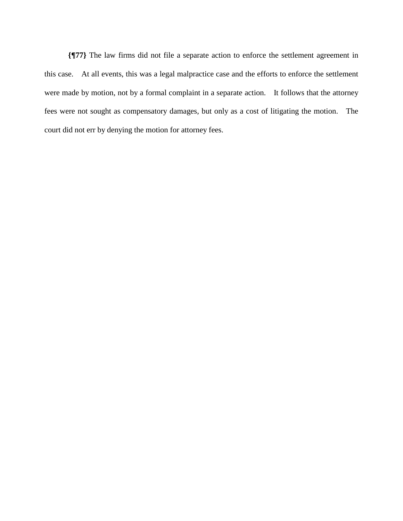**{¶77}** The law firms did not file a separate action to enforce the settlement agreement in this case. At all events, this was a legal malpractice case and the efforts to enforce the settlement were made by motion, not by a formal complaint in a separate action. It follows that the attorney fees were not sought as compensatory damages, but only as a cost of litigating the motion. The court did not err by denying the motion for attorney fees.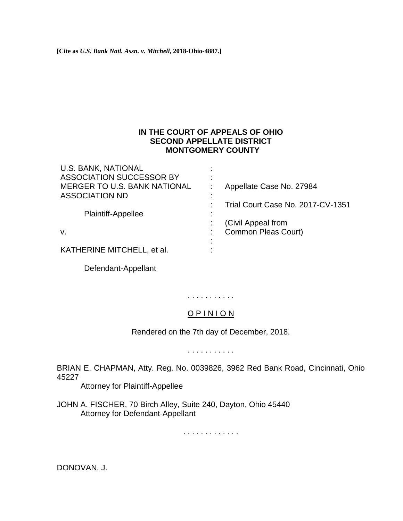**[Cite as** *U.S. Bank Natl. Assn. v. Mitchell***, 2018-Ohio-4887.]**

# **IN THE COURT OF APPEALS OF OHIO SECOND APPELLATE DISTRICT MONTGOMERY COUNTY**

| <b>U.S. BANK, NATIONAL</b>   |                                   |
|------------------------------|-----------------------------------|
| ASSOCIATION SUCCESSOR BY     |                                   |
| MERGER TO U.S. BANK NATIONAL | Appellate Case No. 27984          |
| <b>ASSOCIATION ND</b>        |                                   |
|                              | Trial Court Case No. 2017-CV-1351 |
| Plaintiff-Appellee           |                                   |
|                              | (Civil Appeal from                |
| V.                           | Common Pleas Court)               |
|                              |                                   |
| KATHERINE MITCHELL, et al.   |                                   |

Defendant-Appellant

# . . . . . . . . . . .

# O P I N I O N

Rendered on the 7th day of December, 2018.

. . . . . . . . . . .

BRIAN E. CHAPMAN, Atty. Reg. No. 0039826, 3962 Red Bank Road, Cincinnati, Ohio 45227

Attorney for Plaintiff-Appellee

JOHN A. FISCHER, 70 Birch Alley, Suite 240, Dayton, Ohio 45440 Attorney for Defendant-Appellant

. . . . . . . . . . . . .

DONOVAN, J.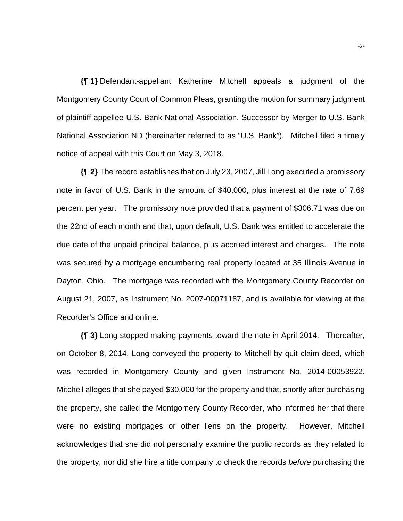**{¶ 1}** Defendant-appellant Katherine Mitchell appeals a judgment of the Montgomery County Court of Common Pleas, granting the motion for summary judgment of plaintiff-appellee U.S. Bank National Association, Successor by Merger to U.S. Bank National Association ND (hereinafter referred to as "U.S. Bank"). Mitchell filed a timely notice of appeal with this Court on May 3, 2018.

**{¶ 2}** The record establishes that on July 23, 2007, Jill Long executed a promissory note in favor of U.S. Bank in the amount of \$40,000, plus interest at the rate of 7.69 percent per year. The promissory note provided that a payment of \$306.71 was due on the 22nd of each month and that, upon default, U.S. Bank was entitled to accelerate the due date of the unpaid principal balance, plus accrued interest and charges. The note was secured by a mortgage encumbering real property located at 35 Illinois Avenue in Dayton, Ohio. The mortgage was recorded with the Montgomery County Recorder on August 21, 2007, as Instrument No. 2007-00071187, and is available for viewing at the Recorder's Office and online.

**{¶ 3}** Long stopped making payments toward the note in April 2014. Thereafter, on October 8, 2014, Long conveyed the property to Mitchell by quit claim deed, which was recorded in Montgomery County and given Instrument No. 2014-00053922. Mitchell alleges that she payed \$30,000 for the property and that, shortly after purchasing the property, she called the Montgomery County Recorder, who informed her that there were no existing mortgages or other liens on the property. However, Mitchell acknowledges that she did not personally examine the public records as they related to the property, nor did she hire a title company to check the records *before* purchasing the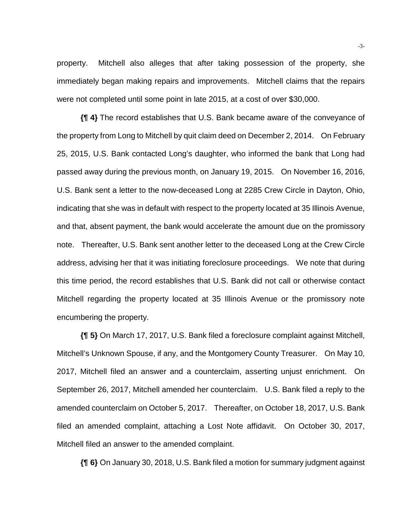property. Mitchell also alleges that after taking possession of the property, she immediately began making repairs and improvements. Mitchell claims that the repairs were not completed until some point in late 2015, at a cost of over \$30,000.

**{¶ 4}** The record establishes that U.S. Bank became aware of the conveyance of the property from Long to Mitchell by quit claim deed on December 2, 2014. On February 25, 2015, U.S. Bank contacted Long's daughter, who informed the bank that Long had passed away during the previous month, on January 19, 2015. On November 16, 2016, U.S. Bank sent a letter to the now-deceased Long at 2285 Crew Circle in Dayton, Ohio, indicating that she was in default with respect to the property located at 35 Illinois Avenue, and that, absent payment, the bank would accelerate the amount due on the promissory note. Thereafter, U.S. Bank sent another letter to the deceased Long at the Crew Circle address, advising her that it was initiating foreclosure proceedings. We note that during this time period, the record establishes that U.S. Bank did not call or otherwise contact Mitchell regarding the property located at 35 Illinois Avenue or the promissory note encumbering the property.

**{¶ 5}** On March 17, 2017, U.S. Bank filed a foreclosure complaint against Mitchell, Mitchell's Unknown Spouse, if any, and the Montgomery County Treasurer. On May 10, 2017, Mitchell filed an answer and a counterclaim, asserting unjust enrichment. On September 26, 2017, Mitchell amended her counterclaim. U.S. Bank filed a reply to the amended counterclaim on October 5, 2017. Thereafter, on October 18, 2017, U.S. Bank filed an amended complaint, attaching a Lost Note affidavit. On October 30, 2017, Mitchell filed an answer to the amended complaint.

**{¶ 6}** On January 30, 2018, U.S. Bank filed a motion for summary judgment against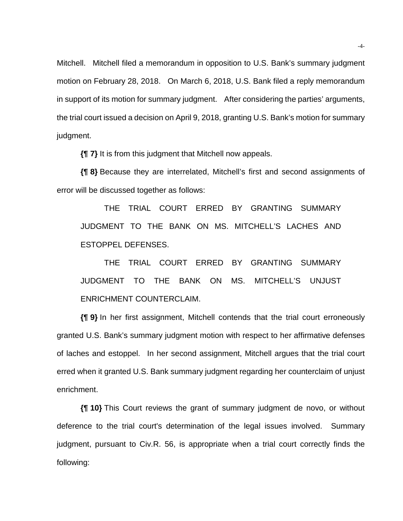Mitchell. Mitchell filed a memorandum in opposition to U.S. Bank's summary judgment motion on February 28, 2018. On March 6, 2018, U.S. Bank filed a reply memorandum in support of its motion for summary judgment. After considering the parties' arguments, the trial court issued a decision on April 9, 2018, granting U.S. Bank's motion for summary judgment.

**{¶ 7}** It is from this judgment that Mitchell now appeals.

**{¶ 8}** Because they are interrelated, Mitchell's first and second assignments of error will be discussed together as follows:

THE TRIAL COURT ERRED BY GRANTING SUMMARY JUDGMENT TO THE BANK ON MS. MITCHELL'S LACHES AND ESTOPPEL DEFENSES.

THE TRIAL COURT ERRED BY GRANTING SUMMARY JUDGMENT TO THE BANK ON MS. MITCHELL'S UNJUST ENRICHMENT COUNTERCLAIM.

**{¶ 9}** In her first assignment, Mitchell contends that the trial court erroneously granted U.S. Bank's summary judgment motion with respect to her affirmative defenses of laches and estoppel. In her second assignment, Mitchell argues that the trial court erred when it granted U.S. Bank summary judgment regarding her counterclaim of unjust enrichment.

**{¶ 10}** This Court reviews the grant of summary judgment de novo, or without deference to the trial court's determination of the legal issues involved. Summary judgment, pursuant to Civ.R. 56, is appropriate when a trial court correctly finds the following: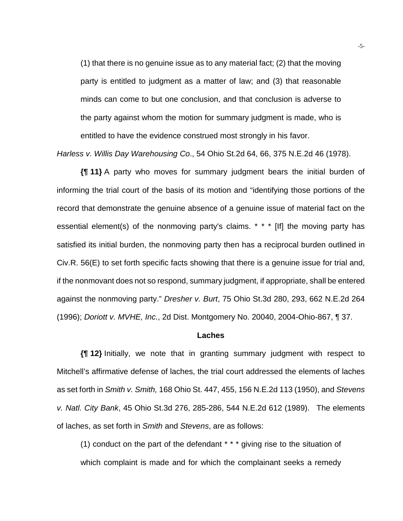(1) that there is no genuine issue as to any material fact; (2) that the moving party is entitled to judgment as a matter of law; and (3) that reasonable minds can come to but one conclusion, and that conclusion is adverse to the party against whom the motion for summary judgment is made, who is entitled to have the evidence construed most strongly in his favor.

*Harless v. Willis Day Warehousing Co*., 54 Ohio St.2d 64, 66, 375 N.E.2d 46 (1978).

**{¶ 11}** A party who moves for summary judgment bears the initial burden of informing the trial court of the basis of its motion and "identifying those portions of the record that demonstrate the genuine absence of a genuine issue of material fact on the essential element(s) of the nonmoving party's claims. \* \* \* [If] the moving party has satisfied its initial burden, the nonmoving party then has a reciprocal burden outlined in Civ.R. 56(E) to set forth specific facts showing that there is a genuine issue for trial and, if the nonmovant does not so respond, summary judgment, if appropriate, shall be entered against the nonmoving party." *Dresher v. Burt*, 75 Ohio St.3d 280, 293, 662 N.E.2d 264 (1996); *Doriott v. MVHE, Inc*., 2d Dist. Montgomery No. 20040, 2004-Ohio-867, ¶ 37.

#### **Laches**

**{¶ 12}** Initially, we note that in granting summary judgment with respect to Mitchell's affirmative defense of laches, the trial court addressed the elements of laches as set forth in *Smith v. Smith,* 168 Ohio St. 447, 455, 156 N.E.2d 113 (1950), and *Stevens v. Natl. City Bank*, 45 Ohio St.3d 276, 285-286, 544 N.E.2d 612 (1989). The elements of laches, as set forth in *Smith* and *Stevens*, are as follows:

(1) conduct on the part of the defendant \* \* \* giving rise to the situation of which complaint is made and for which the complainant seeks a remedy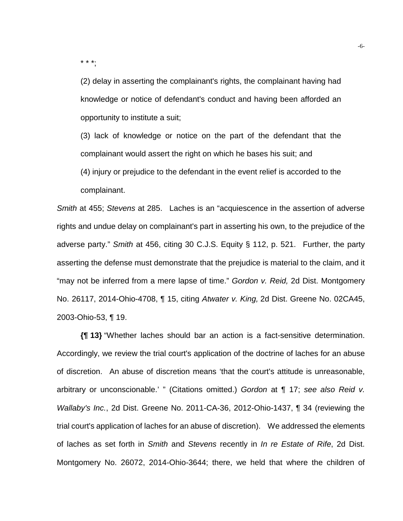\* \* \*;

(2) delay in asserting the complainant's rights, the complainant having had knowledge or notice of defendant's conduct and having been afforded an opportunity to institute a suit;

(3) lack of knowledge or notice on the part of the defendant that the complainant would assert the right on which he bases his suit; and

(4) injury or prejudice to the defendant in the event relief is accorded to the complainant.

*Smith* at 455; *Stevens* at 285. Laches is an "acquiescence in the assertion of adverse rights and undue delay on complainant's part in asserting his own, to the prejudice of the adverse party." *Smith* at 456, citing 30 C.J.S. Equity § 112, p. 521. Further, the party asserting the defense must demonstrate that the prejudice is material to the claim, and it "may not be inferred from a mere lapse of time." *Gordon v. Reid,* 2d Dist. Montgomery No. 26117, 2014-Ohio-4708, ¶ 15, citing *Atwater v. King,* 2d Dist. Greene No. 02CA45, 2003-Ohio-53, ¶ 19.

**{¶ 13}** "Whether laches should bar an action is a fact-sensitive determination. Accordingly, we review the trial court's application of the doctrine of laches for an abuse of discretion. An abuse of discretion means 'that the court's attitude is unreasonable, arbitrary or unconscionable.' " (Citations omitted.) *Gordon* at ¶ 17; *see also Reid v. Wallaby's Inc.*, 2d Dist. Greene No. 2011-CA-36, 2012-Ohio-1437, ¶ 34 (reviewing the trial court's application of laches for an abuse of discretion). We addressed the elements of laches as set forth in *Smith* and *Stevens* recently in *In re Estate of Rife*, 2d Dist. Montgomery No. 26072, 2014-Ohio-3644; there, we held that where the children of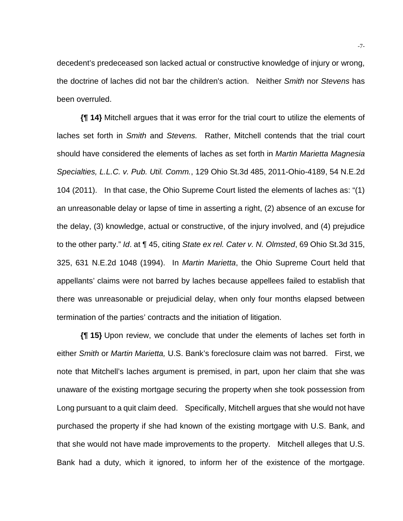decedent's predeceased son lacked actual or constructive knowledge of injury or wrong, the doctrine of laches did not bar the children's action. Neither *Smith* nor *Stevens* has been overruled.

**{¶ 14}** Mitchell argues that it was error for the trial court to utilize the elements of laches set forth in *Smith* and *Stevens.* Rather, Mitchell contends that the trial court should have considered the elements of laches as set forth in *Martin Marietta Magnesia Specialties, L.L.C. v. Pub. Util. Comm.*, 129 Ohio St.3d 485, 2011-Ohio-4189, 54 N.E.2d 104 (2011). In that case, the Ohio Supreme Court listed the elements of laches as: "(1) an unreasonable delay or lapse of time in asserting a right, (2) absence of an excuse for the delay, (3) knowledge, actual or constructive, of the injury involved, and (4) prejudice to the other party." *Id*. at ¶ 45, citing *State ex rel. Cater v. N. Olmsted*, 69 Ohio St.3d 315, 325, 631 N.E.2d 1048 (1994). In *Martin Marietta*, the Ohio Supreme Court held that appellants' claims were not barred by laches because appellees failed to establish that there was unreasonable or prejudicial delay, when only four months elapsed between termination of the parties' contracts and the initiation of litigation.

**{¶ 15}** Upon review, we conclude that under the elements of laches set forth in either *Smith* or *Martin Marietta,* U.S. Bank's foreclosure claim was not barred. First, we note that Mitchell's laches argument is premised, in part, upon her claim that she was unaware of the existing mortgage securing the property when she took possession from Long pursuant to a quit claim deed. Specifically, Mitchell argues that she would not have purchased the property if she had known of the existing mortgage with U.S. Bank, and that she would not have made improvements to the property. Mitchell alleges that U.S. Bank had a duty, which it ignored, to inform her of the existence of the mortgage.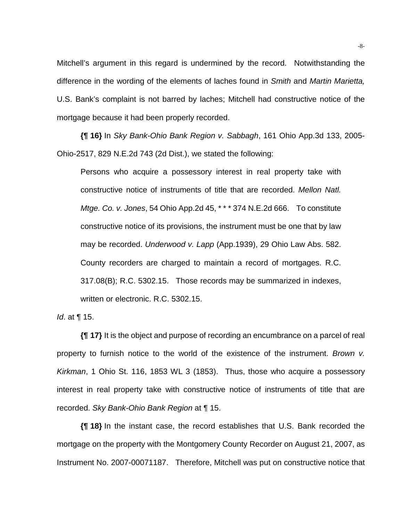Mitchell's argument in this regard is undermined by the record. Notwithstanding the difference in the wording of the elements of laches found in *Smith* and *Martin Marietta,*  U.S. Bank's complaint is not barred by laches; Mitchell had constructive notice of the mortgage because it had been properly recorded.

**{¶ 16}** In *Sky Bank-Ohio Bank Region v. Sabbagh*, 161 Ohio App.3d 133, 2005- Ohio-2517, 829 N.E.2d 743 (2d Dist.), we stated the following:

Persons who acquire a possessory interest in real property take with constructive notice of instruments of title that are recorded. *Mellon Natl. Mtge. Co. v. Jones*, 54 Ohio App.2d 45, \* \* \* 374 N.E.2d 666. To constitute constructive notice of its provisions, the instrument must be one that by law may be recorded. *Underwood v. Lapp* (App.1939), 29 Ohio Law Abs. 582. County recorders are charged to maintain a record of mortgages. R.C. 317.08(B); R.C. 5302.15. Those records may be summarized in indexes, written or electronic. R.C. 5302.15.

*Id*. at ¶ 15.

**{¶ 17}** It is the object and purpose of recording an encumbrance on a parcel of real property to furnish notice to the world of the existence of the instrument. *Brown v. Kirkman*, 1 Ohio St. 116, 1853 WL 3 (1853). Thus, those who acquire a possessory interest in real property take with constructive notice of instruments of title that are recorded. *Sky Bank-Ohio Bank Region* at ¶ 15.

**{¶ 18}** In the instant case, the record establishes that U.S. Bank recorded the mortgage on the property with the Montgomery County Recorder on August 21, 2007, as Instrument No. 2007-00071187. Therefore, Mitchell was put on constructive notice that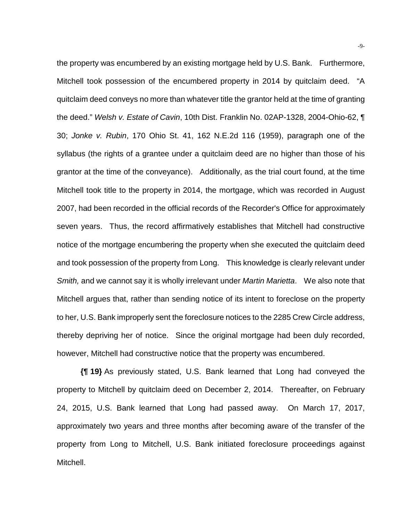the property was encumbered by an existing mortgage held by U.S. Bank. Furthermore, Mitchell took possession of the encumbered property in 2014 by quitclaim deed. "A quitclaim deed conveys no more than whatever title the grantor held at the time of granting the deed." *Welsh v. Estate of Cavin*, 10th Dist. Franklin No. 02AP-1328, 2004-Ohio-62, ¶ 30; *Jonke v. Rubin*, 170 Ohio St. 41, 162 N.E.2d 116 (1959), paragraph one of the syllabus (the rights of a grantee under a quitclaim deed are no higher than those of his grantor at the time of the conveyance). Additionally, as the trial court found, at the time Mitchell took title to the property in 2014, the mortgage, which was recorded in August 2007, had been recorded in the official records of the Recorder's Office for approximately seven years. Thus, the record affirmatively establishes that Mitchell had constructive notice of the mortgage encumbering the property when she executed the quitclaim deed and took possession of the property from Long. This knowledge is clearly relevant under *Smith,* and we cannot say it is wholly irrelevant under *Martin Marietta*. We also note that Mitchell argues that, rather than sending notice of its intent to foreclose on the property to her, U.S. Bank improperly sent the foreclosure notices to the 2285 Crew Circle address, thereby depriving her of notice. Since the original mortgage had been duly recorded, however, Mitchell had constructive notice that the property was encumbered.

**{¶ 19}** As previously stated, U.S. Bank learned that Long had conveyed the property to Mitchell by quitclaim deed on December 2, 2014. Thereafter, on February 24, 2015, U.S. Bank learned that Long had passed away. On March 17, 2017, approximately two years and three months after becoming aware of the transfer of the property from Long to Mitchell, U.S. Bank initiated foreclosure proceedings against Mitchell.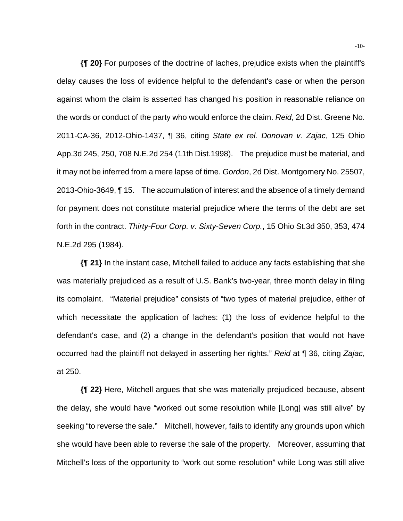**{¶ 20}** For purposes of the doctrine of laches, prejudice exists when the plaintiff's delay causes the loss of evidence helpful to the defendant's case or when the person against whom the claim is asserted has changed his position in reasonable reliance on the words or conduct of the party who would enforce the claim. *Reid*, 2d Dist. Greene No. 2011-CA-36, 2012-Ohio-1437, ¶ 36, citing *State ex rel. Donovan v. Zajac*, 125 Ohio App.3d 245, 250, 708 N.E.2d 254 (11th Dist.1998). The prejudice must be material, and it may not be inferred from a mere lapse of time. *Gordon*, 2d Dist. Montgomery No. 25507, 2013-Ohio-3649, ¶ 15. The accumulation of interest and the absence of a timely demand for payment does not constitute material prejudice where the terms of the debt are set forth in the contract. *Thirty-Four Corp. v. Sixty-Seven Corp.*, 15 Ohio St.3d 350, 353, 474 N.E.2d 295 (1984).

**{¶ 21}** In the instant case, Mitchell failed to adduce any facts establishing that she was materially prejudiced as a result of U.S. Bank's two-year, three month delay in filing its complaint. "Material prejudice" consists of "two types of material prejudice, either of which necessitate the application of laches: (1) the loss of evidence helpful to the defendant's case, and (2) a change in the defendant's position that would not have occurred had the plaintiff not delayed in asserting her rights." *Reid* at ¶ 36, citing *Zajac*, at 250.

**{¶ 22}** Here, Mitchell argues that she was materially prejudiced because, absent the delay, she would have "worked out some resolution while [Long] was still alive" by seeking "to reverse the sale." Mitchell, however, fails to identify any grounds upon which she would have been able to reverse the sale of the property. Moreover, assuming that Mitchell's loss of the opportunity to "work out some resolution" while Long was still alive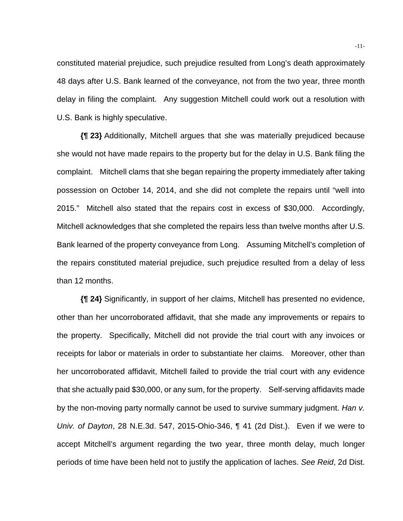constituted material prejudice, such prejudice resulted from Long's death approximately 48 days after U.S. Bank learned of the conveyance, not from the two year, three month delay in filing the complaint. Any suggestion Mitchell could work out a resolution with U.S. Bank is highly speculative.

**{¶ 23}** Additionally, Mitchell argues that she was materially prejudiced because she would not have made repairs to the property but for the delay in U.S. Bank filing the complaint. Mitchell clams that she began repairing the property immediately after taking possession on October 14, 2014, and she did not complete the repairs until "well into 2015." Mitchell also stated that the repairs cost in excess of \$30,000. Accordingly, Mitchell acknowledges that she completed the repairs less than twelve months after U.S. Bank learned of the property conveyance from Long. Assuming Mitchell's completion of the repairs constituted material prejudice, such prejudice resulted from a delay of less than 12 months.

**{¶ 24}** Significantly, in support of her claims, Mitchell has presented no evidence, other than her uncorroborated affidavit, that she made any improvements or repairs to the property. Specifically, Mitchell did not provide the trial court with any invoices or receipts for labor or materials in order to substantiate her claims. Moreover, other than her uncorroborated affidavit, Mitchell failed to provide the trial court with any evidence that she actually paid \$30,000, or any sum, for the property. Self-serving affidavits made by the non-moving party normally cannot be used to survive summary judgment. *Han v. Univ. of Dayton*, 28 N.E.3d. 547, 2015-Ohio-346, ¶ 41 (2d Dist.). Even if we were to accept Mitchell's argument regarding the two year, three month delay, much longer periods of time have been held not to justify the application of laches. *See Reid*, 2d Dist.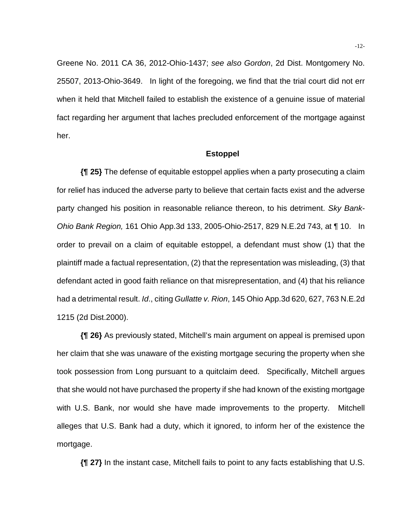Greene No. 2011 CA 36, 2012-Ohio-1437; *see also Gordon*, 2d Dist. Montgomery No. 25507, 2013-Ohio-3649. In light of the foregoing, we find that the trial court did not err when it held that Mitchell failed to establish the existence of a genuine issue of material fact regarding her argument that laches precluded enforcement of the mortgage against her.

## **Estoppel**

**{¶ 25}** The defense of equitable estoppel applies when a party prosecuting a claim for relief has induced the adverse party to believe that certain facts exist and the adverse party changed his position in reasonable reliance thereon, to his detriment. *Sky Bank-Ohio Bank Region,* 161 Ohio App.3d 133, 2005-Ohio-2517, 829 N.E.2d 743, at ¶ 10. In order to prevail on a claim of equitable estoppel, a defendant must show (1) that the plaintiff made a factual representation, (2) that the representation was misleading, (3) that defendant acted in good faith reliance on that misrepresentation, and (4) that his reliance had a detrimental result. *Id*., citing *Gullatte v. Rion*, 145 Ohio App.3d 620, 627, 763 N.E.2d 1215 (2d Dist.2000).

**{¶ 26}** As previously stated, Mitchell's main argument on appeal is premised upon her claim that she was unaware of the existing mortgage securing the property when she took possession from Long pursuant to a quitclaim deed. Specifically, Mitchell argues that she would not have purchased the property if she had known of the existing mortgage with U.S. Bank, nor would she have made improvements to the property. Mitchell alleges that U.S. Bank had a duty, which it ignored, to inform her of the existence the mortgage.

**{¶ 27}** In the instant case, Mitchell fails to point to any facts establishing that U.S.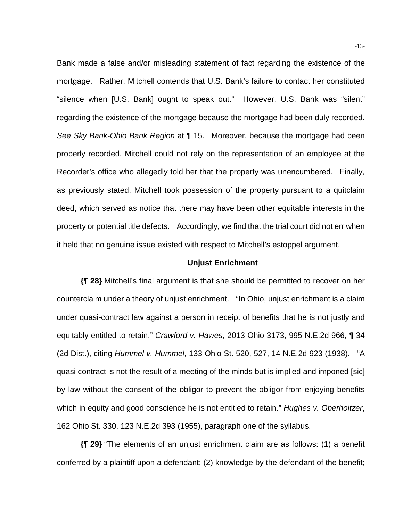Bank made a false and/or misleading statement of fact regarding the existence of the mortgage. Rather, Mitchell contends that U.S. Bank's failure to contact her constituted "silence when [U.S. Bank] ought to speak out." However, U.S. Bank was "silent" regarding the existence of the mortgage because the mortgage had been duly recorded. *See Sky Bank-Ohio Bank Region* at ¶ 15. Moreover, because the mortgage had been properly recorded, Mitchell could not rely on the representation of an employee at the Recorder's office who allegedly told her that the property was unencumbered. Finally, as previously stated, Mitchell took possession of the property pursuant to a quitclaim deed, which served as notice that there may have been other equitable interests in the property or potential title defects. Accordingly, we find that the trial court did not err when it held that no genuine issue existed with respect to Mitchell's estoppel argument.

## **Unjust Enrichment**

**{¶ 28}** Mitchell's final argument is that she should be permitted to recover on her counterclaim under a theory of unjust enrichment. "In Ohio, unjust enrichment is a claim under quasi-contract law against a person in receipt of benefits that he is not justly and equitably entitled to retain." *Crawford v. Hawes*, 2013-Ohio-3173, 995 N.E.2d 966, ¶ 34 (2d Dist.), citing *Hummel v. Hummel*, 133 Ohio St. 520, 527, 14 N.E.2d 923 (1938). "A quasi contract is not the result of a meeting of the minds but is implied and imponed [sic] by law without the consent of the obligor to prevent the obligor from enjoying benefits which in equity and good conscience he is not entitled to retain." *Hughes v. Oberholtzer*, 162 Ohio St. 330, 123 N.E.2d 393 (1955), paragraph one of the syllabus.

**{¶ 29}** "The elements of an unjust enrichment claim are as follows: (1) a benefit conferred by a plaintiff upon a defendant; (2) knowledge by the defendant of the benefit;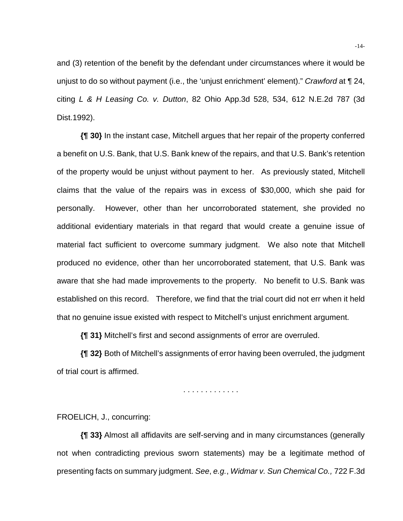and (3) retention of the benefit by the defendant under circumstances where it would be unjust to do so without payment (i.e., the 'unjust enrichment' element)." *Crawford* at ¶ 24, citing *L & H Leasing Co. v. Dutton*, 82 Ohio App.3d 528, 534, 612 N.E.2d 787 (3d Dist.1992).

**{¶ 30}** In the instant case, Mitchell argues that her repair of the property conferred a benefit on U.S. Bank, that U.S. Bank knew of the repairs, and that U.S. Bank's retention of the property would be unjust without payment to her. As previously stated, Mitchell claims that the value of the repairs was in excess of \$30,000, which she paid for personally. However, other than her uncorroborated statement, she provided no additional evidentiary materials in that regard that would create a genuine issue of material fact sufficient to overcome summary judgment. We also note that Mitchell produced no evidence, other than her uncorroborated statement, that U.S. Bank was aware that she had made improvements to the property. No benefit to U.S. Bank was established on this record. Therefore, we find that the trial court did not err when it held that no genuine issue existed with respect to Mitchell's unjust enrichment argument.

**{¶ 31}** Mitchell's first and second assignments of error are overruled.

**{¶ 32}** Both of Mitchell's assignments of error having been overruled, the judgment of trial court is affirmed.

. . . . . . . . . . . . .

FROELICH, J., concurring:

**{¶ 33}** Almost all affidavits are self-serving and in many circumstances (generally not when contradicting previous sworn statements) may be a legitimate method of presenting facts on summary judgment. *See*, *e.g.*, *Widmar v. Sun Chemical Co.,* 722 F.3d